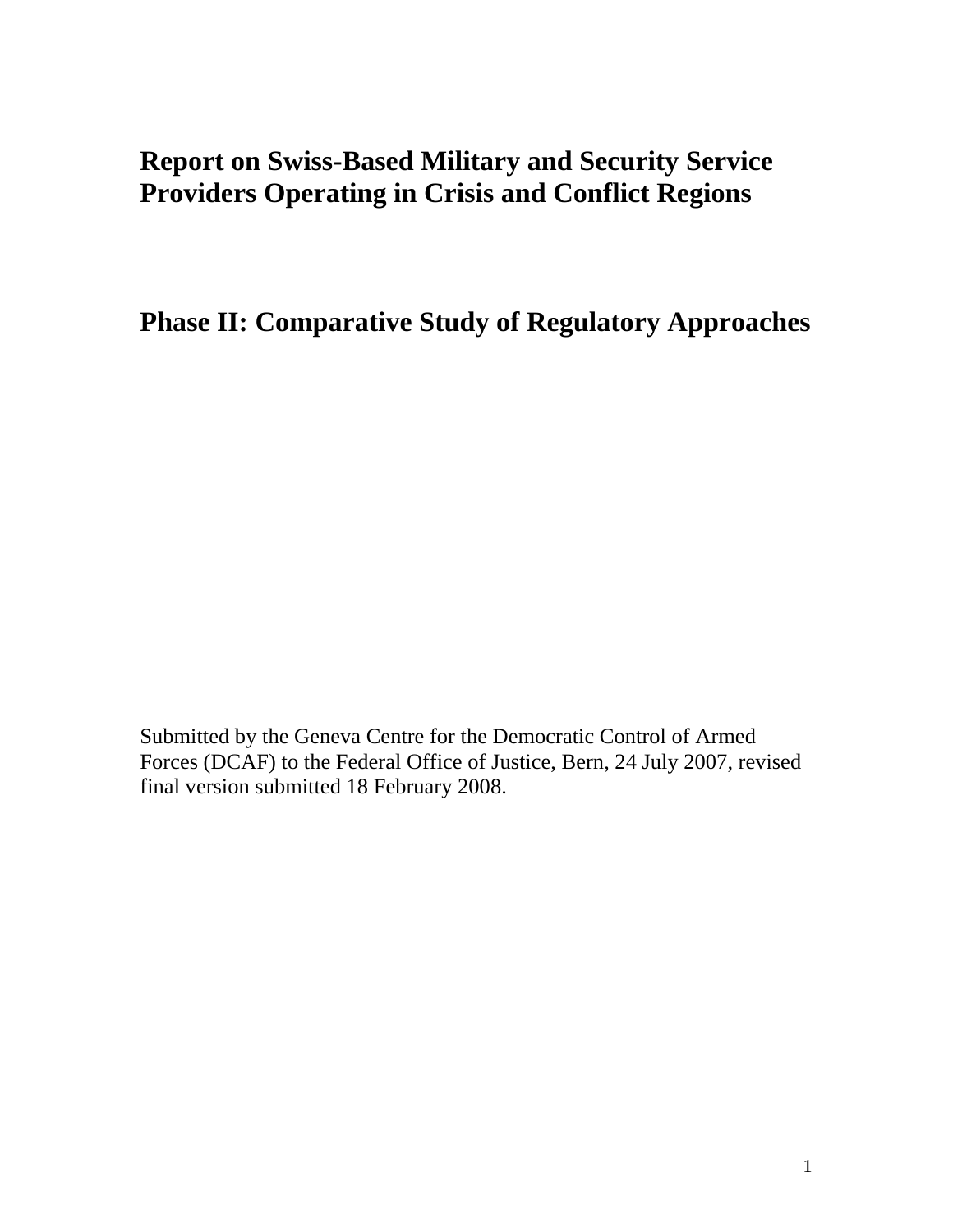# **Report on Swiss-Based Military and Security Service Providers Operating in Crisis and Conflict Regions**

**Phase II: Comparative Study of Regulatory Approaches** 

Submitted by the Geneva Centre for the Democratic Control of Armed Forces (DCAF) to the Federal Office of Justice, Bern, 24 July 2007, revised final version submitted 18 February 2008.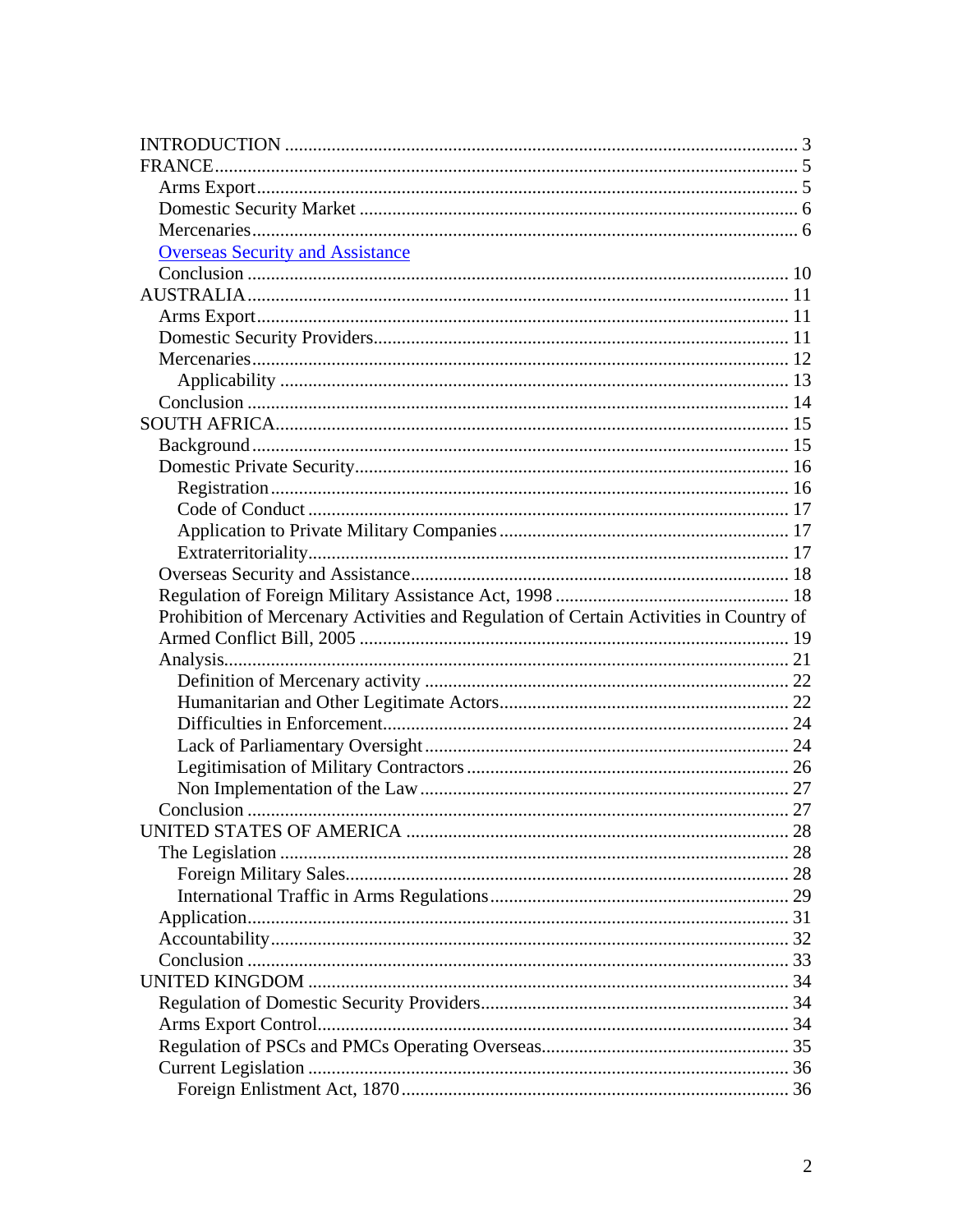| <b>Overseas Security and Assistance</b>                                                |  |
|----------------------------------------------------------------------------------------|--|
|                                                                                        |  |
|                                                                                        |  |
|                                                                                        |  |
|                                                                                        |  |
|                                                                                        |  |
|                                                                                        |  |
|                                                                                        |  |
|                                                                                        |  |
|                                                                                        |  |
|                                                                                        |  |
|                                                                                        |  |
|                                                                                        |  |
|                                                                                        |  |
|                                                                                        |  |
|                                                                                        |  |
|                                                                                        |  |
|                                                                                        |  |
|                                                                                        |  |
| Prohibition of Mercenary Activities and Regulation of Certain Activities in Country of |  |
|                                                                                        |  |
|                                                                                        |  |
|                                                                                        |  |
|                                                                                        |  |
|                                                                                        |  |
|                                                                                        |  |
|                                                                                        |  |
|                                                                                        |  |
|                                                                                        |  |
|                                                                                        |  |
|                                                                                        |  |
|                                                                                        |  |
|                                                                                        |  |
|                                                                                        |  |
|                                                                                        |  |
|                                                                                        |  |
|                                                                                        |  |
|                                                                                        |  |
|                                                                                        |  |
|                                                                                        |  |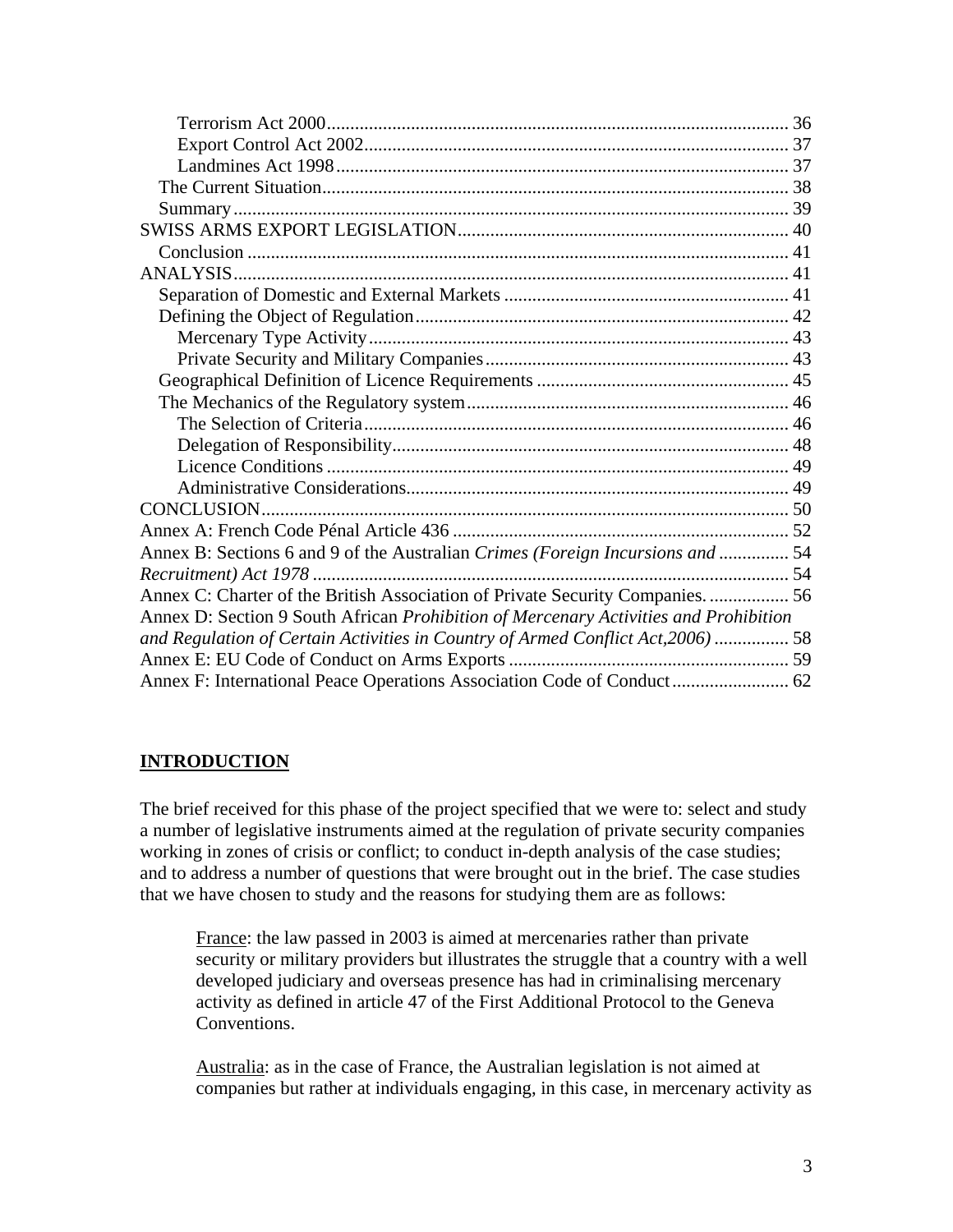<span id="page-2-0"></span>

| Annex B: Sections 6 and 9 of the Australian Crimes (Foreign Incursions and  54       |  |
|--------------------------------------------------------------------------------------|--|
|                                                                                      |  |
| Annex C: Charter of the British Association of Private Security Companies 56         |  |
| Annex D: Section 9 South African Prohibition of Mercenary Activities and Prohibition |  |
| and Regulation of Certain Activities in Country of Armed Conflict Act, 2006)  58     |  |
|                                                                                      |  |
| Annex F: International Peace Operations Association Code of Conduct 62               |  |

# **INTRODUCTION**

The brief received for this phase of the project specified that we were to: select and study a number of legislative instruments aimed at the regulation of private security companies working in zones of crisis or conflict; to conduct in-depth analysis of the case studies; and to address a number of questions that were brought out in the brief. The case studies that we have chosen to study and the reasons for studying them are as follows:

France: the law passed in 2003 is aimed at mercenaries rather than private security or military providers but illustrates the struggle that a country with a well developed judiciary and overseas presence has had in criminalising mercenary activity as defined in article 47 of the First Additional Protocol to the Geneva Conventions.

Australia: as in the case of France, the Australian legislation is not aimed at companies but rather at individuals engaging, in this case, in mercenary activity as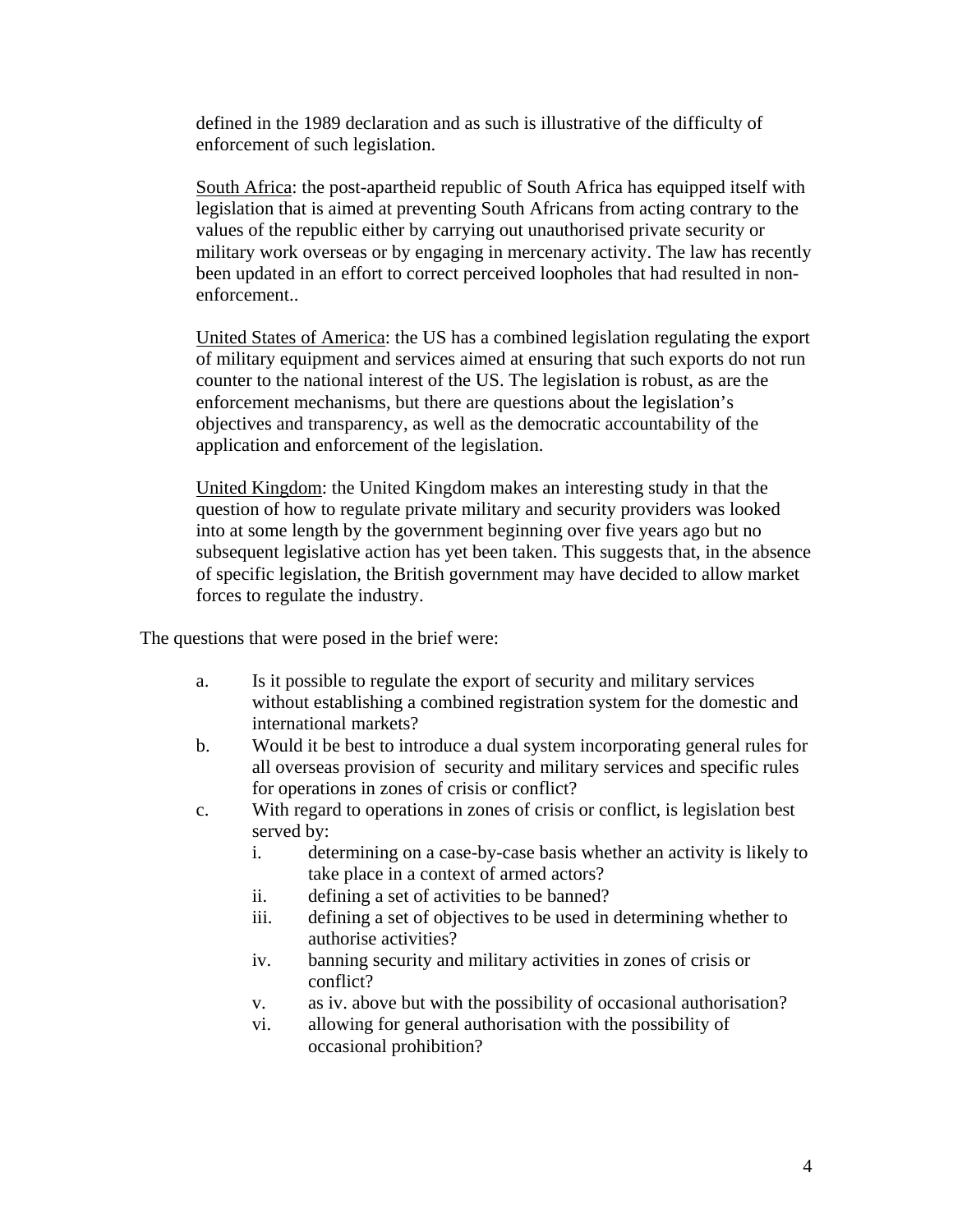defined in the 1989 declaration and as such is illustrative of the difficulty of enforcement of such legislation.

South Africa: the post-apartheid republic of South Africa has equipped itself with legislation that is aimed at preventing South Africans from acting contrary to the values of the republic either by carrying out unauthorised private security or military work overseas or by engaging in mercenary activity. The law has recently been updated in an effort to correct perceived loopholes that had resulted in nonenforcement..

United States of America: the US has a combined legislation regulating the export of military equipment and services aimed at ensuring that such exports do not run counter to the national interest of the US. The legislation is robust, as are the enforcement mechanisms, but there are questions about the legislation's objectives and transparency, as well as the democratic accountability of the application and enforcement of the legislation.

United Kingdom: the United Kingdom makes an interesting study in that the question of how to regulate private military and security providers was looked into at some length by the government beginning over five years ago but no subsequent legislative action has yet been taken. This suggests that, in the absence of specific legislation, the British government may have decided to allow market forces to regulate the industry.

The questions that were posed in the brief were:

- a. Is it possible to regulate the export of security and military services without establishing a combined registration system for the domestic and international markets?
- b. Would it be best to introduce a dual system incorporating general rules for all overseas provision of security and military services and specific rules for operations in zones of crisis or conflict?
- c. With regard to operations in zones of crisis or conflict, is legislation best served by:
	- i. determining on a case-by-case basis whether an activity is likely to take place in a context of armed actors?
	- ii. defining a set of activities to be banned?
	- iii. defining a set of objectives to be used in determining whether to authorise activities?
	- iv. banning security and military activities in zones of crisis or conflict?
	- v. as iv. above but with the possibility of occasional authorisation?
	- vi. allowing for general authorisation with the possibility of occasional prohibition?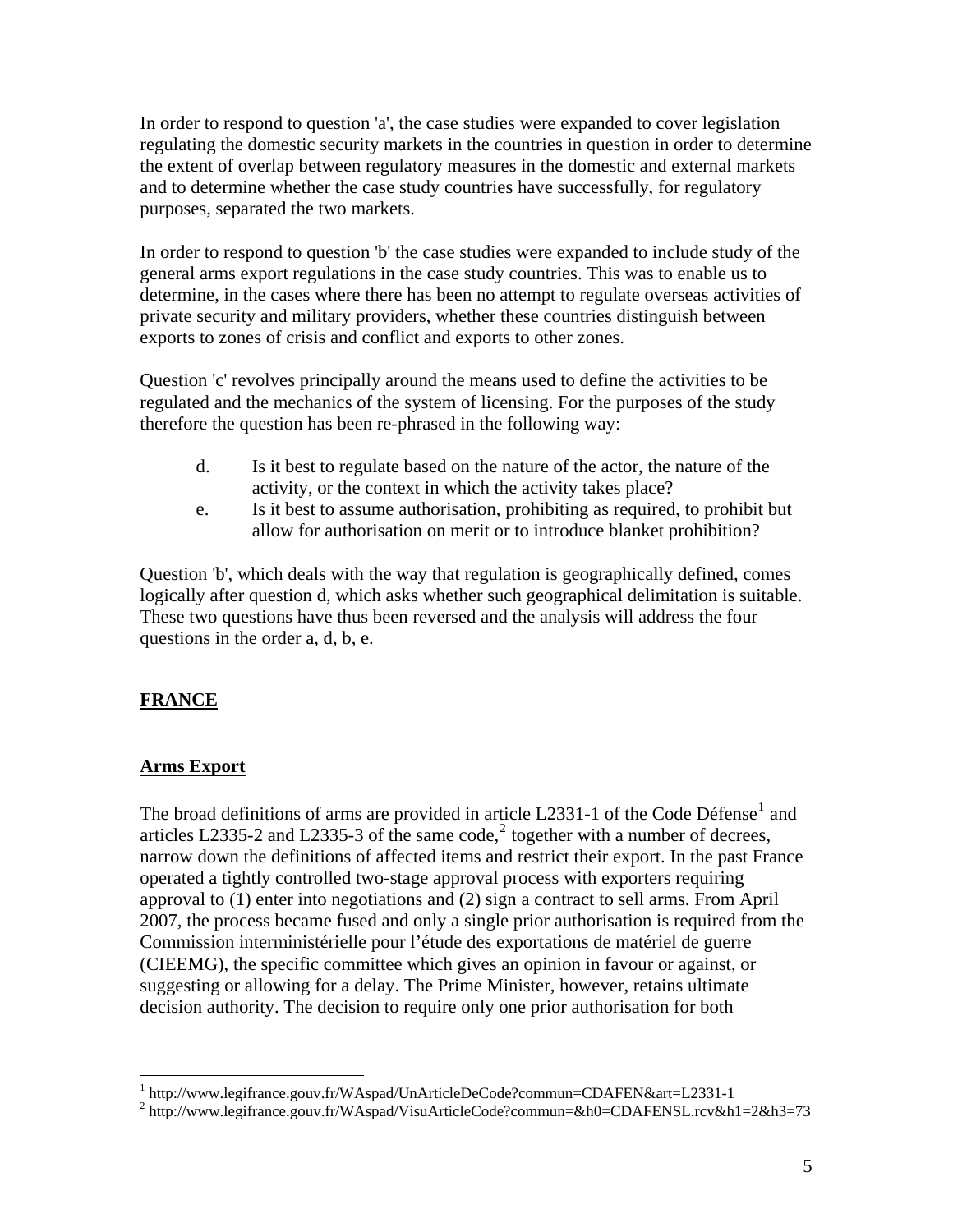<span id="page-4-0"></span>In order to respond to question 'a', the case studies were expanded to cover legislation regulating the domestic security markets in the countries in question in order to determine the extent of overlap between regulatory measures in the domestic and external markets and to determine whether the case study countries have successfully, for regulatory purposes, separated the two markets.

In order to respond to question 'b' the case studies were expanded to include study of the general arms export regulations in the case study countries. This was to enable us to determine, in the cases where there has been no attempt to regulate overseas activities of private security and military providers, whether these countries distinguish between exports to zones of crisis and conflict and exports to other zones.

Question 'c' revolves principally around the means used to define the activities to be regulated and the mechanics of the system of licensing. For the purposes of the study therefore the question has been re-phrased in the following way:

- d. Is it best to regulate based on the nature of the actor, the nature of the activity, or the context in which the activity takes place?
- e. Is it best to assume authorisation, prohibiting as required, to prohibit but allow for authorisation on merit or to introduce blanket prohibition?

Question 'b', which deals with the way that regulation is geographically defined, comes logically after question d, which asks whether such geographical delimitation is suitable. These two questions have thus been reversed and the analysis will address the four questions in the order a, d, b, e.

# **FRANCE**

### **Arms Export**

The broad definitions of arms are provided in article L233[1](#page-4-1)-1 of the Code Défense<sup>1</sup> and articles L[2](#page-4-2)335-2 and L2335-3 of the same code,<sup>2</sup> together with a number of decrees, narrow down the definitions of affected items and restrict their export. In the past France operated a tightly controlled two-stage approval process with exporters requiring approval to (1) enter into negotiations and (2) sign a contract to sell arms. From April 2007, the process became fused and only a single prior authorisation is required from the Commission interministérielle pour l'étude des exportations de matériel de guerre (CIEEMG), the specific committee which gives an opinion in favour or against, or suggesting or allowing for a delay. The Prime Minister, however, retains ultimate decision authority. The decision to require only one prior authorisation for both

<sup>&</sup>lt;sup>1</sup> http://www.legifrance.gouv.fr/WAspad/UnArticleDeCode?commun=CDAFEN&art=L2331-1<br><sup>2</sup> http://www.legifrance.gouv.fr/WAspad/VieuArticleDeCode?commun=&b0=CDAFEN&art=L2331-1

<span id="page-4-2"></span><span id="page-4-1"></span><sup>&</sup>lt;sup>2</sup> http://www.legifrance.gouv.fr/WAspad/VisuArticleCode?commun=&h0=CDAFENSL.rcv&h1=2&h3=73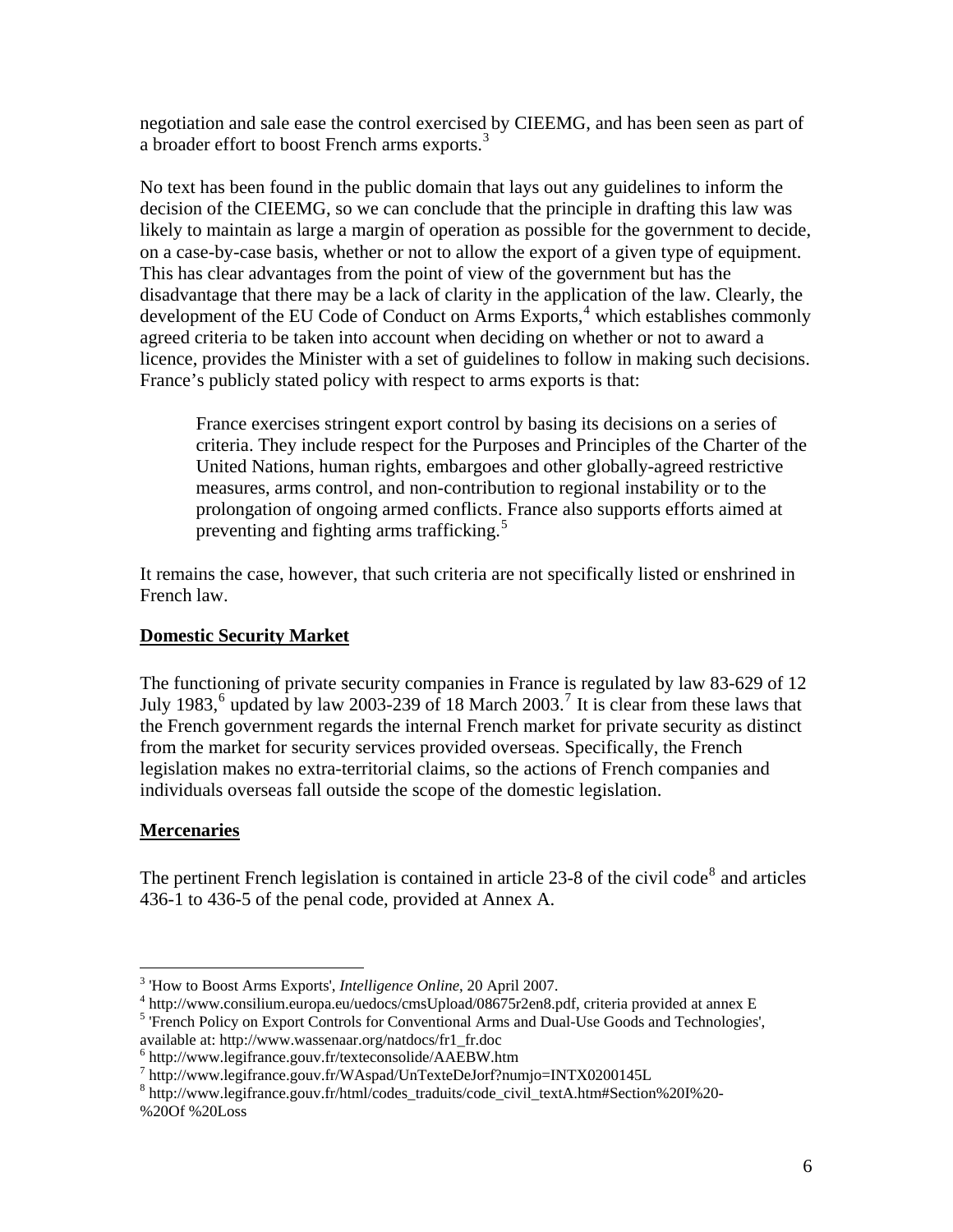<span id="page-5-0"></span>negotiation and sale ease the control exercised by CIEEMG, and has been seen as part of a broader effort to boost French arms exports.[3](#page-5-1)

No text has been found in the public domain that lays out any guidelines to inform the decision of the CIEEMG, so we can conclude that the principle in drafting this law was likely to maintain as large a margin of operation as possible for the government to decide, on a case-by-case basis, whether or not to allow the export of a given type of equipment. This has clear advantages from the point of view of the government but has the disadvantage that there may be a lack of clarity in the application of the law. Clearly, the development of the EU Code of Conduct on Arms Exports,<sup>[4](#page-5-2)</sup> which establishes commonly agreed criteria to be taken into account when deciding on whether or not to award a licence, provides the Minister with a set of guidelines to follow in making such decisions. France's publicly stated policy with respect to arms exports is that:

France exercises stringent export control by basing its decisions on a series of criteria. They include respect for the Purposes and Principles of the Charter of the United Nations, human rights, embargoes and other globally-agreed restrictive measures, arms control, and non-contribution to regional instability or to the prolongation of ongoing armed conflicts. France also supports efforts aimed at preventing and fighting arms trafficking.<sup>[5](#page-5-3)</sup>

It remains the case, however, that such criteria are not specifically listed or enshrined in French law.

### **Domestic Security Market**

The functioning of private security companies in France is regulated by law 83-629 of 12 July 1983,<sup>[6](#page-5-4)</sup> updated by law 2003-239 of 18 March 2003.<sup>[7](#page-5-5)</sup> It is clear from these laws that the French government regards the internal French market for private security as distinct from the market for security services provided overseas. Specifically, the French legislation makes no extra-territorial claims, so the actions of French companies and individuals overseas fall outside the scope of the domestic legislation.

# **Mercenaries**

 $\overline{a}$ 

The pertinent French legislation is contained in article 23-[8](#page-5-6) of the civil code<sup>8</sup> and articles 436-1 to 436-5 of the penal code, provided at Annex A.

<span id="page-5-1"></span><sup>&</sup>lt;sup>3</sup> 'How to Boost Arms Exports', *Intelligence Online*, 20 April 2007.

<sup>&</sup>lt;sup>3</sup> 'How to Boost Arms Exports', *Intelligence Online*, 20 April 2007.<br><sup>4</sup> http://www.consilium.europa.eu/uedocs/cmsUpload/08675r2en8.pdf, criteria provided at annex E

<span id="page-5-3"></span><span id="page-5-2"></span><sup>&</sup>lt;sup>5</sup> 'French Policy on Export Controls for Conventional Arms and Dual-Use Goods and Technologies', available at: http://www.wassenaar.org/natdocs/fr1\_fr.doc 6

<span id="page-5-5"></span><span id="page-5-4"></span>http://www.legifrance.gouv.fr/texteconsolide/AAEBW.htm

<sup>7</sup> http://www.legifrance.gouv.fr/WAspad/UnTexteDeJorf?numjo=INTX0200145L

<span id="page-5-6"></span><sup>8</sup> http://www.legifrance.gouv.fr/html/codes\_traduits/code\_civil\_textA.htm#Section%20I%20- %20Of %20Loss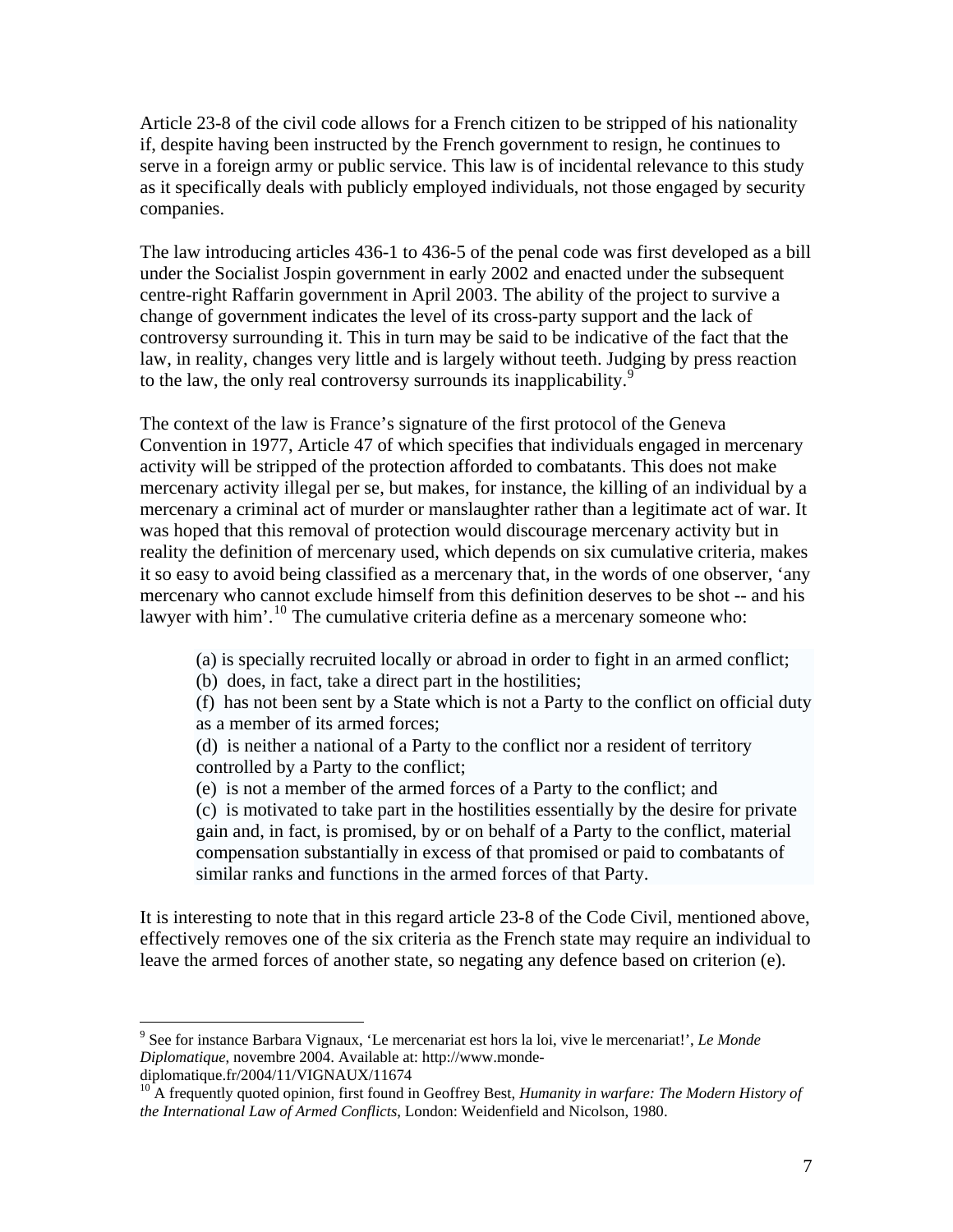Article 23-8 of the civil code allows for a French citizen to be stripped of his nationality if, despite having been instructed by the French government to resign, he continues to serve in a foreign army or public service. This law is of incidental relevance to this study as it specifically deals with publicly employed individuals, not those engaged by security companies.

The law introducing articles 436-1 to 436-5 of the penal code was first developed as a bill under the Socialist Jospin government in early 2002 and enacted under the subsequent centre-right Raffarin government in April 2003. The ability of the project to survive a change of government indicates the level of its cross-party support and the lack of controversy surrounding it. This in turn may be said to be indicative of the fact that the law, in reality, changes very little and is largely without teeth. Judging by press reaction to the law, the only real controversy surrounds its inapplicability.<sup>[9](#page-6-0)</sup>

The context of the law is France's signature of the first protocol of the Geneva Convention in 1977, Article 47 of which specifies that individuals engaged in mercenary activity will be stripped of the protection afforded to combatants. This does not make mercenary activity illegal per se, but makes, for instance, the killing of an individual by a mercenary a criminal act of murder or manslaughter rather than a legitimate act of war. It was hoped that this removal of protection would discourage mercenary activity but in reality the definition of mercenary used, which depends on six cumulative criteria, makes it so easy to avoid being classified as a mercenary that, in the words of one observer, 'any mercenary who cannot exclude himself from this definition deserves to be shot -- and his lawyer with him'.<sup>[10](#page-6-1)</sup> The cumulative criteria define as a mercenary someone who:

- (a) is specially recruited locally or abroad in order to fight in an armed conflict;
- (b) does, in fact, take a direct part in the hostilities;

(f) has not been sent by a State which is not a Party to the conflict on official duty as a member of its armed forces;

(d) is neither a national of a Party to the conflict nor a resident of territory controlled by a Party to the conflict;

(e) is not a member of the armed forces of a Party to the conflict; and

(c) is motivated to take part in the hostilities essentially by the desire for private gain and, in fact, is promised, by or on behalf of a Party to the conflict, material compensation substantially in excess of that promised or paid to combatants of similar ranks and functions in the armed forces of that Party.

It is interesting to note that in this regard article 23-8 of the Code Civil, mentioned above, effectively removes one of the six criteria as the French state may require an individual to leave the armed forces of another state, so negating any defence based on criterion (e).

<span id="page-6-0"></span><sup>9</sup> See for instance Barbara Vignaux, 'Le mercenariat est hors la loi, vive le mercenariat!', *Le Monde Diplomatique*, novembre 2004. Available at: http://www.monde-

diplomatique.fr/2004/11/VIGNAUX/11674

<span id="page-6-1"></span><sup>&</sup>lt;sup>10</sup> A frequently quoted opinion, first found in Geoffrey Best, *Humanity in warfare: The Modern History of the International Law of Armed Conflicts*, London: Weidenfield and Nicolson, 1980.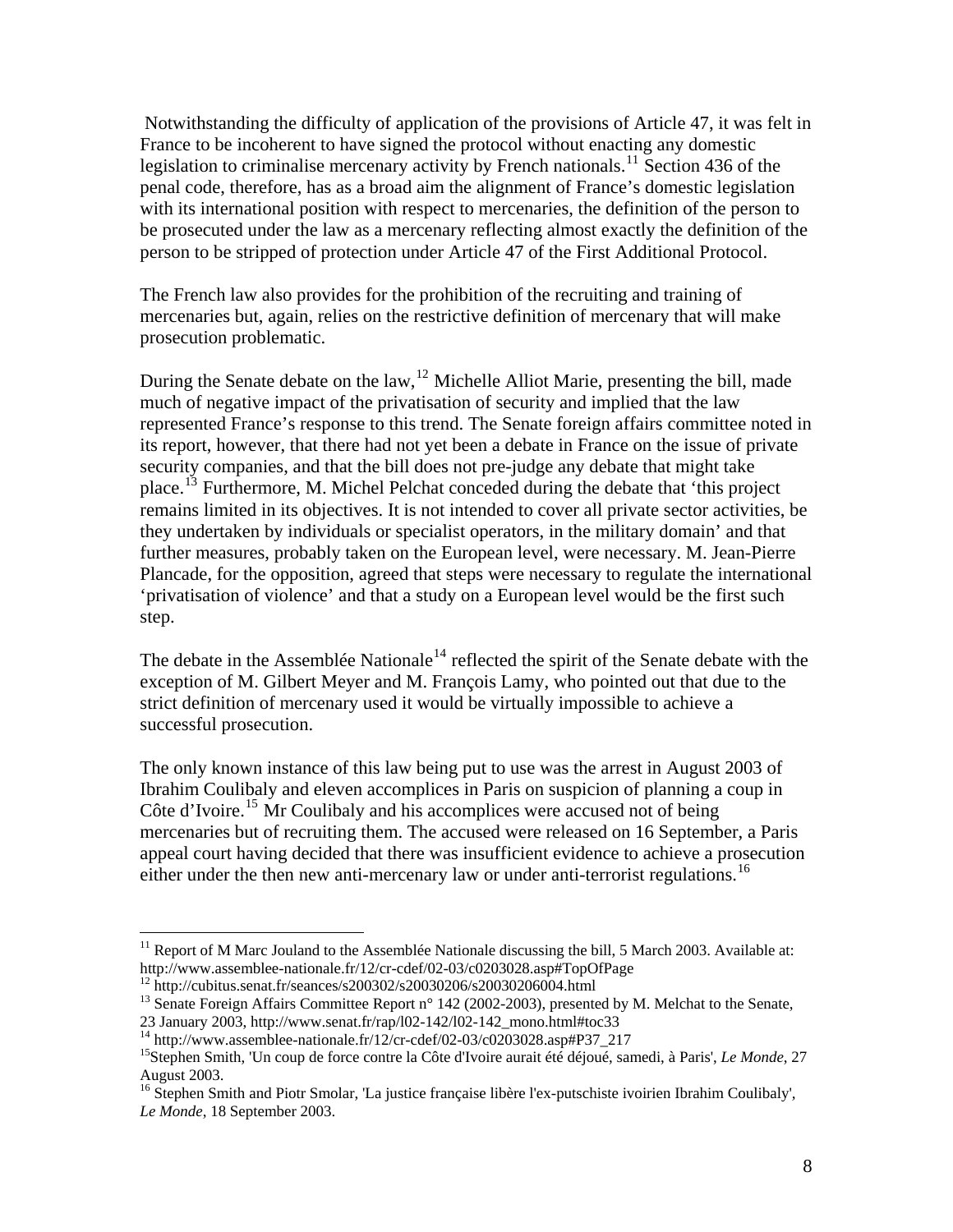Notwithstanding the difficulty of application of the provisions of Article 47, it was felt in France to be incoherent to have signed the protocol without enacting any domestic legislation to criminalise mercenary activity by French nationals.<sup>[11](#page-7-0)</sup> Section 436 of the penal code, therefore, has as a broad aim the alignment of France's domestic legislation with its international position with respect to mercenaries, the definition of the person to be prosecuted under the law as a mercenary reflecting almost exactly the definition of the person to be stripped of protection under Article 47 of the First Additional Protocol.

The French law also provides for the prohibition of the recruiting and training of mercenaries but, again, relies on the restrictive definition of mercenary that will make prosecution problematic.

During the Senate debate on the law,<sup>[12](#page-7-1)</sup> Michelle Alliot Marie, presenting the bill, made much of negative impact of the privatisation of security and implied that the law represented France's response to this trend. The Senate foreign affairs committee noted in its report, however, that there had not yet been a debate in France on the issue of private security companies, and that the bill does not pre-judge any debate that might take place.<sup>[13](#page-7-2)</sup> Furthermore, M. Michel Pelchat conceded during the debate that 'this project remains limited in its objectives. It is not intended to cover all private sector activities, be they undertaken by individuals or specialist operators, in the military domain' and that further measures, probably taken on the European level, were necessary. M. Jean-Pierre Plancade, for the opposition, agreed that steps were necessary to regulate the international 'privatisation of violence' and that a study on a European level would be the first such step.

The debate in the Assemblée Nationale<sup>[14](#page-7-3)</sup> reflected the spirit of the Senate debate with the exception of M. Gilbert Meyer and M. François Lamy, who pointed out that due to the strict definition of mercenary used it would be virtually impossible to achieve a successful prosecution.

The only known instance of this law being put to use was the arrest in August 2003 of Ibrahim Coulibaly and eleven accomplices in Paris on suspicion of planning a coup in Côte d'Ivoire.<sup>[15](#page-7-4)</sup> Mr Coulibaly and his accomplices were accused not of being mercenaries but of recruiting them. The accused were released on 16 September, a Paris appeal court having decided that there was insufficient evidence to achieve a prosecution either under the then new anti-mercenary law or under anti-terrorist regulations.<sup>[16](#page-7-5)</sup>

<span id="page-7-0"></span><sup>&</sup>lt;sup>11</sup> Report of M Marc Jouland to the Assemblée Nationale discussing the bill, 5 March 2003. Available at:<br>http://www.assemblee-nationale.fr/12/cr-cdef/02-03/c0203028.asp#TopOfPage

<span id="page-7-2"></span><span id="page-7-1"></span><sup>&</sup>lt;sup>12</sup> http://cubitus.senat.fr/seances/s200302/s20030206/s20030206004.html<br><sup>13</sup> Senate Foreign Affairs Committee Report n° 142 (2002-2003), presented by M. Melchat to the Senate,<br>23 January 2003, http://www.senat.fr/rap/l02

<span id="page-7-4"></span><span id="page-7-3"></span><sup>&</sup>lt;sup>14</sup> http://www.assemblee-nationale.fr/12/cr-cdef/02-03/c0203028.asp#P37\_217<br><sup>15</sup>Stephen Smith, 'Un coup de force contre la Côte d'Ivoire aurait été déjoué, samedi, à Paris', *Le Monde*, 27 August 2003.

<span id="page-7-5"></span><sup>16</sup> Stephen Smith and Piotr Smolar, 'La justice française libère l'ex-putschiste ivoirien Ibrahim Coulibaly'*, Le Monde*, 18 September 2003.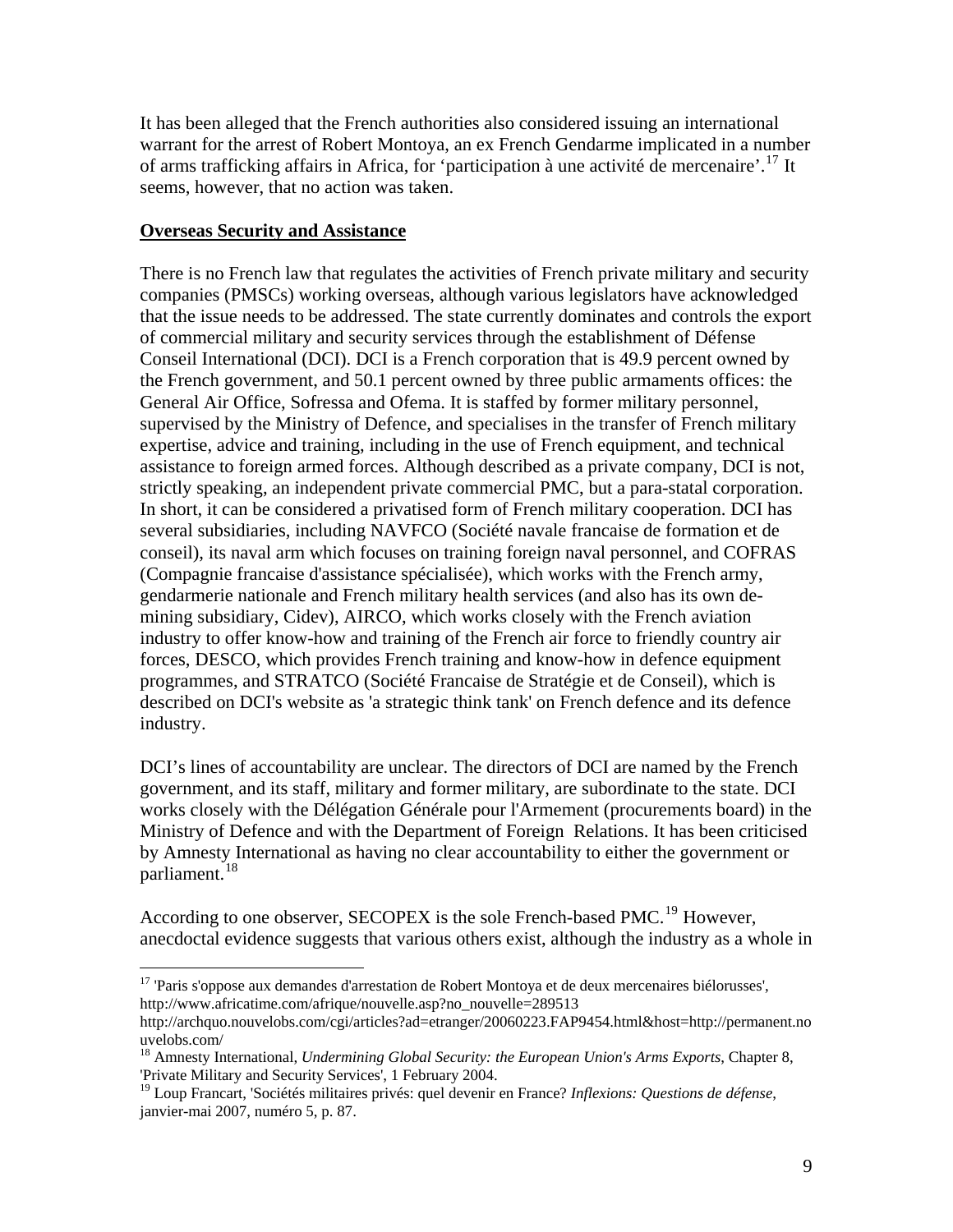It has been alleged that the French authorities also considered issuing an international warrant for the arrest of Robert Montoya, an ex French Gendarme implicated in a number of arms trafficking affairs in Africa, for 'participation à une activité de mercenaire'.<sup>[17](#page-8-0)</sup> It seems, however, that no action was taken.

#### **Overseas Security and Assistance**

 $\overline{a}$ 

There is no French law that regulates the activities of French private military and security companies (PMSCs) working overseas, although various legislators have acknowledged that the issue needs to be addressed. The state currently dominates and controls the export of commercial military and security services through the establishment of Défense Conseil International (DCI). DCI is a French corporation that is 49.9 percent owned by the French government, and 50.1 percent owned by three public armaments offices: the General Air Office, Sofressa and Ofema. It is staffed by former military personnel, supervised by the Ministry of Defence, and specialises in the transfer of French military expertise, advice and training, including in the use of French equipment, and technical assistance to foreign armed forces. Although described as a private company, DCI is not, strictly speaking, an independent private commercial PMC, but a para-statal corporation. In short, it can be considered a privatised form of French military cooperation. DCI has several subsidiaries, including NAVFCO (Société navale francaise de formation et de conseil), its naval arm which focuses on training foreign naval personnel, and COFRAS (Compagnie francaise d'assistance spécialisée), which works with the French army, gendarmerie nationale and French military health services (and also has its own demining subsidiary, Cidev), AIRCO, which works closely with the French aviation industry to offer know-how and training of the French air force to friendly country air forces, DESCO, which provides French training and know-how in defence equipment programmes, and STRATCO (Société Francaise de Stratégie et de Conseil), which is described on DCI's website as 'a strategic think tank' on French defence and its defence industry.

DCI's lines of accountability are unclear. The directors of DCI are named by the French government, and its staff, military and former military, are subordinate to the state. DCI works closely with the Délégation Générale pour l'Armement (procurements board) in the Ministry of Defence and with the Department of Foreign Relations. It has been criticised by Amnesty International as having no clear accountability to either the government or parliament.<sup>[18](#page-8-1)</sup>

According to one observer, SECOPEX is the sole French-based PMC.<sup>[19](#page-8-2)</sup> However, anecdoctal evidence suggests that various others exist, although the industry as a whole in

<span id="page-8-0"></span> $17$  'Paris s'oppose aux demandes d'arrestation de Robert Montoya et de deux mercenaires biélorusses', http://www.africatime.com/afrique/nouvelle.asp?no\_nouvelle=289513

http://archquo.nouvelobs.com/cgi/articles?ad=etranger/20060223.FAP9454.html&host=http://permanent.no uvelobs.com/

<span id="page-8-1"></span><sup>18</sup> Amnesty International, *Undermining Global Security: the European Union's Arms Exports*, Chapter 8, 'Private Military and Security Services', 1 February 2004.

<span id="page-8-2"></span><sup>19</sup> Loup Francart, 'Sociétés militaires privés: quel devenir en France? *Inflexions: Questions de défense*, janvier-mai 2007, numéro 5, p. 87.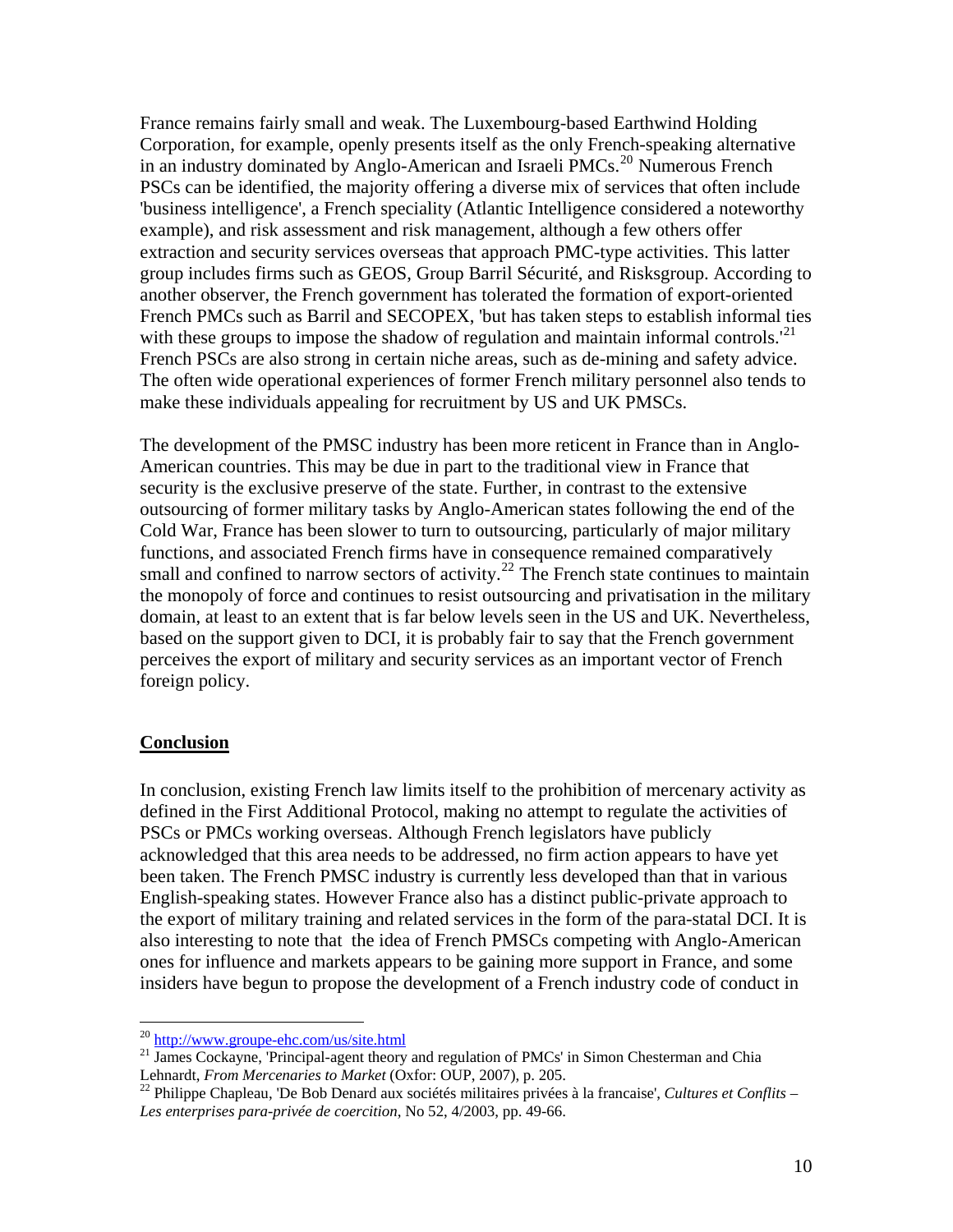<span id="page-9-0"></span>France remains fairly small and weak. The Luxembourg-based Earthwind Holding Corporation, for example, openly presents itself as the only French-speaking alternative in an industry dominated by Anglo-American and Israeli PMCs.<sup>[20](#page-9-1)</sup> Numerous French PSCs can be identified, the majority offering a diverse mix of services that often include 'business intelligence', a French speciality (Atlantic Intelligence considered a noteworthy example), and risk assessment and risk management, although a few others offer extraction and security services overseas that approach PMC-type activities. This latter group includes firms such as GEOS, Group Barril Sécurité, and Risksgroup. According to another observer, the French government has tolerated the formation of export-oriented French PMCs such as Barril and SECOPEX, 'but has taken steps to establish informal ties with these groups to impose the shadow of regulation and maintain informal controls.<sup>'[21](#page-9-2)</sup> French PSCs are also strong in certain niche areas, such as de-mining and safety advice. The often wide operational experiences of former French military personnel also tends to make these individuals appealing for recruitment by US and UK PMSCs.

The development of the PMSC industry has been more reticent in France than in Anglo-American countries. This may be due in part to the traditional view in France that security is the exclusive preserve of the state. Further, in contrast to the extensive outsourcing of former military tasks by Anglo-American states following the end of the Cold War, France has been slower to turn to outsourcing, particularly of major military functions, and associated French firms have in consequence remained comparatively small and confined to narrow sectors of activity.<sup>[22](#page-9-3)</sup> The French state continues to maintain the monopoly of force and continues to resist outsourcing and privatisation in the military domain, at least to an extent that is far below levels seen in the US and UK. Nevertheless, based on the support given to DCI, it is probably fair to say that the French government perceives the export of military and security services as an important vector of French foreign policy.

#### **Conclusion**

In conclusion, existing French law limits itself to the prohibition of mercenary activity as defined in the First Additional Protocol, making no attempt to regulate the activities of PSCs or PMCs working overseas. Although French legislators have publicly acknowledged that this area needs to be addressed, no firm action appears to have yet been taken. The French PMSC industry is currently less developed than that in various English-speaking states. However France also has a distinct public-private approach to the export of military training and related services in the form of the para-statal DCI. It is also interesting to note that the idea of French PMSCs competing with Anglo-American ones for influence and markets appears to be gaining more support in France, and some insiders have begun to propose the development of a French industry code of conduct in

 $^{20}$  http://www.groupe-ehc.com/us/site.html

<span id="page-9-2"></span><span id="page-9-1"></span><sup>&</sup>lt;sup>21</sup> James Cockayne, 'Principal-agent theory and regulation of PMCs' in Simon Chesterman and Chia<br>Lehnardt, *From Mercenaries to Market* (Oxfor: OUP, 2007), p. 205.

<span id="page-9-3"></span><sup>22</sup> Philippe Chapleau, 'De Bob Denard aux sociétés militaires privées à la francaise', *Cultures et Conflits – Les enterprises para-privée de coercition*, No 52, 4/2003, pp. 49-66.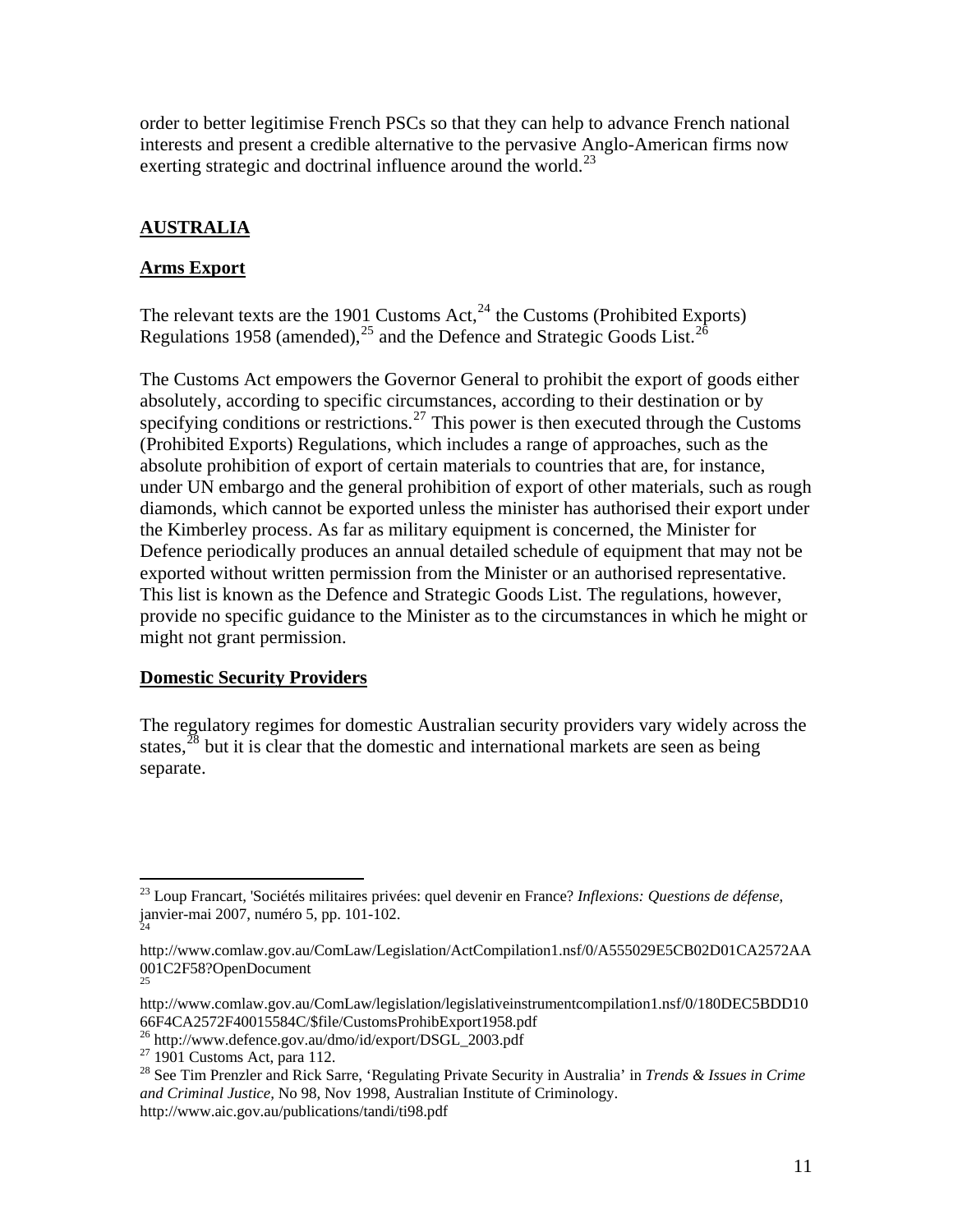<span id="page-10-0"></span>order to better legitimise French PSCs so that they can help to advance French national interests and present a credible alternative to the pervasive Anglo-American firms now exerting strategic and doctrinal influence around the world.<sup>[23](#page-10-1)</sup>

# **AUSTRALIA**

### **Arms Export**

The relevant texts are the 1901 Customs Act, $^{24}$  $^{24}$  $^{24}$  the Customs (Prohibited Exports) Regulations 1958 (amended),  $^{25}$  $^{25}$  $^{25}$  and the Defence and Strategic Goods List.<sup>[26](#page-10-4)</sup>

The Customs Act empowers the Governor General to prohibit the export of goods either absolutely, according to specific circumstances, according to their destination or by specifying conditions or restrictions.<sup>[27](#page-10-5)</sup> This power is then executed through the Customs (Prohibited Exports) Regulations, which includes a range of approaches, such as the absolute prohibition of export of certain materials to countries that are, for instance, under UN embargo and the general prohibition of export of other materials, such as rough diamonds, which cannot be exported unless the minister has authorised their export under the Kimberley process. As far as military equipment is concerned, the Minister for Defence periodically produces an annual detailed schedule of equipment that may not be exported without written permission from the Minister or an authorised representative. This list is known as the Defence and Strategic Goods List. The regulations, however, provide no specific guidance to the Minister as to the circumstances in which he might or might not grant permission.

### **Domestic Security Providers**

The regulatory regimes for domestic Australian security providers vary widely across the states,  $^{28}$  $^{28}$  $^{28}$  but it is clear that the domestic and international markets are seen as being separate.

<span id="page-10-1"></span> $\overline{a}$ 23 Loup Francart, 'Sociétés militaires privées: quel devenir en France? *Inflexions: Questions de défense*, janvier-mai 2007, numéro 5, pp. 101-102. 24

<span id="page-10-2"></span>http://www.comlaw.gov.au/ComLaw/Legislation/ActCompilation1.nsf/0/A555029E5CB02D01CA2572AA 001C2F58?OpenDocument 25

<span id="page-10-3"></span>http://www.comlaw.gov.au/ComLaw/legislation/legislativeinstrumentcompilation1.nsf/0/180DEC5BDD10 66F4CA2572F40015584C/\$file/CustomsProhibExport1958.pdf

<span id="page-10-5"></span><span id="page-10-4"></span><sup>&</sup>lt;sup>26</sup> http://www.defence.gov.au/dmo/id/export/DSGL\_2003.pdf  $^{27}$  1901 Customs Act, para 112.

<span id="page-10-6"></span><sup>28</sup> See Tim Prenzler and Rick Sarre, 'Regulating Private Security in Australia' in *Trends & Issues in Crime and Criminal Justice,* No 98, Nov 1998, Australian Institute of Criminology. http://www.aic.gov.au/publications/tandi/ti98.pdf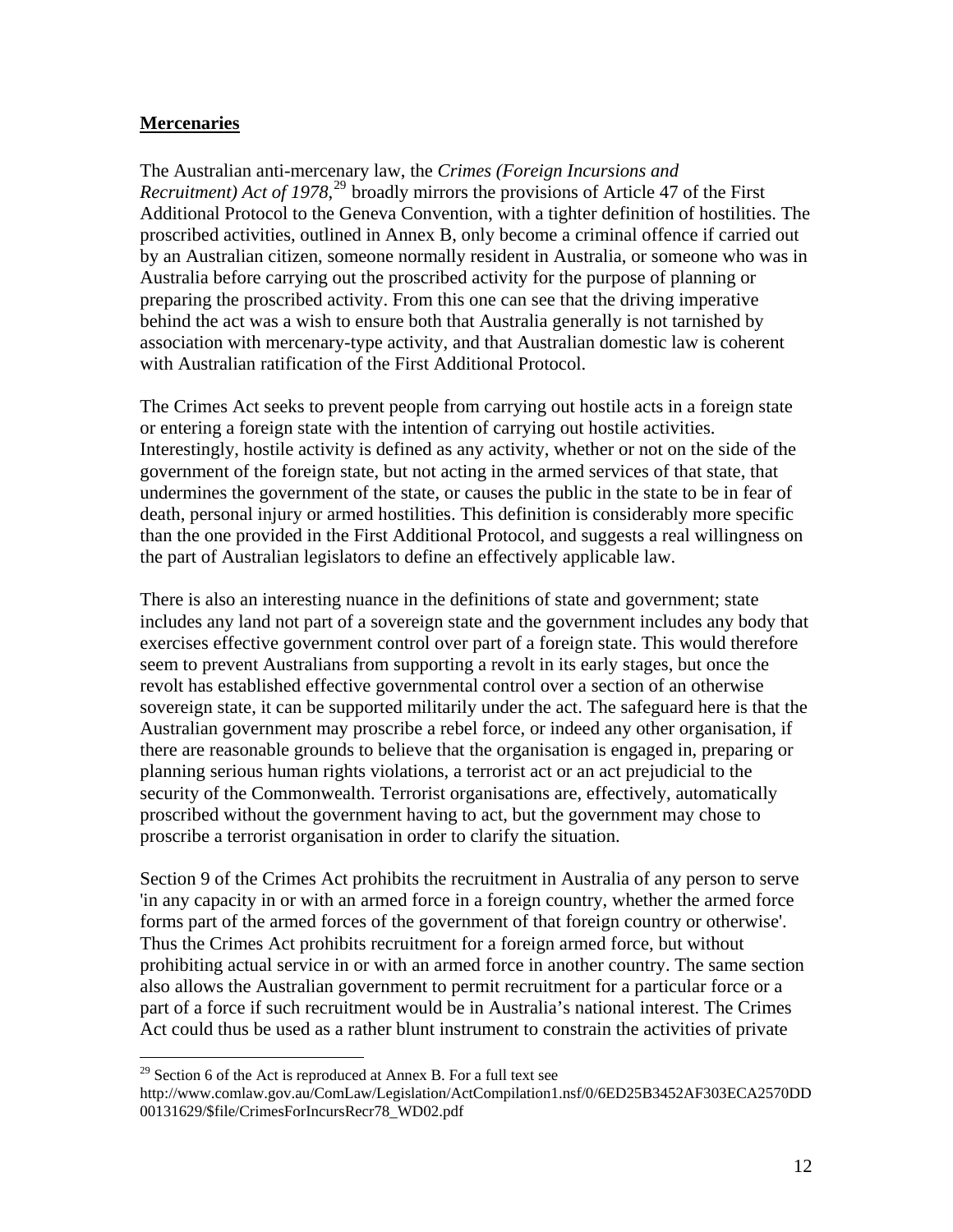### <span id="page-11-0"></span>**Mercenaries**

The Australian anti-mercenary law, the *Crimes (Foreign Incursions and Recruitment) Act of 1978*, [29](#page-11-1) broadly mirrors the provisions of Article 47 of the First Additional Protocol to the Geneva Convention, with a tighter definition of hostilities. The proscribed activities, outlined in Annex B, only become a criminal offence if carried out by an Australian citizen, someone normally resident in Australia, or someone who was in Australia before carrying out the proscribed activity for the purpose of planning or preparing the proscribed activity. From this one can see that the driving imperative behind the act was a wish to ensure both that Australia generally is not tarnished by association with mercenary-type activity, and that Australian domestic law is coherent with Australian ratification of the First Additional Protocol.

The Crimes Act seeks to prevent people from carrying out hostile acts in a foreign state or entering a foreign state with the intention of carrying out hostile activities. Interestingly, hostile activity is defined as any activity, whether or not on the side of the government of the foreign state, but not acting in the armed services of that state, that undermines the government of the state, or causes the public in the state to be in fear of death, personal injury or armed hostilities. This definition is considerably more specific than the one provided in the First Additional Protocol, and suggests a real willingness on the part of Australian legislators to define an effectively applicable law.

There is also an interesting nuance in the definitions of state and government; state includes any land not part of a sovereign state and the government includes any body that exercises effective government control over part of a foreign state. This would therefore seem to prevent Australians from supporting a revolt in its early stages, but once the revolt has established effective governmental control over a section of an otherwise sovereign state, it can be supported militarily under the act. The safeguard here is that the Australian government may proscribe a rebel force, or indeed any other organisation, if there are reasonable grounds to believe that the organisation is engaged in, preparing or planning serious human rights violations, a terrorist act or an act prejudicial to the security of the Commonwealth. Terrorist organisations are, effectively, automatically proscribed without the government having to act, but the government may chose to proscribe a terrorist organisation in order to clarify the situation.

Section 9 of the Crimes Act prohibits the recruitment in Australia of any person to serve 'in any capacity in or with an armed force in a foreign country, whether the armed force forms part of the armed forces of the government of that foreign country or otherwise'. Thus the Crimes Act prohibits recruitment for a foreign armed force, but without prohibiting actual service in or with an armed force in another country. The same section also allows the Australian government to permit recruitment for a particular force or a part of a force if such recruitment would be in Australia's national interest. The Crimes Act could thus be used as a rather blunt instrument to constrain the activities of private

<span id="page-11-1"></span> $29$  Section 6 of the Act is reproduced at Annex B. For a full text see

http://www.comlaw.gov.au/ComLaw/Legislation/ActCompilation1.nsf/0/6ED25B3452AF303ECA2570DD 00131629/\$file/CrimesForIncursRecr78\_WD02.pdf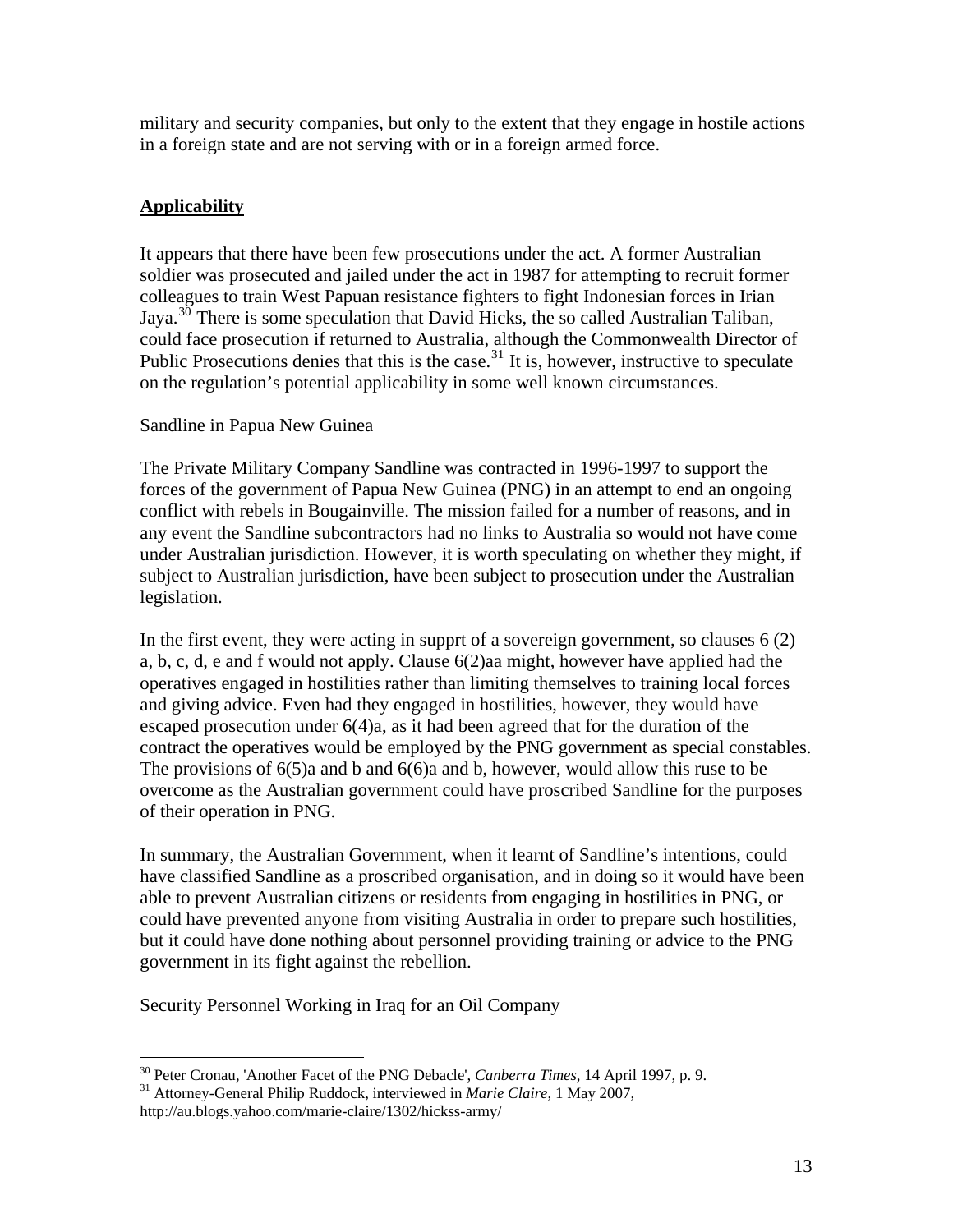<span id="page-12-0"></span>military and security companies, but only to the extent that they engage in hostile actions in a foreign state and are not serving with or in a foreign armed force.

# **Applicability**

It appears that there have been few prosecutions under the act. A former Australian soldier was prosecuted and jailed under the act in 1987 for attempting to recruit former colleagues to train West Papuan resistance fighters to fight Indonesian forces in Irian Jaya.<sup>[30](#page-12-1)</sup> There is some speculation that David Hicks, the so called Australian Taliban, could face prosecution if returned to Australia, although the Commonwealth Director of Public Prosecutions denies that this is the case.<sup>[31](#page-12-2)</sup> It is, however, instructive to speculate on the regulation's potential applicability in some well known circumstances.

### Sandline in Papua New Guinea

The Private Military Company Sandline was contracted in 1996-1997 to support the forces of the government of Papua New Guinea (PNG) in an attempt to end an ongoing conflict with rebels in Bougainville. The mission failed for a number of reasons, and in any event the Sandline subcontractors had no links to Australia so would not have come under Australian jurisdiction. However, it is worth speculating on whether they might, if subject to Australian jurisdiction, have been subject to prosecution under the Australian legislation.

In the first event, they were acting in supprt of a sovereign government, so clauses 6 (2) a, b, c, d, e and f would not apply. Clause 6(2)aa might, however have applied had the operatives engaged in hostilities rather than limiting themselves to training local forces and giving advice. Even had they engaged in hostilities, however, they would have escaped prosecution under 6(4)a, as it had been agreed that for the duration of the contract the operatives would be employed by the PNG government as special constables. The provisions of 6(5)a and b and 6(6)a and b, however, would allow this ruse to be overcome as the Australian government could have proscribed Sandline for the purposes of their operation in PNG.

In summary, the Australian Government, when it learnt of Sandline's intentions, could have classified Sandline as a proscribed organisation, and in doing so it would have been able to prevent Australian citizens or residents from engaging in hostilities in PNG, or could have prevented anyone from visiting Australia in order to prepare such hostilities, but it could have done nothing about personnel providing training or advice to the PNG government in its fight against the rebellion.

Security Personnel Working in Iraq for an Oil Company

<span id="page-12-1"></span> $\overline{a}$ <sup>30</sup> Peter Cronau, 'Another Facet of the PNG Debacle', *Canberra Times*, 14 April 1997, p. 9.<br><sup>31</sup> Attorney-General Philip Ruddock, interviewed in *Marie Claire*, 1 May 2007,

<span id="page-12-2"></span>http://au.blogs.yahoo.com/marie-claire/1302/hickss-army/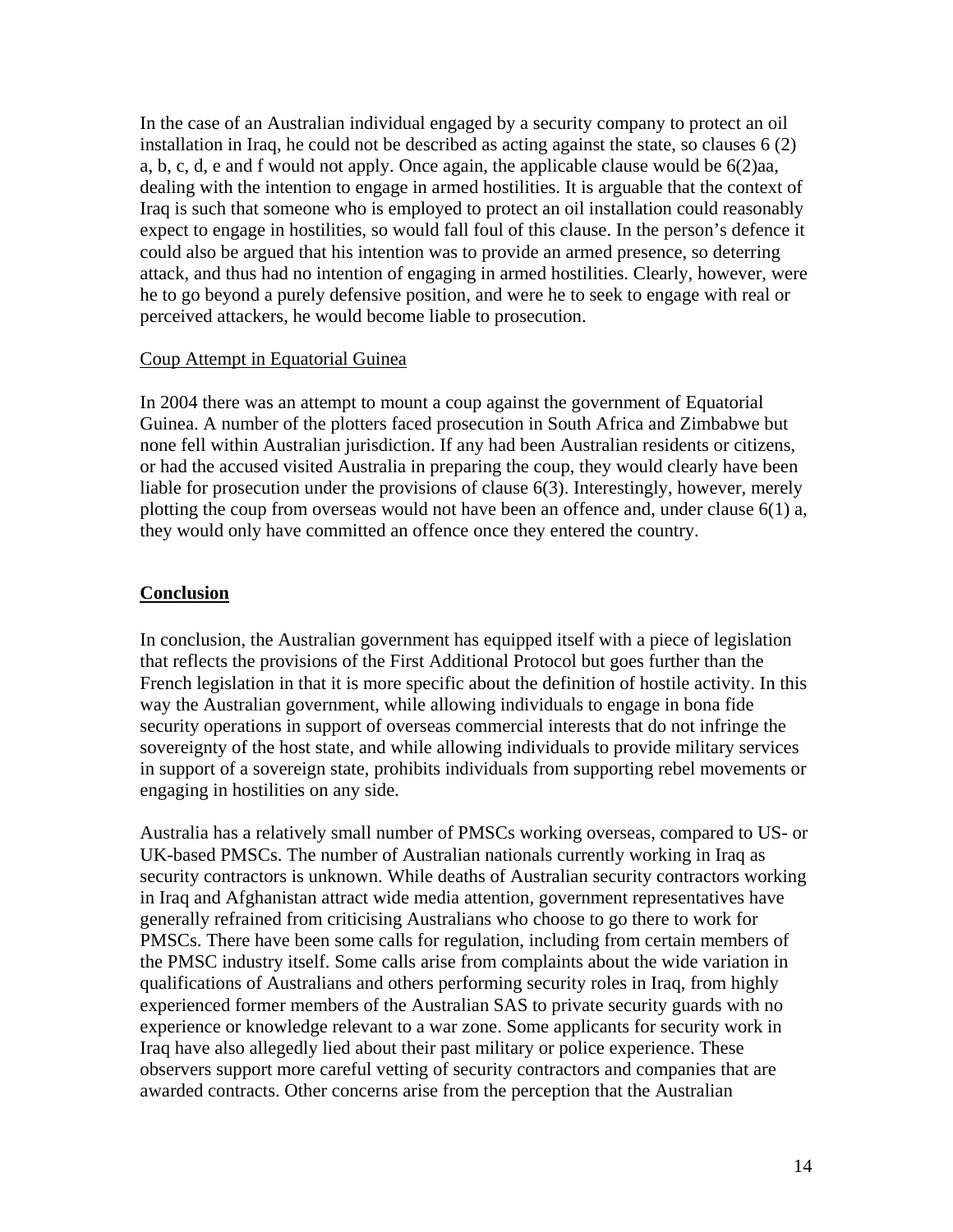<span id="page-13-0"></span>In the case of an Australian individual engaged by a security company to protect an oil installation in Iraq, he could not be described as acting against the state, so clauses 6 (2) a, b, c, d, e and f would not apply. Once again, the applicable clause would be 6(2)aa, dealing with the intention to engage in armed hostilities. It is arguable that the context of Iraq is such that someone who is employed to protect an oil installation could reasonably expect to engage in hostilities, so would fall foul of this clause. In the person's defence it could also be argued that his intention was to provide an armed presence, so deterring attack, and thus had no intention of engaging in armed hostilities. Clearly, however, were he to go beyond a purely defensive position, and were he to seek to engage with real or perceived attackers, he would become liable to prosecution.

#### Coup Attempt in Equatorial Guinea

In 2004 there was an attempt to mount a coup against the government of Equatorial Guinea. A number of the plotters faced prosecution in South Africa and Zimbabwe but none fell within Australian jurisdiction. If any had been Australian residents or citizens, or had the accused visited Australia in preparing the coup, they would clearly have been liable for prosecution under the provisions of clause 6(3). Interestingly, however, merely plotting the coup from overseas would not have been an offence and, under clause 6(1) a, they would only have committed an offence once they entered the country.

### **Conclusion**

In conclusion, the Australian government has equipped itself with a piece of legislation that reflects the provisions of the First Additional Protocol but goes further than the French legislation in that it is more specific about the definition of hostile activity. In this way the Australian government, while allowing individuals to engage in bona fide security operations in support of overseas commercial interests that do not infringe the sovereignty of the host state, and while allowing individuals to provide military services in support of a sovereign state, prohibits individuals from supporting rebel movements or engaging in hostilities on any side.

Australia has a relatively small number of PMSCs working overseas, compared to US- or UK-based PMSCs. The number of Australian nationals currently working in Iraq as security contractors is unknown. While deaths of Australian security contractors working in Iraq and Afghanistan attract wide media attention, government representatives have generally refrained from criticising Australians who choose to go there to work for PMSCs. There have been some calls for regulation, including from certain members of the PMSC industry itself. Some calls arise from complaints about the wide variation in qualifications of Australians and others performing security roles in Iraq, from highly experienced former members of the Australian SAS to private security guards with no experience or knowledge relevant to a war zone. Some applicants for security work in Iraq have also allegedly lied about their past military or police experience. These observers support more careful vetting of security contractors and companies that are awarded contracts. Other concerns arise from the perception that the Australian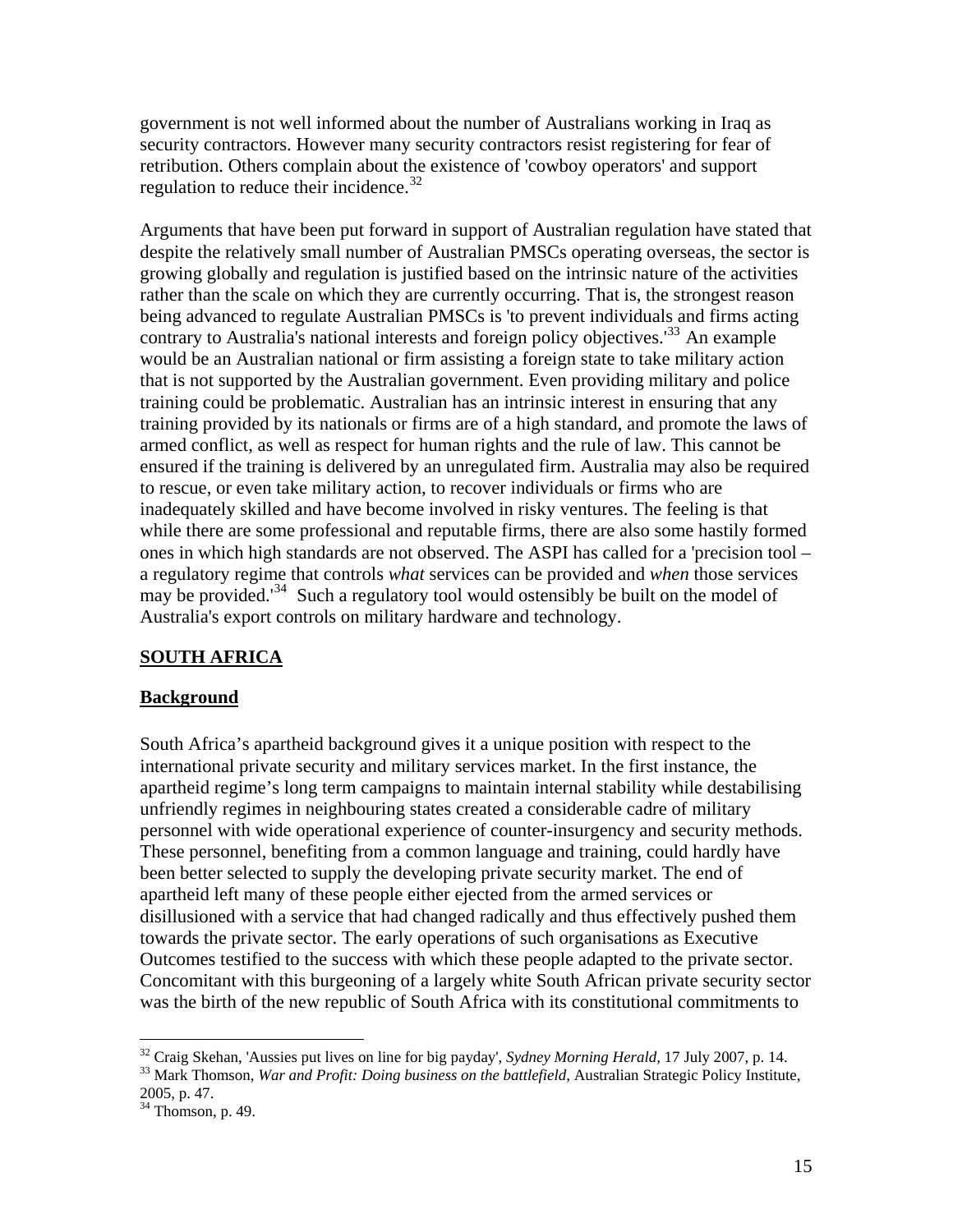<span id="page-14-0"></span>government is not well informed about the number of Australians working in Iraq as security contractors. However many security contractors resist registering for fear of retribution. Others complain about the existence of 'cowboy operators' and support regulation to reduce their incidence. $32$ 

Arguments that have been put forward in support of Australian regulation have stated that despite the relatively small number of Australian PMSCs operating overseas, the sector is growing globally and regulation is justified based on the intrinsic nature of the activities rather than the scale on which they are currently occurring. That is, the strongest reason being advanced to regulate Australian PMSCs is 'to prevent individuals and firms acting contrary to Australia's national interests and foreign policy objectives.<sup>[33](#page-14-2)</sup> An example would be an Australian national or firm assisting a foreign state to take military action that is not supported by the Australian government. Even providing military and police training could be problematic. Australian has an intrinsic interest in ensuring that any training provided by its nationals or firms are of a high standard, and promote the laws of armed conflict, as well as respect for human rights and the rule of law. This cannot be ensured if the training is delivered by an unregulated firm. Australia may also be required to rescue, or even take military action, to recover individuals or firms who are inadequately skilled and have become involved in risky ventures. The feeling is that while there are some professional and reputable firms, there are also some hastily formed ones in which high standards are not observed. The ASPI has called for a 'precision tool – a regulatory regime that controls *what* services can be provided and *when* those services may be provided.<sup>[34](#page-14-3)</sup> Such a regulatory tool would ostensibly be built on the model of Australia's export controls on military hardware and technology.

### **SOUTH AFRICA**

#### **Background**

South Africa's apartheid background gives it a unique position with respect to the international private security and military services market. In the first instance, the apartheid regime's long term campaigns to maintain internal stability while destabilising unfriendly regimes in neighbouring states created a considerable cadre of military personnel with wide operational experience of counter-insurgency and security methods. These personnel, benefiting from a common language and training, could hardly have been better selected to supply the developing private security market. The end of apartheid left many of these people either ejected from the armed services or disillusioned with a service that had changed radically and thus effectively pushed them towards the private sector. The early operations of such organisations as Executive Outcomes testified to the success with which these people adapted to the private sector. Concomitant with this burgeoning of a largely white South African private security sector was the birth of the new republic of South Africa with its constitutional commitments to

<span id="page-14-2"></span><span id="page-14-1"></span> $32$  Craig Skehan, 'Aussies put lives on line for big payday', *Sydney Morning Herald*, 17 July 2007, p. 14.<br><sup>33</sup> Mark Thomson, *War and Profit: Doing business on the battlefield*, Australian Strategic Policy Institute,

<sup>2005,</sup> p. 47.

<span id="page-14-3"></span> $34$  Thomson, p. 49.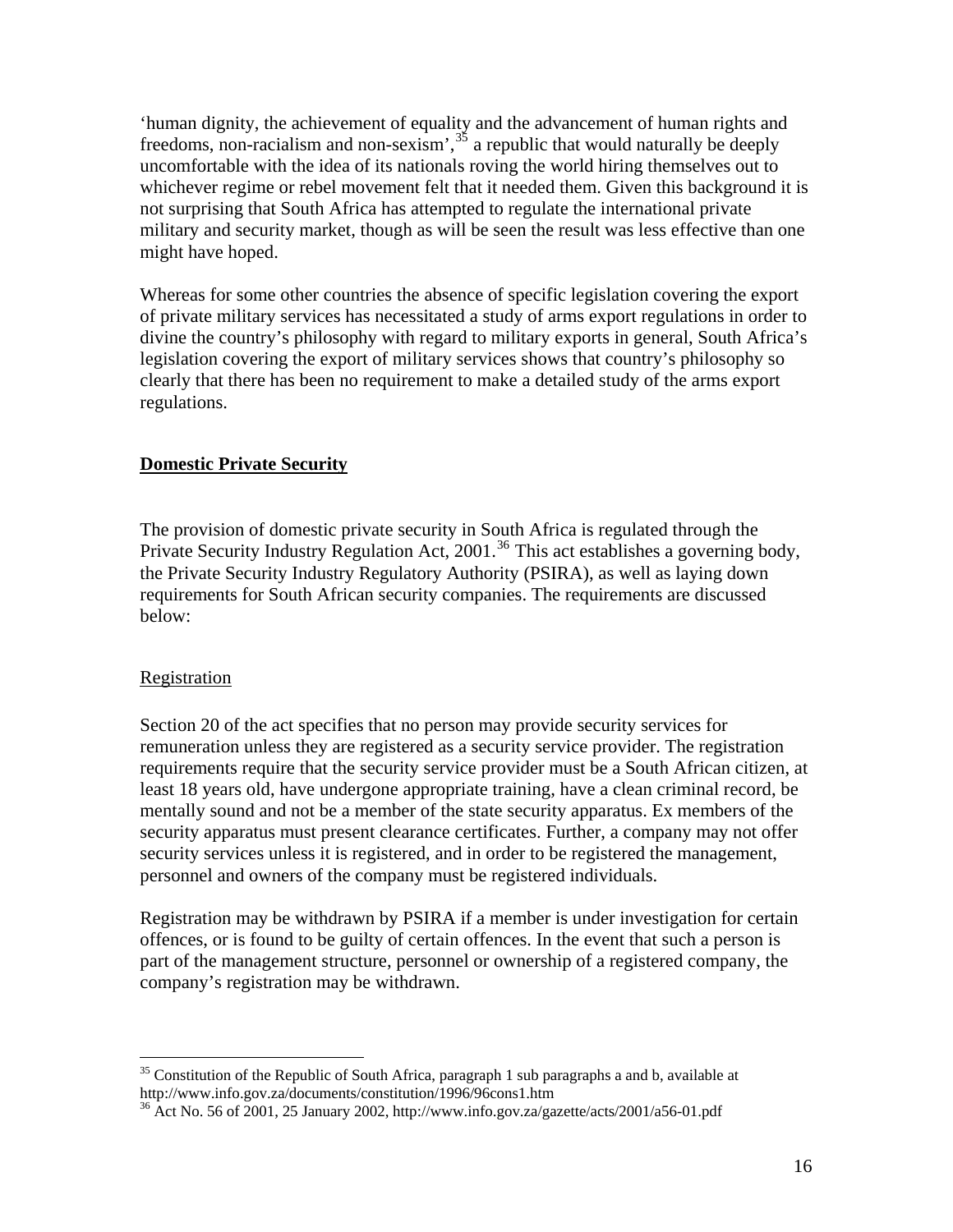<span id="page-15-0"></span>'human dignity, the achievement of equality and the advancement of human rights and freedoms, non-racialism and non-sexism',  $35$  a republic that would naturally be deeply uncomfortable with the idea of its nationals roving the world hiring themselves out to whichever regime or rebel movement felt that it needed them. Given this background it is not surprising that South Africa has attempted to regulate the international private military and security market, though as will be seen the result was less effective than one might have hoped.

Whereas for some other countries the absence of specific legislation covering the export of private military services has necessitated a study of arms export regulations in order to divine the country's philosophy with regard to military exports in general, South Africa's legislation covering the export of military services shows that country's philosophy so clearly that there has been no requirement to make a detailed study of the arms export regulations.

### **Domestic Private Security**

The provision of domestic private security in South Africa is regulated through the Private Security Industry Regulation Act, 2001.<sup>[36](#page-15-2)</sup> This act establishes a governing body, the Private Security Industry Regulatory Authority (PSIRA), as well as laying down requirements for South African security companies. The requirements are discussed below:

### Registration

Section 20 of the act specifies that no person may provide security services for remuneration unless they are registered as a security service provider. The registration requirements require that the security service provider must be a South African citizen, at least 18 years old, have undergone appropriate training, have a clean criminal record, be mentally sound and not be a member of the state security apparatus. Ex members of the security apparatus must present clearance certificates. Further, a company may not offer security services unless it is registered, and in order to be registered the management, personnel and owners of the company must be registered individuals.

Registration may be withdrawn by PSIRA if a member is under investigation for certain offences, or is found to be guilty of certain offences. In the event that such a person is part of the management structure, personnel or ownership of a registered company, the company's registration may be withdrawn.

<span id="page-15-1"></span> $\overline{a}$  $35$  Constitution of the Republic of South Africa, paragraph 1 sub paragraphs a and b, available at http://www.info.gov.za/documents/constitution/1996/96cons1.htm

<span id="page-15-2"></span><sup>&</sup>lt;sup>36</sup> Act No. 56 of 2001, 25 January 2002, http://www.info.gov.za/gazette/acts/2001/a56-01.pdf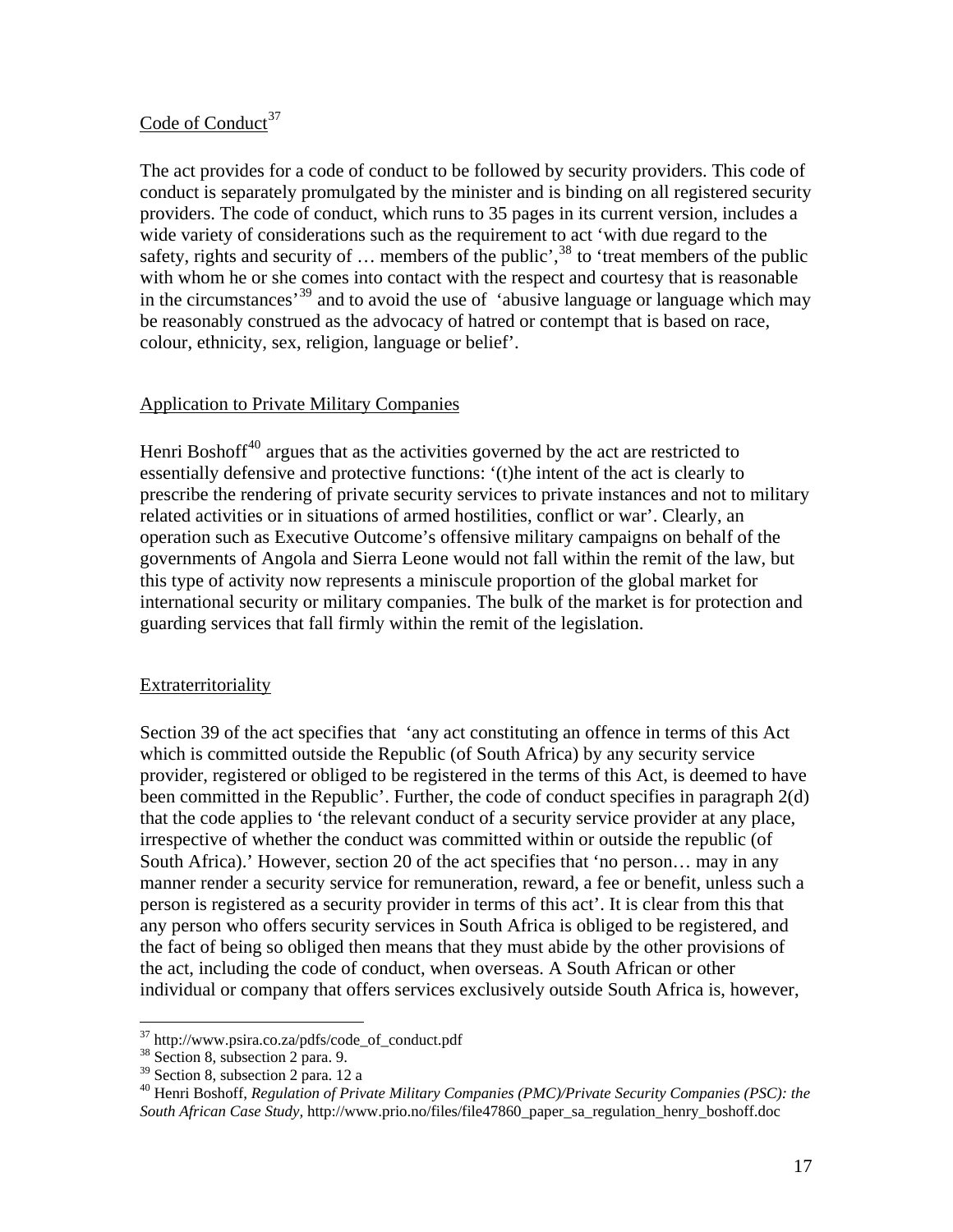### <span id="page-16-0"></span>Code of Conduct<sup>[37](#page-16-1)</sup>

The act provides for a code of conduct to be followed by security providers. This code of conduct is separately promulgated by the minister and is binding on all registered security providers. The code of conduct, which runs to 35 pages in its current version, includes a wide variety of considerations such as the requirement to act 'with due regard to the safety, rights and security of  $\ldots$  members of the public',<sup>[38](#page-16-2)</sup> to 'treat members of the public' with whom he or she comes into contact with the respect and courtesy that is reasonable in the circumstances<sup>[39](#page-16-3)</sup> and to avoid the use of 'abusive language or language which may be reasonably construed as the advocacy of hatred or contempt that is based on race, colour, ethnicity, sex, religion, language or belief'.

### Application to Private Military Companies

Henri Boshoff $40$  argues that as the activities governed by the act are restricted to essentially defensive and protective functions: '(t)he intent of the act is clearly to prescribe the rendering of private security services to private instances and not to military related activities or in situations of armed hostilities, conflict or war'. Clearly, an operation such as Executive Outcome's offensive military campaigns on behalf of the governments of Angola and Sierra Leone would not fall within the remit of the law, but this type of activity now represents a miniscule proportion of the global market for international security or military companies. The bulk of the market is for protection and guarding services that fall firmly within the remit of the legislation.

### Extraterritoriality

Section 39 of the act specifies that 'any act constituting an offence in terms of this Act which is committed outside the Republic (of South Africa) by any security service provider, registered or obliged to be registered in the terms of this Act, is deemed to have been committed in the Republic'. Further, the code of conduct specifies in paragraph 2(d) that the code applies to 'the relevant conduct of a security service provider at any place, irrespective of whether the conduct was committed within or outside the republic (of South Africa).' However, section 20 of the act specifies that 'no person… may in any manner render a security service for remuneration, reward, a fee or benefit, unless such a person is registered as a security provider in terms of this act'. It is clear from this that any person who offers security services in South Africa is obliged to be registered, and the fact of being so obliged then means that they must abide by the other provisions of the act, including the code of conduct, when overseas. A South African or other individual or company that offers services exclusively outside South Africa is, however,

<sup>&</sup>lt;sup>37</sup> http://www.psira.co.za/pdfs/code\_of\_conduct.pdf

<span id="page-16-2"></span><span id="page-16-1"></span> $38$  Section 8, subsection 2 para. 9.

<span id="page-16-3"></span> $39$  Section 8, subsection 2 para. 12 a

<span id="page-16-4"></span><sup>40</sup> Henri Boshoff, *Regulation of Private Military Companies (PMC)/Private Security Companies (PSC): the South African Case Study,* http://www.prio.no/files/file47860\_paper\_sa\_regulation\_henry\_boshoff.doc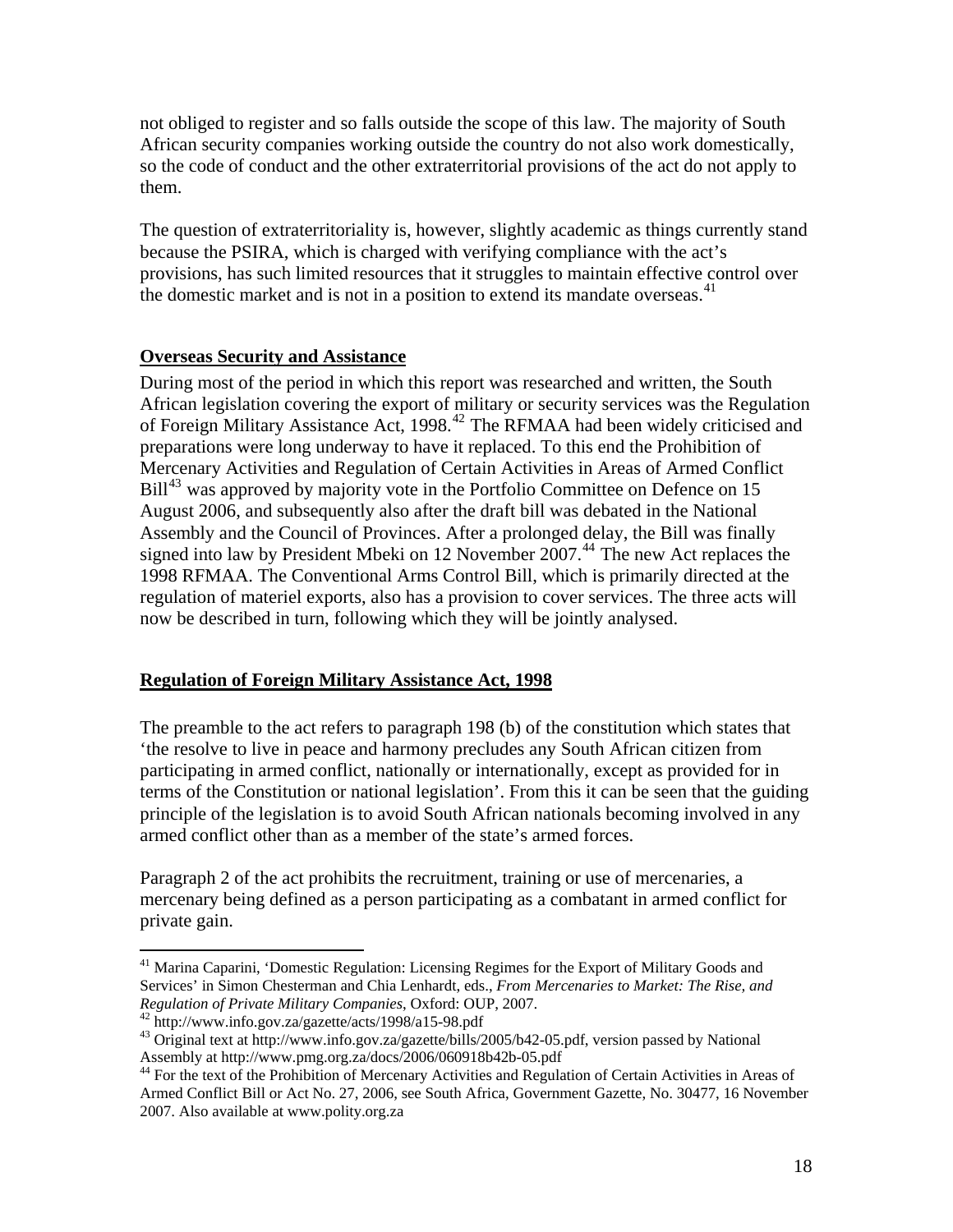<span id="page-17-0"></span>not obliged to register and so falls outside the scope of this law. The majority of South African security companies working outside the country do not also work domestically, so the code of conduct and the other extraterritorial provisions of the act do not apply to them.

The question of extraterritoriality is, however, slightly academic as things currently stand because the PSIRA, which is charged with verifying compliance with the act's provisions, has such limited resources that it struggles to maintain effective control over the domestic market and is not in a position to extend its mandate overseas.<sup>[41](#page-17-1)</sup>

### **Overseas Security and Assistance**

During most of the period in which this report was researched and written, the South African legislation covering the export of military or security services was the Regulation of Foreign Military Assistance Act, 1998.<sup>[42](#page-17-2)</sup> The RFMAA had been widely criticised and preparations were long underway to have it replaced. To this end the Prohibition of Mercenary Activities and Regulation of Certain Activities in Areas of Armed Conflict  $Bill<sup>43</sup>$  $Bill<sup>43</sup>$  $Bill<sup>43</sup>$  was approved by majority vote in the Portfolio Committee on Defence on 15 August 2006, and subsequently also after the draft bill was debated in the National Assembly and the Council of Provinces. After a prolonged delay, the Bill was finally signed into law by President Mbeki on 12 November 2007.<sup>[44](#page-17-4)</sup> The new Act replaces the 1998 RFMAA. The Conventional Arms Control Bill, which is primarily directed at the regulation of materiel exports, also has a provision to cover services. The three acts will now be described in turn, following which they will be jointly analysed.

### **Regulation of Foreign Military Assistance Act, 1998**

The preamble to the act refers to paragraph 198 (b) of the constitution which states that 'the resolve to live in peace and harmony precludes any South African citizen from participating in armed conflict, nationally or internationally, except as provided for in terms of the Constitution or national legislation'. From this it can be seen that the guiding principle of the legislation is to avoid South African nationals becoming involved in any armed conflict other than as a member of the state's armed forces.

Paragraph 2 of the act prohibits the recruitment, training or use of mercenaries, a mercenary being defined as a person participating as a combatant in armed conflict for private gain.

<span id="page-17-1"></span><sup>&</sup>lt;sup>41</sup> Marina Caparini, 'Domestic Regulation: Licensing Regimes for the Export of Military Goods and Services' in Simon Chesterman and Chia Lenhardt, eds., *From Mercenaries to Market: The Rise, and Regulation of Private Military Companies*, Oxford: OUP, 2007.<br><sup>42</sup> http://www.info.gov.za/gazette/acts/1998/a15-98.pdf<br><sup>43</sup> Original text at [http://www.info.gov.za/gazette/bills/2005/b42-05.pdf,](http://www.info.gov.za/gazette/bills/2005/b42-05.pdf) version passed by National

<span id="page-17-2"></span>

<span id="page-17-3"></span>Assembly at http://www.pmg.org.za/docs/2006/060918b42b-05.pdf

<span id="page-17-4"></span><sup>&</sup>lt;sup>44</sup> For the text of the Prohibition of Mercenary Activities and Regulation of Certain Activities in Areas of Armed Conflict Bill or Act No. 27, 2006, see South Africa, Government Gazette, No. 30477, 16 November 2007. Also available at www.polity.org.za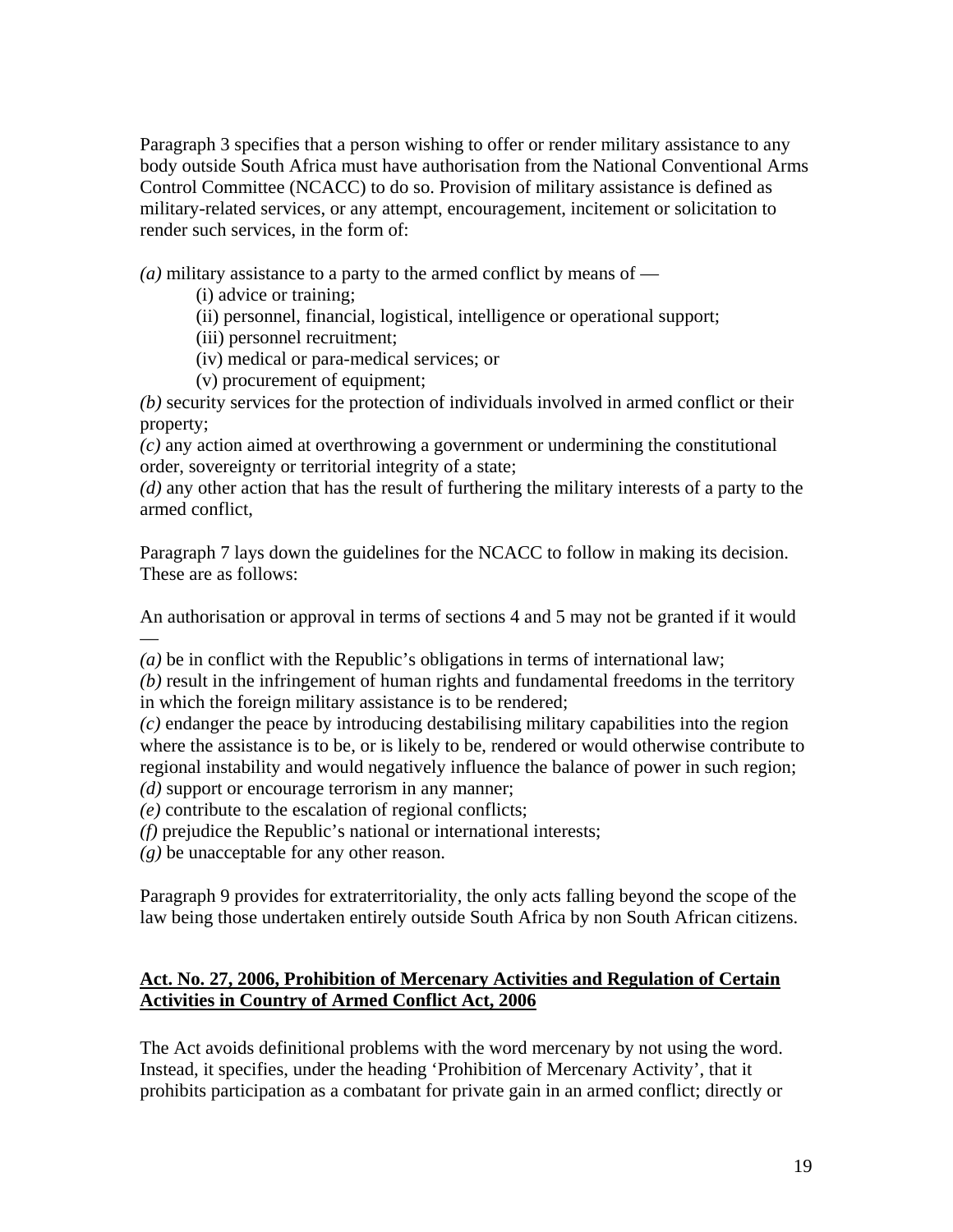<span id="page-18-0"></span>Paragraph 3 specifies that a person wishing to offer or render military assistance to any body outside South Africa must have authorisation from the National Conventional Arms Control Committee (NCACC) to do so. Provision of military assistance is defined as military-related services, or any attempt, encouragement, incitement or solicitation to render such services, in the form of:

 $(a)$  military assistance to a party to the armed conflict by means of —

- (i) advice or training;
- (ii) personnel, financial, logistical, intelligence or operational support;
- (iii) personnel recruitment;
- (iv) medical or para-medical services; or
- (v) procurement of equipment;

*(b)* security services for the protection of individuals involved in armed conflict or their property;

*(c)* any action aimed at overthrowing a government or undermining the constitutional order, sovereignty or territorial integrity of a state;

*(d)* any other action that has the result of furthering the military interests of a party to the armed conflict,

Paragraph 7 lays down the guidelines for the NCACC to follow in making its decision. These are as follows:

An authorisation or approval in terms of sections 4 and 5 may not be granted if it would —

*(a)* be in conflict with the Republic's obligations in terms of international law;

*(b)* result in the infringement of human rights and fundamental freedoms in the territory in which the foreign military assistance is to be rendered;

*(c)* endanger the peace by introducing destabilising military capabilities into the region where the assistance is to be, or is likely to be, rendered or would otherwise contribute to regional instability and would negatively influence the balance of power in such region; *(d)* support or encourage terrorism in any manner;

*(e)* contribute to the escalation of regional conflicts;

*(f)* prejudice the Republic's national or international interests;

*(g)* be unacceptable for any other reason.

Paragraph 9 provides for extraterritoriality, the only acts falling beyond the scope of the law being those undertaken entirely outside South Africa by non South African citizens.

# **Act. No. 27, 2006, Prohibition of Mercenary Activities and Regulation of Certain Activities in Country of Armed Conflict Act, 2006**

The Act avoids definitional problems with the word mercenary by not using the word. Instead, it specifies, under the heading 'Prohibition of Mercenary Activity', that it prohibits participation as a combatant for private gain in an armed conflict; directly or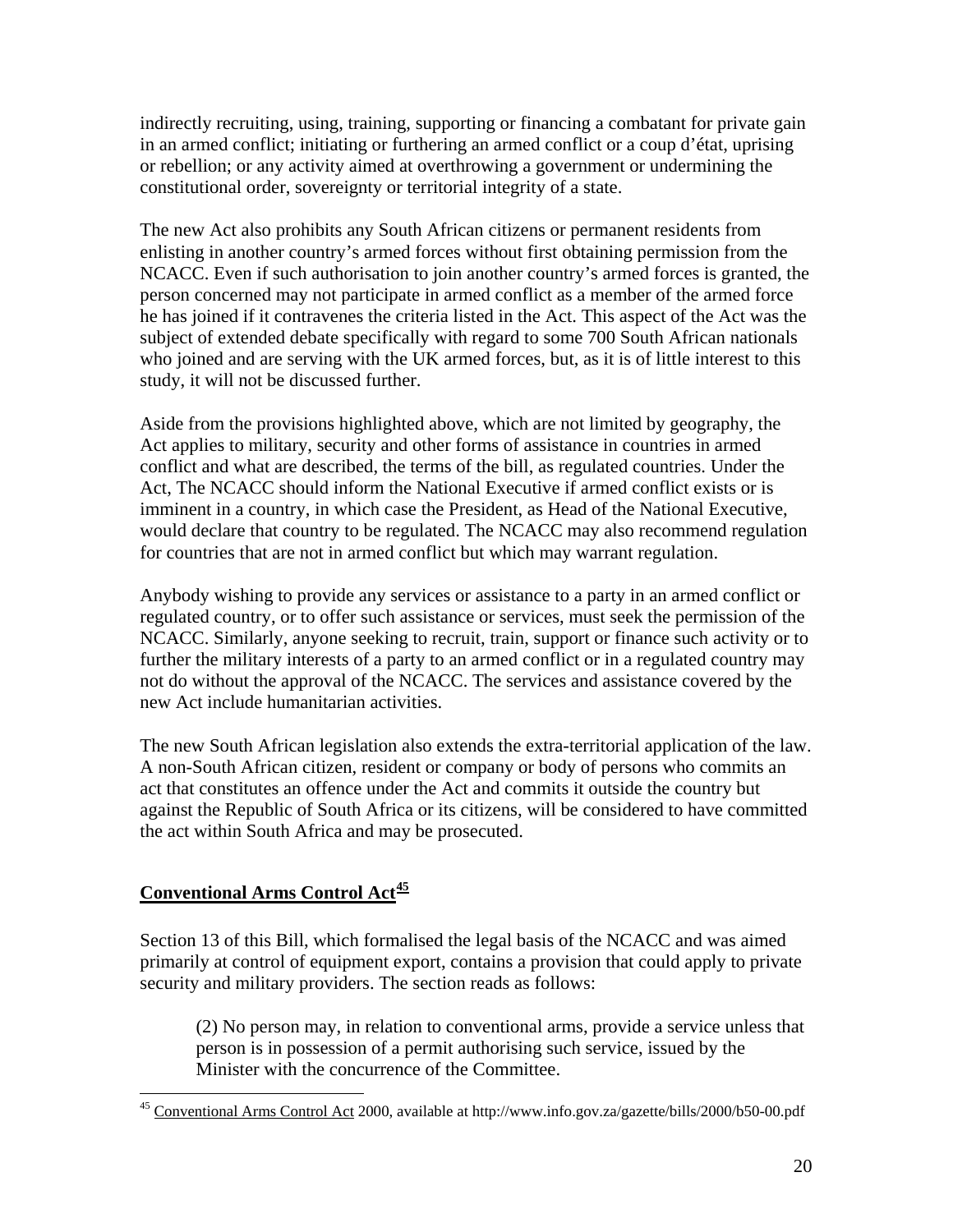indirectly recruiting, using, training, supporting or financing a combatant for private gain in an armed conflict; initiating or furthering an armed conflict or a coup d'état, uprising or rebellion; or any activity aimed at overthrowing a government or undermining the constitutional order, sovereignty or territorial integrity of a state.

The new Act also prohibits any South African citizens or permanent residents from enlisting in another country's armed forces without first obtaining permission from the NCACC. Even if such authorisation to join another country's armed forces is granted, the person concerned may not participate in armed conflict as a member of the armed force he has joined if it contravenes the criteria listed in the Act. This aspect of the Act was the subject of extended debate specifically with regard to some 700 South African nationals who joined and are serving with the UK armed forces, but, as it is of little interest to this study, it will not be discussed further.

Aside from the provisions highlighted above, which are not limited by geography, the Act applies to military, security and other forms of assistance in countries in armed conflict and what are described, the terms of the bill, as regulated countries. Under the Act, The NCACC should inform the National Executive if armed conflict exists or is imminent in a country, in which case the President, as Head of the National Executive, would declare that country to be regulated. The NCACC may also recommend regulation for countries that are not in armed conflict but which may warrant regulation.

Anybody wishing to provide any services or assistance to a party in an armed conflict or regulated country, or to offer such assistance or services, must seek the permission of the NCACC. Similarly, anyone seeking to recruit, train, support or finance such activity or to further the military interests of a party to an armed conflict or in a regulated country may not do without the approval of the NCACC. The services and assistance covered by the new Act include humanitarian activities.

The new South African legislation also extends the extra-territorial application of the law. A non-South African citizen, resident or company or body of persons who commits an act that constitutes an offence under the Act and commits it outside the country but against the Republic of South Africa or its citizens, will be considered to have committed the act within South Africa and may be prosecuted.

# **Conventional Arms Control Act[45](#page-19-0)**

 $\overline{a}$ 

Section 13 of this Bill, which formalised the legal basis of the NCACC and was aimed primarily at control of equipment export, contains a provision that could apply to private security and military providers. The section reads as follows:

(2) No person may, in relation to conventional arms, provide a service unless that person is in possession of a permit authorising such service, issued by the Minister with the concurrence of the Committee.

<span id="page-19-0"></span><sup>&</sup>lt;sup>45</sup> Conventional Arms Control Act 2000, available at http://www.info.gov.za/gazette/bills/2000/b50-00.pdf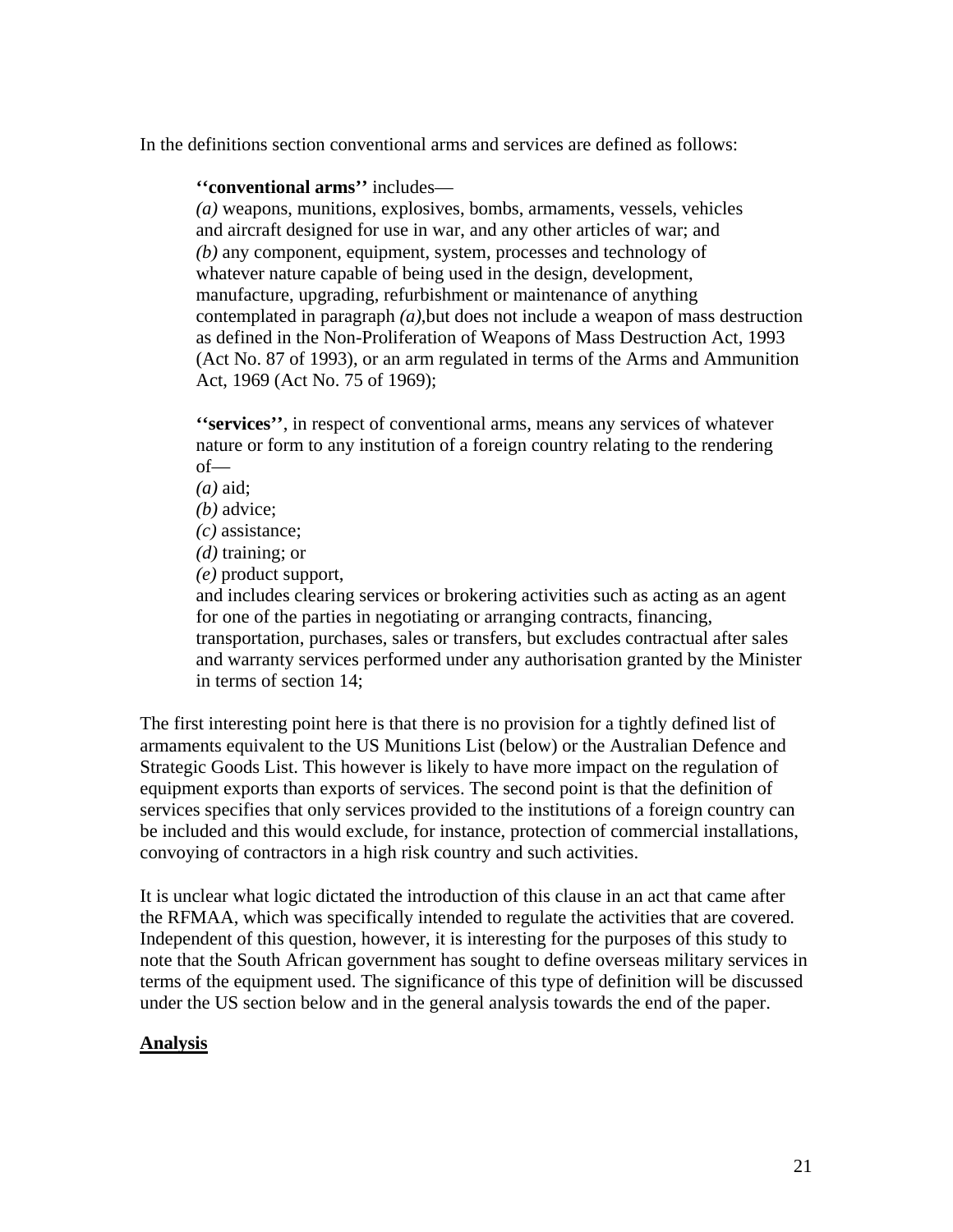<span id="page-20-0"></span>In the definitions section conventional arms and services are defined as follows:

**''conventional arms''** includes—

*(a)* weapons, munitions, explosives, bombs, armaments, vessels, vehicles and aircraft designed for use in war, and any other articles of war; and *(b)* any component, equipment, system, processes and technology of whatever nature capable of being used in the design, development, manufacture, upgrading, refurbishment or maintenance of anything contemplated in paragraph *(a)*,but does not include a weapon of mass destruction as defined in the Non-Proliferation of Weapons of Mass Destruction Act, 1993 (Act No. 87 of 1993), or an arm regulated in terms of the Arms and Ammunition Act, 1969 (Act No. 75 of 1969);

**''services''**, in respect of conventional arms, means any services of whatever nature or form to any institution of a foreign country relating to the rendering of—

*(a)* aid;

*(b)* advice;

*(c)* assistance;

*(d)* training; or

*(e)* product support,

and includes clearing services or brokering activities such as acting as an agent for one of the parties in negotiating or arranging contracts, financing, transportation, purchases, sales or transfers, but excludes contractual after sales and warranty services performed under any authorisation granted by the Minister in terms of section 14;

The first interesting point here is that there is no provision for a tightly defined list of armaments equivalent to the US Munitions List (below) or the Australian Defence and Strategic Goods List. This however is likely to have more impact on the regulation of equipment exports than exports of services. The second point is that the definition of services specifies that only services provided to the institutions of a foreign country can be included and this would exclude, for instance, protection of commercial installations, convoying of contractors in a high risk country and such activities.

It is unclear what logic dictated the introduction of this clause in an act that came after the RFMAA, which was specifically intended to regulate the activities that are covered. Independent of this question, however, it is interesting for the purposes of this study to note that the South African government has sought to define overseas military services in terms of the equipment used. The significance of this type of definition will be discussed under the US section below and in the general analysis towards the end of the paper.

### **Analysis**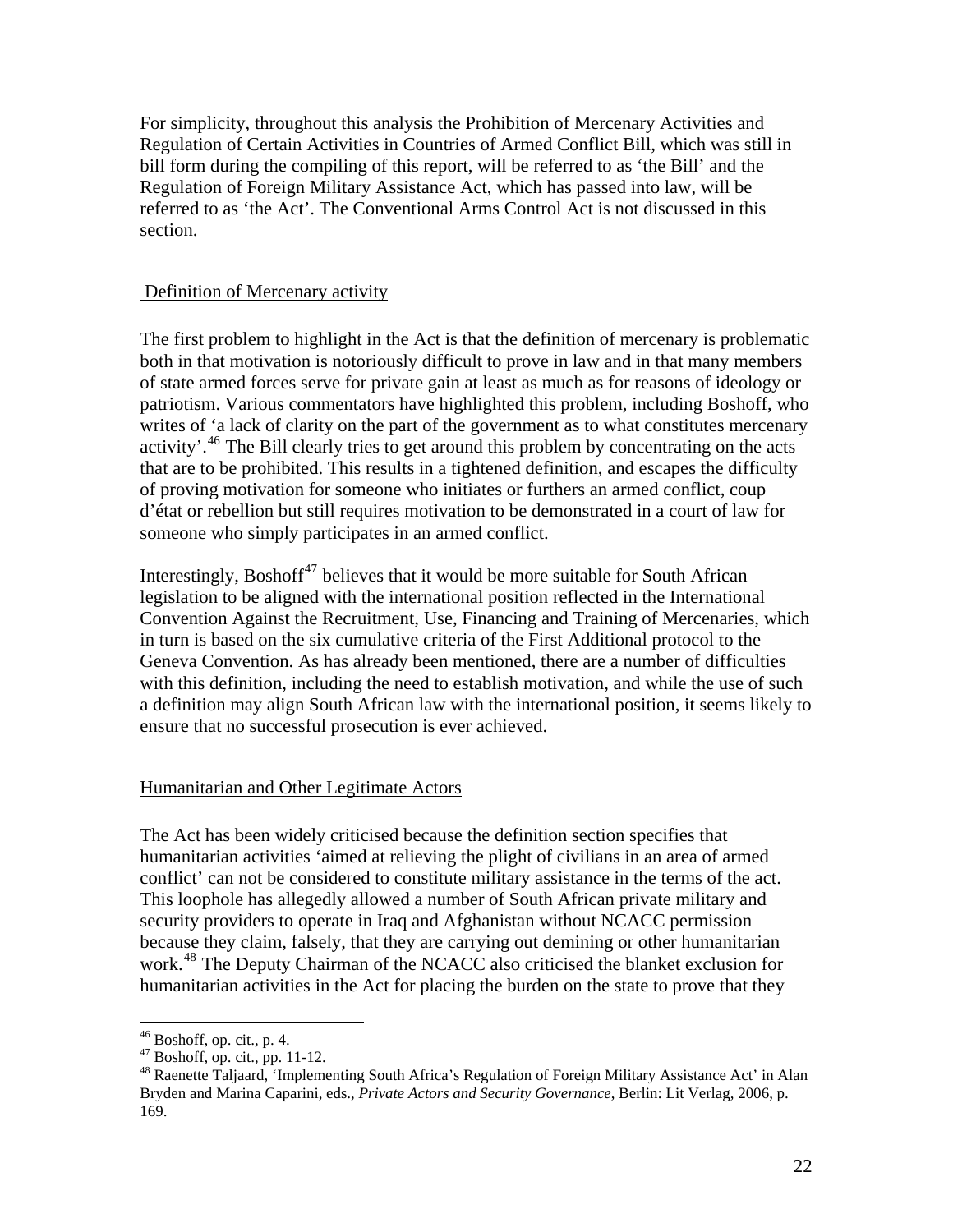<span id="page-21-0"></span>For simplicity, throughout this analysis the Prohibition of Mercenary Activities and Regulation of Certain Activities in Countries of Armed Conflict Bill, which was still in bill form during the compiling of this report, will be referred to as 'the Bill' and the Regulation of Foreign Military Assistance Act, which has passed into law, will be referred to as 'the Act'. The Conventional Arms Control Act is not discussed in this section.

### Definition of Mercenary activity

The first problem to highlight in the Act is that the definition of mercenary is problematic both in that motivation is notoriously difficult to prove in law and in that many members of state armed forces serve for private gain at least as much as for reasons of ideology or patriotism. Various commentators have highlighted this problem, including Boshoff, who writes of 'a lack of clarity on the part of the government as to what constitutes mercenary activity'.<sup>[46](#page-21-1)</sup> The Bill clearly tries to get around this problem by concentrating on the acts that are to be prohibited. This results in a tightened definition, and escapes the difficulty of proving motivation for someone who initiates or furthers an armed conflict, coup d'état or rebellion but still requires motivation to be demonstrated in a court of law for someone who simply participates in an armed conflict.

Interestingly, Boshoff $47$  believes that it would be more suitable for South African legislation to be aligned with the international position reflected in the International Convention Against the Recruitment, Use, Financing and Training of Mercenaries, which in turn is based on the six cumulative criteria of the First Additional protocol to the Geneva Convention. As has already been mentioned, there are a number of difficulties with this definition, including the need to establish motivation, and while the use of such a definition may align South African law with the international position, it seems likely to ensure that no successful prosecution is ever achieved.

### Humanitarian and Other Legitimate Actors

The Act has been widely criticised because the definition section specifies that humanitarian activities 'aimed at relieving the plight of civilians in an area of armed conflict' can not be considered to constitute military assistance in the terms of the act. This loophole has allegedly allowed a number of South African private military and security providers to operate in Iraq and Afghanistan without NCACC permission because they claim, falsely, that they are carrying out demining or other humanitarian work.<sup>[48](#page-21-3)</sup> The Deputy Chairman of the NCACC also criticised the blanket exclusion for humanitarian activities in the Act for placing the burden on the state to prove that they

 $46$  Boshoff, op. cit., p. 4.

<span id="page-21-2"></span><span id="page-21-1"></span><sup>47</sup> Boshoff, op. cit., pp. 11-12.

<span id="page-21-3"></span><sup>48</sup> Raenette Taljaard, 'Implementing South Africa's Regulation of Foreign Military Assistance Act' in Alan Bryden and Marina Caparini, eds., *Private Actors and Security Governance*, Berlin: Lit Verlag, 2006, p. 169.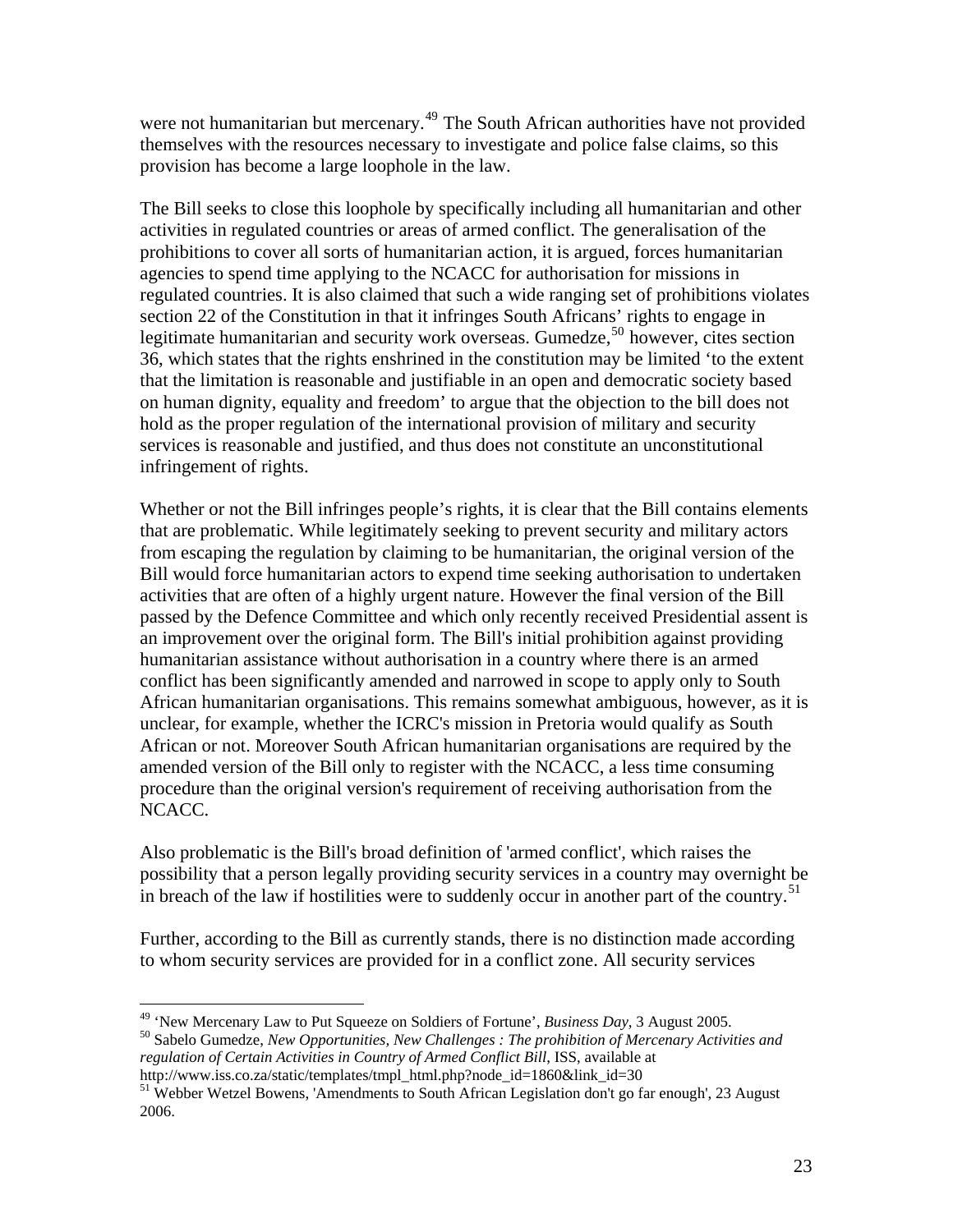were not humanitarian but mercenary.<sup>[49](#page-22-0)</sup> The South African authorities have not provided themselves with the resources necessary to investigate and police false claims, so this provision has become a large loophole in the law.

The Bill seeks to close this loophole by specifically including all humanitarian and other activities in regulated countries or areas of armed conflict. The generalisation of the prohibitions to cover all sorts of humanitarian action, it is argued, forces humanitarian agencies to spend time applying to the NCACC for authorisation for missions in regulated countries. It is also claimed that such a wide ranging set of prohibitions violates section 22 of the Constitution in that it infringes South Africans' rights to engage in legitimate humanitarian and security work overseas. Gumedze,<sup>[50](#page-22-1)</sup> however, cites section 36, which states that the rights enshrined in the constitution may be limited 'to the extent that the limitation is reasonable and justifiable in an open and democratic society based on human dignity, equality and freedom' to argue that the objection to the bill does not hold as the proper regulation of the international provision of military and security services is reasonable and justified, and thus does not constitute an unconstitutional infringement of rights.

Whether or not the Bill infringes people's rights, it is clear that the Bill contains elements that are problematic. While legitimately seeking to prevent security and military actors from escaping the regulation by claiming to be humanitarian, the original version of the Bill would force humanitarian actors to expend time seeking authorisation to undertaken activities that are often of a highly urgent nature. However the final version of the Bill passed by the Defence Committee and which only recently received Presidential assent is an improvement over the original form. The Bill's initial prohibition against providing humanitarian assistance without authorisation in a country where there is an armed conflict has been significantly amended and narrowed in scope to apply only to South African humanitarian organisations. This remains somewhat ambiguous, however, as it is unclear, for example, whether the ICRC's mission in Pretoria would qualify as South African or not. Moreover South African humanitarian organisations are required by the amended version of the Bill only to register with the NCACC, a less time consuming procedure than the original version's requirement of receiving authorisation from the NCACC.

Also problematic is the Bill's broad definition of 'armed conflict', which raises the possibility that a person legally providing security services in a country may overnight be in breach of the law if hostilities were to suddenly occur in another part of the country.<sup>[51](#page-22-2)</sup>

Further, according to the Bill as currently stands, there is no distinction made according to whom security services are provided for in a conflict zone. All security services

<sup>&</sup>lt;sup>49</sup> 'New Mercenary Law to Put Squeeze on Soldiers of Fortune', *Business Day*, 3 August 2005.

<span id="page-22-1"></span><span id="page-22-0"></span><sup>&</sup>lt;sup>50</sup> Sabelo Gumedze, *New Opportunities, New Challenges : The prohibition of Mercenary Activities and regulation of Certain Activities in Country of Armed Conflict Bill*, ISS, available at http://www.iss.co.za/static/templates/tmpl html.php?node id=1860&link id=30

<span id="page-22-2"></span><sup>&</sup>lt;sup>51</sup> Webber Wetzel Bowens, 'Amendments to South African Legislation don't go far enough', 23 August 2006.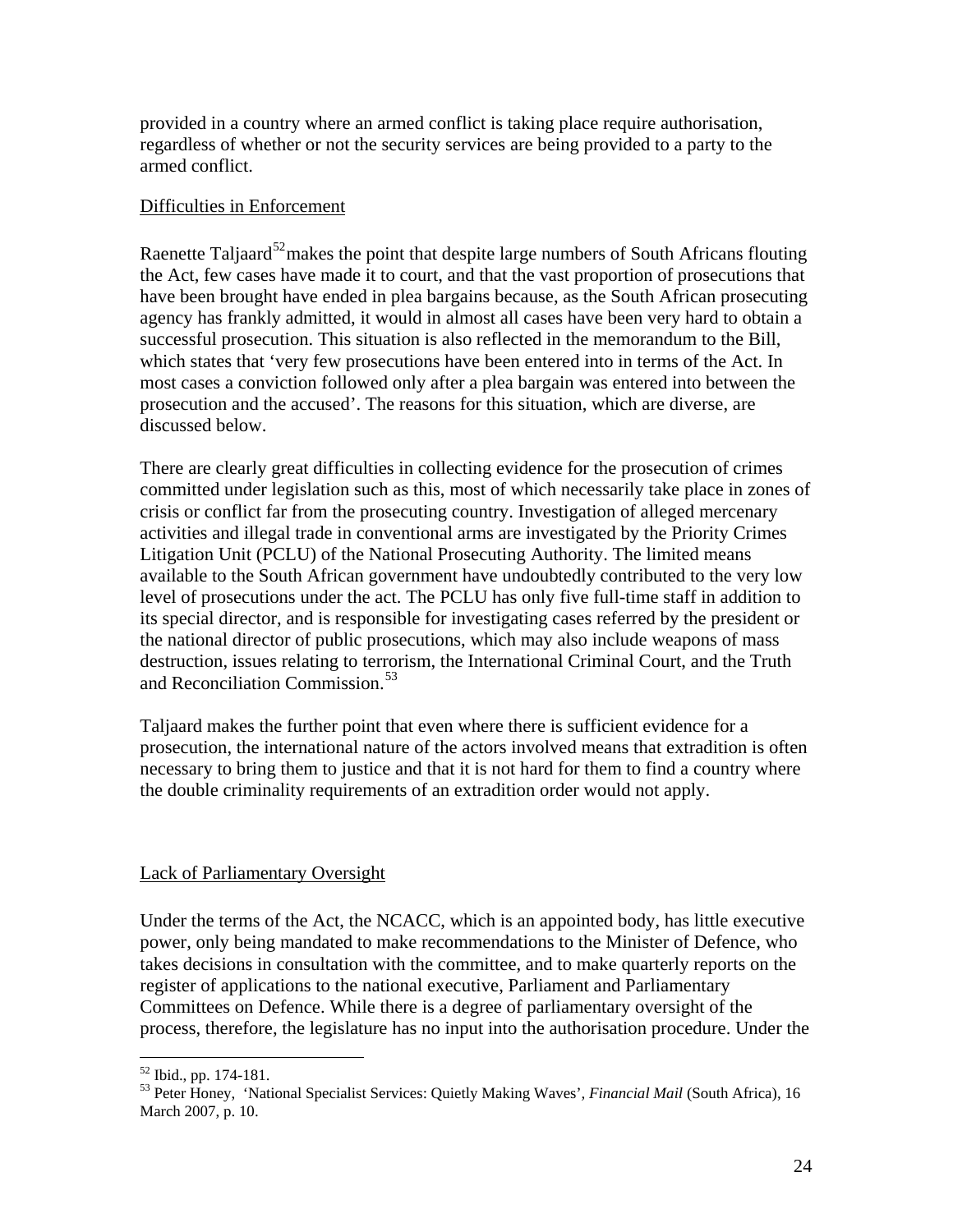<span id="page-23-0"></span>provided in a country where an armed conflict is taking place require authorisation, regardless of whether or not the security services are being provided to a party to the armed conflict.

### Difficulties in Enforcement

Raenette Taljaard<sup>[52](#page-23-1)</sup>makes the point that despite large numbers of South Africans flouting the Act, few cases have made it to court, and that the vast proportion of prosecutions that have been brought have ended in plea bargains because, as the South African prosecuting agency has frankly admitted, it would in almost all cases have been very hard to obtain a successful prosecution. This situation is also reflected in the memorandum to the Bill, which states that 'very few prosecutions have been entered into in terms of the Act. In most cases a conviction followed only after a plea bargain was entered into between the prosecution and the accused'. The reasons for this situation, which are diverse, are discussed below.

There are clearly great difficulties in collecting evidence for the prosecution of crimes committed under legislation such as this, most of which necessarily take place in zones of crisis or conflict far from the prosecuting country. Investigation of alleged mercenary activities and illegal trade in conventional arms are investigated by the Priority Crimes Litigation Unit (PCLU) of the National Prosecuting Authority. The limited means available to the South African government have undoubtedly contributed to the very low level of prosecutions under the act. The PCLU has only five full-time staff in addition to its special director, and is responsible for investigating cases referred by the president or the national director of public prosecutions, which may also include weapons of mass destruction, issues relating to terrorism, the International Criminal Court, and the Truth and Reconciliation Commission.<sup>[53](#page-23-2)</sup>

Taljaard makes the further point that even where there is sufficient evidence for a prosecution, the international nature of the actors involved means that extradition is often necessary to bring them to justice and that it is not hard for them to find a country where the double criminality requirements of an extradition order would not apply.

### Lack of Parliamentary Oversight

Under the terms of the Act, the NCACC, which is an appointed body, has little executive power, only being mandated to make recommendations to the Minister of Defence, who takes decisions in consultation with the committee, and to make quarterly reports on the register of applications to the national executive, Parliament and Parliamentary Committees on Defence. While there is a degree of parliamentary oversight of the process, therefore, the legislature has no input into the authorisation procedure. Under the

 $\overline{a}$ <sup>52</sup> Ibid., pp. 174-181.

<span id="page-23-2"></span><span id="page-23-1"></span><sup>53</sup> Peter Honey, 'National Specialist Services: Quietly Making Waves'*, Financial Mail* (South Africa), 16 March 2007, p. 10.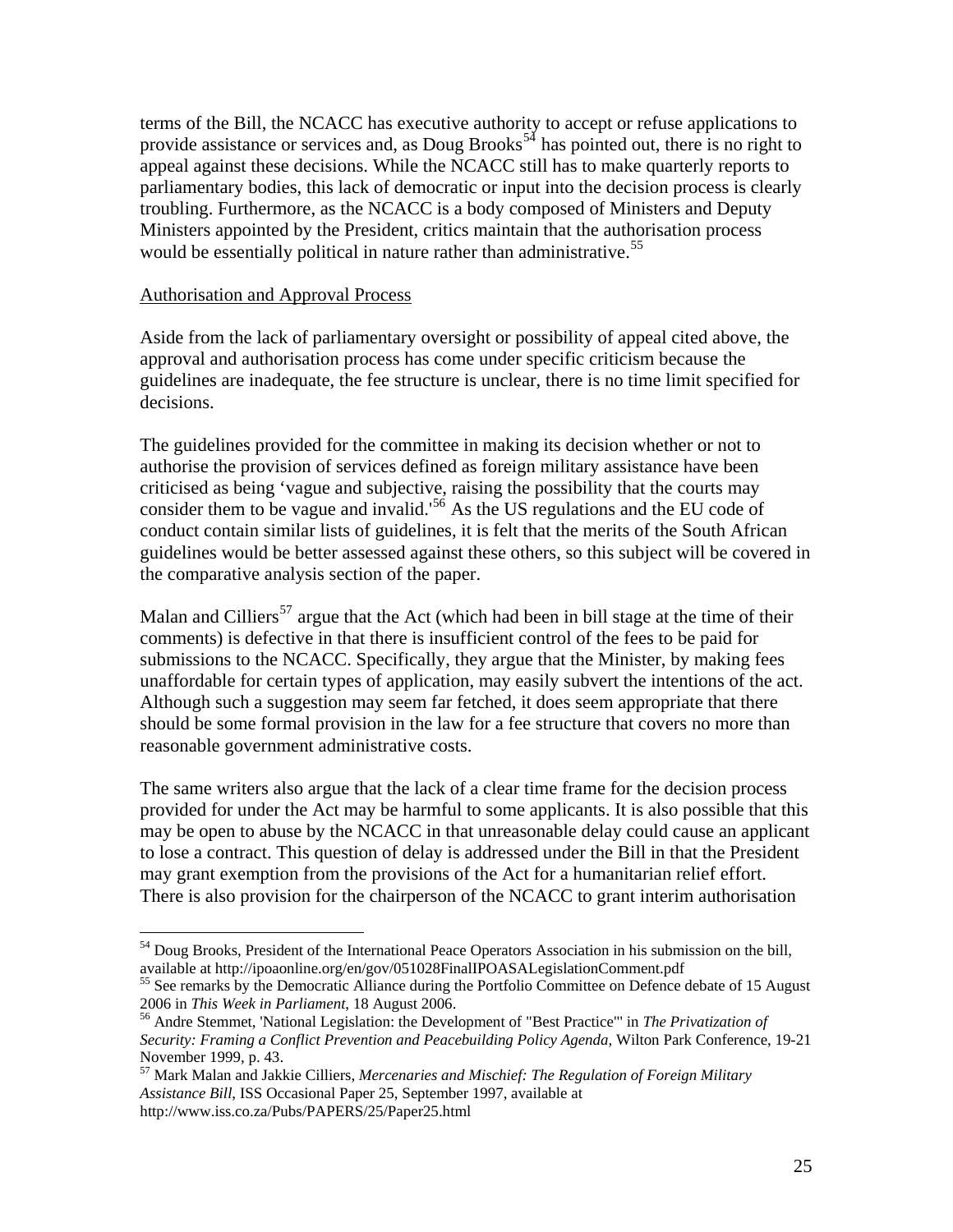terms of the Bill, the NCACC has executive authority to accept or refuse applications to provide assistance or services and, as Doug Brooks<sup>[54](#page-24-0)</sup> has pointed out, there is no right to appeal against these decisions. While the NCACC still has to make quarterly reports to parliamentary bodies, this lack of democratic or input into the decision process is clearly troubling. Furthermore, as the NCACC is a body composed of Ministers and Deputy Ministers appointed by the President, critics maintain that the authorisation process would be essentially political in nature rather than administrative.<sup>[55](#page-24-1)</sup>

#### Authorisation and Approval Process

 $\overline{a}$ 

Aside from the lack of parliamentary oversight or possibility of appeal cited above, the approval and authorisation process has come under specific criticism because the guidelines are inadequate, the fee structure is unclear, there is no time limit specified for decisions.

The guidelines provided for the committee in making its decision whether or not to authorise the provision of services defined as foreign military assistance have been criticised as being 'vague and subjective, raising the possibility that the courts may consider them to be vague and invalid.<sup>[56](#page-24-2)</sup> As the US regulations and the EU code of conduct contain similar lists of guidelines, it is felt that the merits of the South African guidelines would be better assessed against these others, so this subject will be covered in the comparative analysis section of the paper.

Malan and Cilliers<sup>[57](#page-24-3)</sup> argue that the Act (which had been in bill stage at the time of their comments) is defective in that there is insufficient control of the fees to be paid for submissions to the NCACC. Specifically, they argue that the Minister, by making fees unaffordable for certain types of application, may easily subvert the intentions of the act. Although such a suggestion may seem far fetched, it does seem appropriate that there should be some formal provision in the law for a fee structure that covers no more than reasonable government administrative costs.

The same writers also argue that the lack of a clear time frame for the decision process provided for under the Act may be harmful to some applicants. It is also possible that this may be open to abuse by the NCACC in that unreasonable delay could cause an applicant to lose a contract. This question of delay is addressed under the Bill in that the President may grant exemption from the provisions of the Act for a humanitarian relief effort. There is also provision for the chairperson of the NCACC to grant interim authorisation

<sup>&</sup>lt;sup>54</sup> Doug Brooks, President of the International Peace Operators Association in his submission on the bill,

<span id="page-24-1"></span><span id="page-24-0"></span>available at http://ipoaonline.org/en/gov/051028FinalIPOASALegislationComment.pdf<br><sup>55</sup> See remarks by the Democratic Alliance during the Portfolio Committee on Defence debate of 15 August<br>2006 in *This Week in Parliament*,

<span id="page-24-2"></span><sup>&</sup>lt;sup>56</sup> Andre Stemmet, 'National Legislation: the Development of "Best Practice"' in *The Privatization of Security: Framing a Conflict Prevention and Peacebuilding Policy Agenda,* Wilton Park Conference, 19-21 November 1999, p. 43.

<span id="page-24-3"></span><sup>57</sup> Mark Malan and Jakkie Cilliers, *Mercenaries and Mischief: The Regulation of Foreign Military Assistance Bill*, ISS Occasional Paper 25, September 1997, available at http://www.iss.co.za/Pubs/PAPERS/25/Paper25.html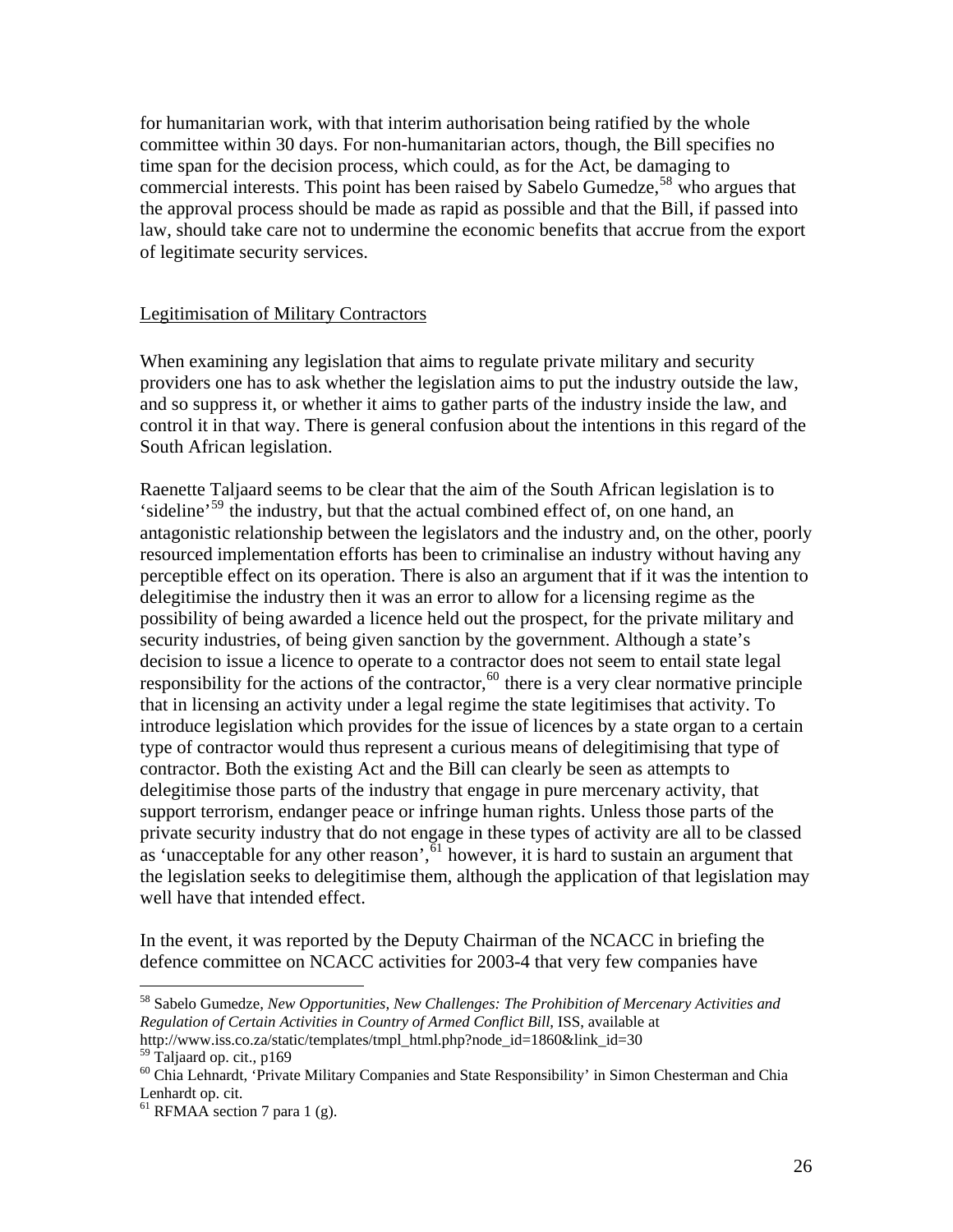<span id="page-25-0"></span>for humanitarian work, with that interim authorisation being ratified by the whole committee within 30 days. For non-humanitarian actors, though, the Bill specifies no time span for the decision process, which could, as for the Act, be damaging to commercial interests. This point has been raised by Sabelo Gumedze,<sup>[58](#page-25-1)</sup> who argues that the approval process should be made as rapid as possible and that the Bill, if passed into law, should take care not to undermine the economic benefits that accrue from the export of legitimate security services.

#### Legitimisation of Military Contractors

When examining any legislation that aims to regulate private military and security providers one has to ask whether the legislation aims to put the industry outside the law, and so suppress it, or whether it aims to gather parts of the industry inside the law, and control it in that way. There is general confusion about the intentions in this regard of the South African legislation.

Raenette Taljaard seems to be clear that the aim of the South African legislation is to 'sideline'[59](#page-25-2) the industry, but that the actual combined effect of, on one hand, an antagonistic relationship between the legislators and the industry and, on the other, poorly resourced implementation efforts has been to criminalise an industry without having any perceptible effect on its operation. There is also an argument that if it was the intention to delegitimise the industry then it was an error to allow for a licensing regime as the possibility of being awarded a licence held out the prospect, for the private military and security industries, of being given sanction by the government. Although a state's decision to issue a licence to operate to a contractor does not seem to entail state legal responsibility for the actions of the contractor,<sup>[60](#page-25-3)</sup> there is a very clear normative principle that in licensing an activity under a legal regime the state legitimises that activity. To introduce legislation which provides for the issue of licences by a state organ to a certain type of contractor would thus represent a curious means of delegitimising that type of contractor. Both the existing Act and the Bill can clearly be seen as attempts to delegitimise those parts of the industry that engage in pure mercenary activity, that support terrorism, endanger peace or infringe human rights. Unless those parts of the private security industry that do not engage in these types of activity are all to be classed as 'unacceptable for any other reason',  $61$  however, it is hard to sustain an argument that the legislation seeks to delegitimise them, although the application of that legislation may well have that intended effect.

In the event, it was reported by the Deputy Chairman of the NCACC in briefing the defence committee on NCACC activities for 2003-4 that very few companies have

<span id="page-25-1"></span><sup>58</sup> Sabelo Gumedze, *New Opportunities, New Challenges: The Prohibition of Mercenary Activities and Regulation of Certain Activities in Country of Armed Conflict Bill*, ISS, available at http://www.iss.co.za/static/templates/tmpl\_html.php?node\_id=1860&link\_id=30

<span id="page-25-2"></span><sup>&</sup>lt;sup>59</sup> Taljaard op. cit., p169

<span id="page-25-3"></span><sup>&</sup>lt;sup>60</sup> Chia Lehnardt, 'Private Military Companies and State Responsibility' in Simon Chesterman and Chia Lenhardt op. cit.

<span id="page-25-4"></span> $<sup>61</sup>$  RFMAA section 7 para 1 (g).</sup>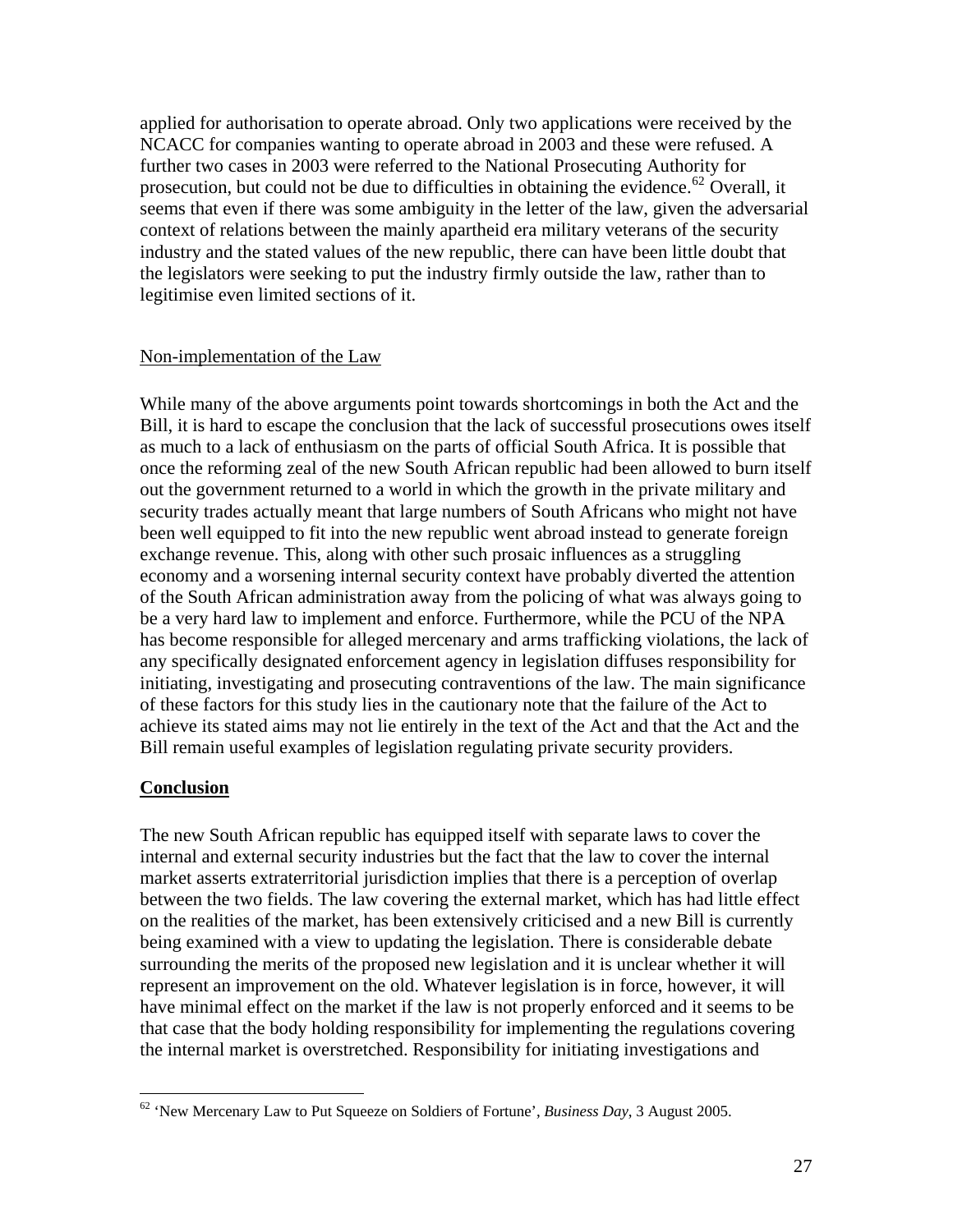<span id="page-26-0"></span>applied for authorisation to operate abroad. Only two applications were received by the NCACC for companies wanting to operate abroad in 2003 and these were refused. A further two cases in 2003 were referred to the National Prosecuting Authority for prosecution, but could not be due to difficulties in obtaining the evidence.<sup>[62](#page-26-1)</sup> Overall, it seems that even if there was some ambiguity in the letter of the law, given the adversarial context of relations between the mainly apartheid era military veterans of the security industry and the stated values of the new republic, there can have been little doubt that the legislators were seeking to put the industry firmly outside the law, rather than to legitimise even limited sections of it.

#### Non-implementation of the Law

While many of the above arguments point towards shortcomings in both the Act and the Bill, it is hard to escape the conclusion that the lack of successful prosecutions owes itself as much to a lack of enthusiasm on the parts of official South Africa. It is possible that once the reforming zeal of the new South African republic had been allowed to burn itself out the government returned to a world in which the growth in the private military and security trades actually meant that large numbers of South Africans who might not have been well equipped to fit into the new republic went abroad instead to generate foreign exchange revenue. This, along with other such prosaic influences as a struggling economy and a worsening internal security context have probably diverted the attention of the South African administration away from the policing of what was always going to be a very hard law to implement and enforce. Furthermore, while the PCU of the NPA has become responsible for alleged mercenary and arms trafficking violations, the lack of any specifically designated enforcement agency in legislation diffuses responsibility for initiating, investigating and prosecuting contraventions of the law. The main significance of these factors for this study lies in the cautionary note that the failure of the Act to achieve its stated aims may not lie entirely in the text of the Act and that the Act and the Bill remain useful examples of legislation regulating private security providers.

#### **Conclusion**

 $\overline{a}$ 

The new South African republic has equipped itself with separate laws to cover the internal and external security industries but the fact that the law to cover the internal market asserts extraterritorial jurisdiction implies that there is a perception of overlap between the two fields. The law covering the external market, which has had little effect on the realities of the market, has been extensively criticised and a new Bill is currently being examined with a view to updating the legislation. There is considerable debate surrounding the merits of the proposed new legislation and it is unclear whether it will represent an improvement on the old. Whatever legislation is in force, however, it will have minimal effect on the market if the law is not properly enforced and it seems to be that case that the body holding responsibility for implementing the regulations covering the internal market is overstretched. Responsibility for initiating investigations and

<span id="page-26-1"></span><sup>62 &#</sup>x27;New Mercenary Law to Put Squeeze on Soldiers of Fortune', *Business Day*, 3 August 2005.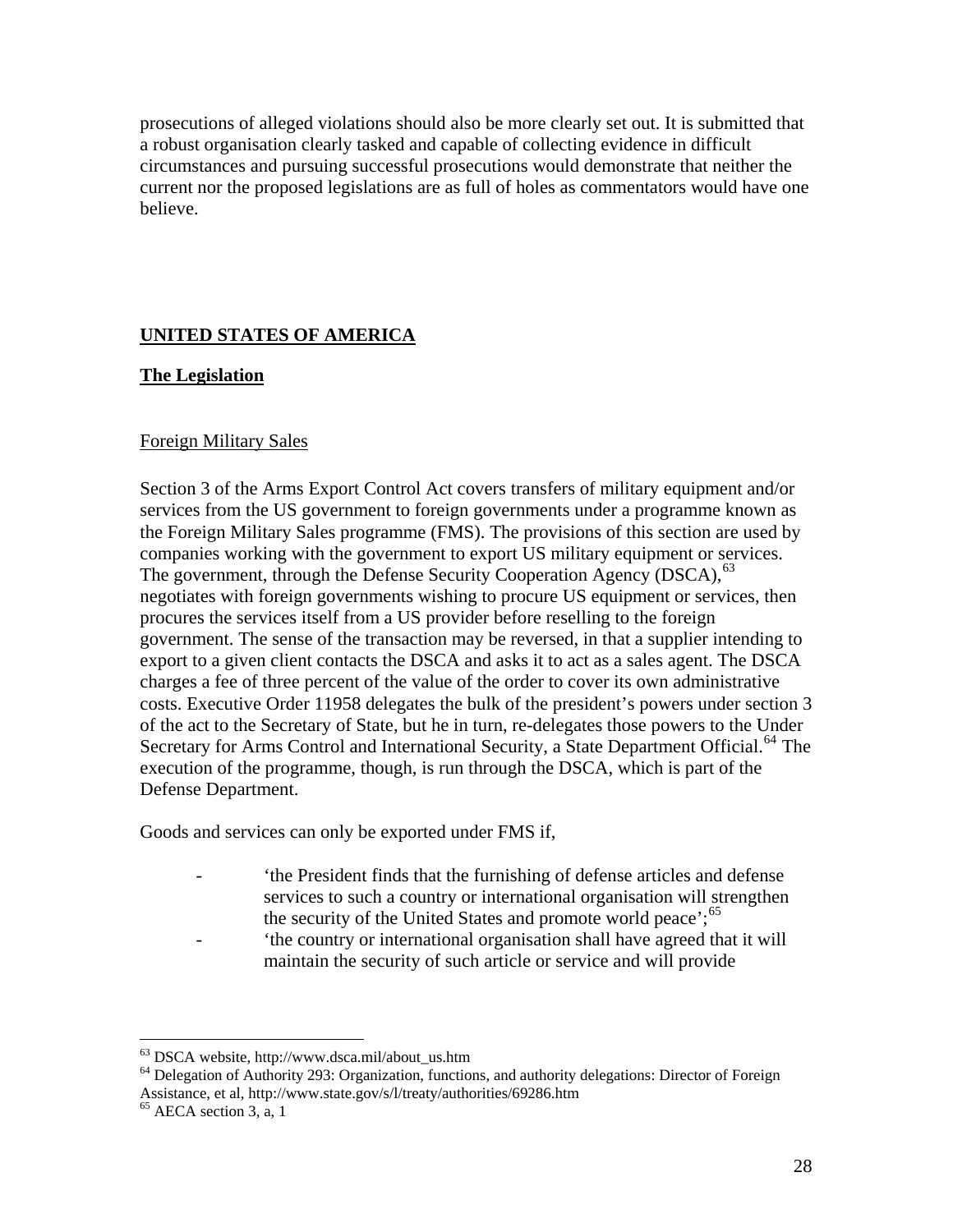<span id="page-27-0"></span>prosecutions of alleged violations should also be more clearly set out. It is submitted that a robust organisation clearly tasked and capable of collecting evidence in difficult circumstances and pursuing successful prosecutions would demonstrate that neither the current nor the proposed legislations are as full of holes as commentators would have one believe.

# **UNITED STATES OF AMERICA**

#### **The Legislation**

#### Foreign Military Sales

Section 3 of the Arms Export Control Act covers transfers of military equipment and/or services from the US government to foreign governments under a programme known as the Foreign Military Sales programme (FMS). The provisions of this section are used by companies working with the government to export US military equipment or services. The government, through the Defense Security Cooperation Agency (DSCA), <sup>[63](#page-27-1)</sup> negotiates with foreign governments wishing to procure US equipment or services, then procures the services itself from a US provider before reselling to the foreign government. The sense of the transaction may be reversed, in that a supplier intending to export to a given client contacts the DSCA and asks it to act as a sales agent. The DSCA charges a fee of three percent of the value of the order to cover its own administrative costs. Executive Order 11958 delegates the bulk of the president's powers under section 3 of the act to the Secretary of State, but he in turn, re-delegates those powers to the Under Secretary for Arms Control and International Security, a State Department Official.<sup>[64](#page-27-2)</sup> The execution of the programme, though, is run through the DSCA, which is part of the Defense Department.

Goods and services can only be exported under FMS if,

- 'the President finds that the furnishing of defense articles and defense services to such a country or international organisation will strengthen the security of the United States and promote world peace';  $65$
- the country or international organisation shall have agreed that it will maintain the security of such article or service and will provide

<sup>63</sup> DSCA website, http://www.dsca.mil/about\_us.htm

<span id="page-27-2"></span><span id="page-27-1"></span><sup>&</sup>lt;sup>64</sup> Delegation of Authority 293: Organization, functions, and authority delegations: Director of Foreign Assistance, et al, http://www.state.gov/s/l/treaty/authorities/69286.htm <sup>65</sup> AECA section 3, a, 1

<span id="page-27-3"></span>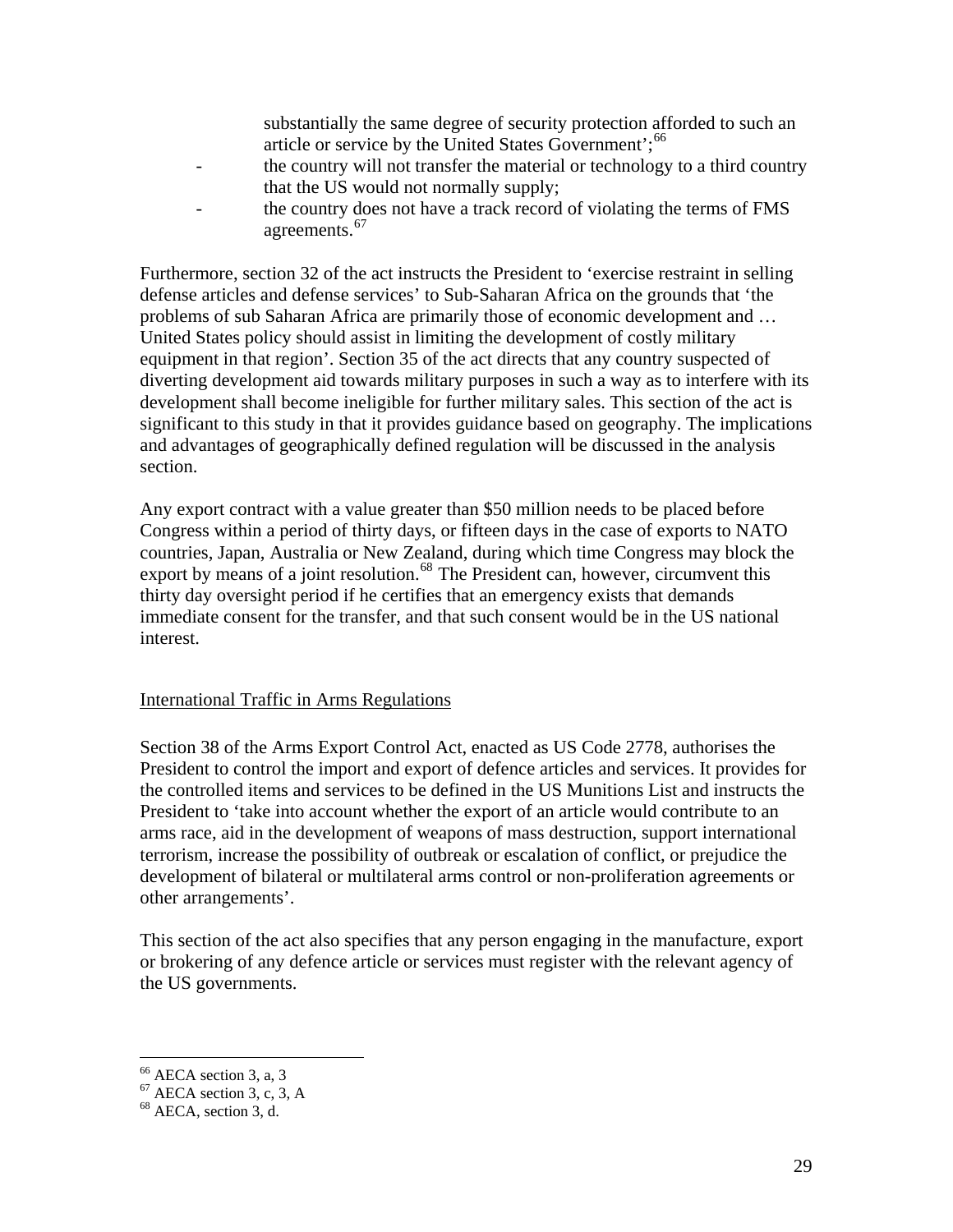substantially the same degree of security protection afforded to such an article or service by the United States Government';<sup>[66](#page-28-1)</sup>

- <span id="page-28-0"></span>- the country will not transfer the material or technology to a third country that the US would not normally supply;
- the country does not have a track record of violating the terms of FMS agreements.<sup>[67](#page-28-2)</sup>

Furthermore, section 32 of the act instructs the President to 'exercise restraint in selling defense articles and defense services' to Sub-Saharan Africa on the grounds that 'the problems of sub Saharan Africa are primarily those of economic development and … United States policy should assist in limiting the development of costly military equipment in that region'. Section 35 of the act directs that any country suspected of diverting development aid towards military purposes in such a way as to interfere with its development shall become ineligible for further military sales. This section of the act is significant to this study in that it provides guidance based on geography. The implications and advantages of geographically defined regulation will be discussed in the analysis section.

Any export contract with a value greater than \$50 million needs to be placed before Congress within a period of thirty days, or fifteen days in the case of exports to NATO countries, Japan, Australia or New Zealand, during which time Congress may block the export by means of a joint resolution.<sup>[68](#page-28-3)</sup> The President can, however, circumvent this thirty day oversight period if he certifies that an emergency exists that demands immediate consent for the transfer, and that such consent would be in the US national interest.

#### International Traffic in Arms Regulations

Section 38 of the Arms Export Control Act, enacted as US Code 2778, authorises the President to control the import and export of defence articles and services. It provides for the controlled items and services to be defined in the US Munitions List and instructs the President to 'take into account whether the export of an article would contribute to an arms race, aid in the development of weapons of mass destruction, support international terrorism, increase the possibility of outbreak or escalation of conflict, or prejudice the development of bilateral or multilateral arms control or non-proliferation agreements or other arrangements'.

This section of the act also specifies that any person engaging in the manufacture, export or brokering of any defence article or services must register with the relevant agency of the US governments.

 $66$  AECA section 3, a, 3

<span id="page-28-2"></span><span id="page-28-1"></span> $67$  AECA section 3, c, 3, A

<span id="page-28-3"></span><sup>68</sup> AECA, section 3, d.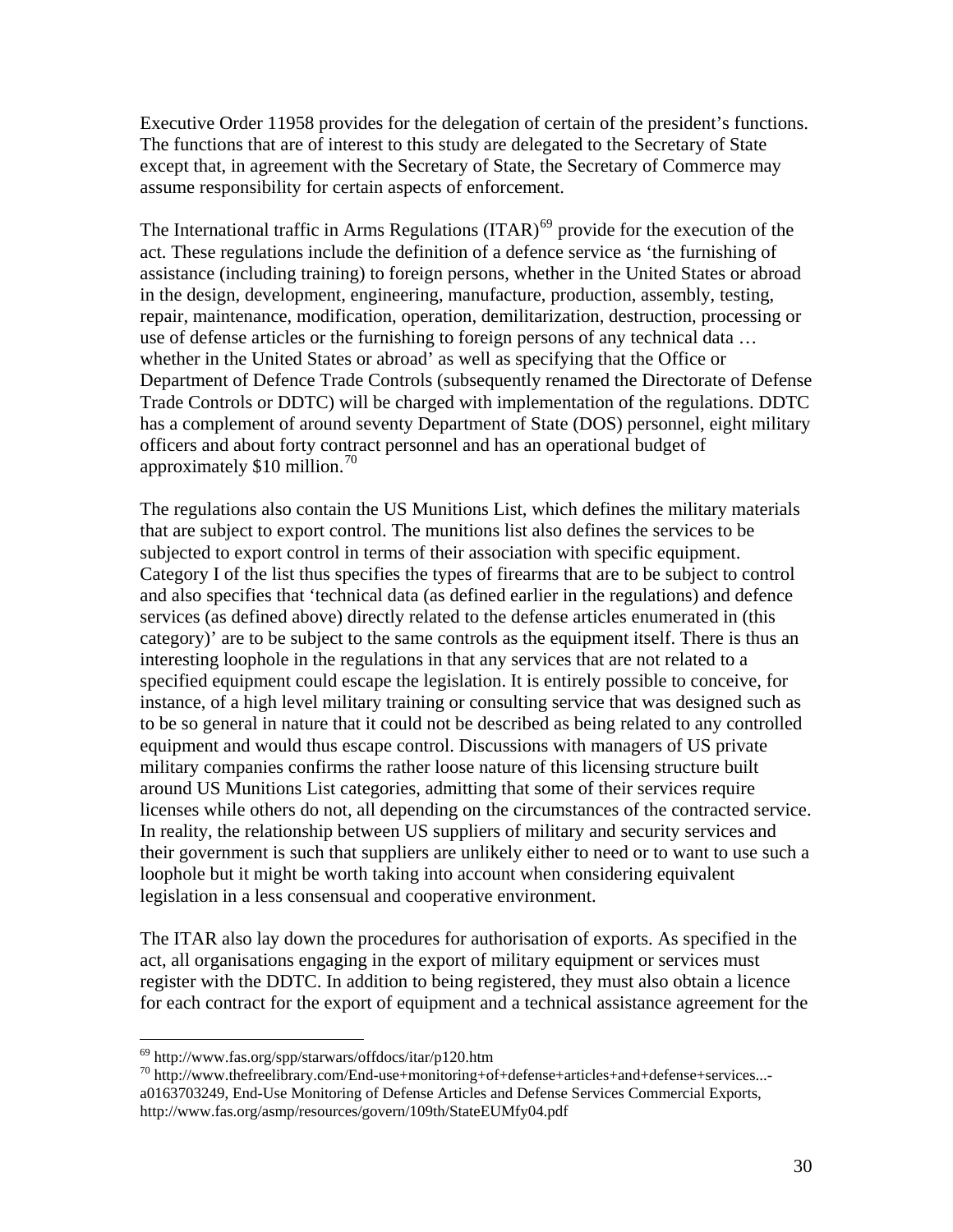Executive Order 11958 provides for the delegation of certain of the president's functions. The functions that are of interest to this study are delegated to the Secretary of State except that, in agreement with the Secretary of State, the Secretary of Commerce may assume responsibility for certain aspects of enforcement.

The International traffic in Arms Regulations  $(ITAR)$ <sup>[69](#page-29-0)</sup> provide for the execution of the act. These regulations include the definition of a defence service as 'the furnishing of assistance (including training) to foreign persons, whether in the United States or abroad in the design, development, engineering, manufacture, production, assembly, testing, repair, maintenance, modification, operation, demilitarization, destruction, processing or use of defense articles or the furnishing to foreign persons of any technical data … whether in the United States or abroad' as well as specifying that the Office or Department of Defence Trade Controls (subsequently renamed the Directorate of Defense Trade Controls or DDTC) will be charged with implementation of the regulations. DDTC has a complement of around seventy Department of State (DOS) personnel, eight military officers and about forty contract personnel and has an operational budget of approximately  $$10$  million.<sup>[70](#page-29-1)</sup>

The regulations also contain the US Munitions List, which defines the military materials that are subject to export control. The munitions list also defines the services to be subjected to export control in terms of their association with specific equipment. Category I of the list thus specifies the types of firearms that are to be subject to control and also specifies that 'technical data (as defined earlier in the regulations) and defence services (as defined above) directly related to the defense articles enumerated in (this category)' are to be subject to the same controls as the equipment itself. There is thus an interesting loophole in the regulations in that any services that are not related to a specified equipment could escape the legislation. It is entirely possible to conceive, for instance, of a high level military training or consulting service that was designed such as to be so general in nature that it could not be described as being related to any controlled equipment and would thus escape control. Discussions with managers of US private military companies confirms the rather loose nature of this licensing structure built around US Munitions List categories, admitting that some of their services require licenses while others do not, all depending on the circumstances of the contracted service. In reality, the relationship between US suppliers of military and security services and their government is such that suppliers are unlikely either to need or to want to use such a loophole but it might be worth taking into account when considering equivalent legislation in a less consensual and cooperative environment.

The ITAR also lay down the procedures for authorisation of exports. As specified in the act, all organisations engaging in the export of military equipment or services must register with the DDTC. In addition to being registered, they must also obtain a licence for each contract for the export of equipment and a technical assistance agreement for the

<sup>69</sup> http://www.fas.org/spp/starwars/offdocs/itar/p120.htm

<span id="page-29-1"></span><span id="page-29-0"></span><sup>70</sup> [http://www.thefreelibrary.com/End-use+monitoring+of+defense+articles+and+defense+services...](http://www.thefreelibrary.com/End-use+monitoring+of+defense+articles+and+defense+services...-a0163703249) [a0163703249](http://www.thefreelibrary.com/End-use+monitoring+of+defense+articles+and+defense+services...-a0163703249), End-Use Monitoring of Defense Articles and Defense Services Commercial Exports, http://www.fas.org/asmp/resources/govern/109th/StateEUMfy04.pdf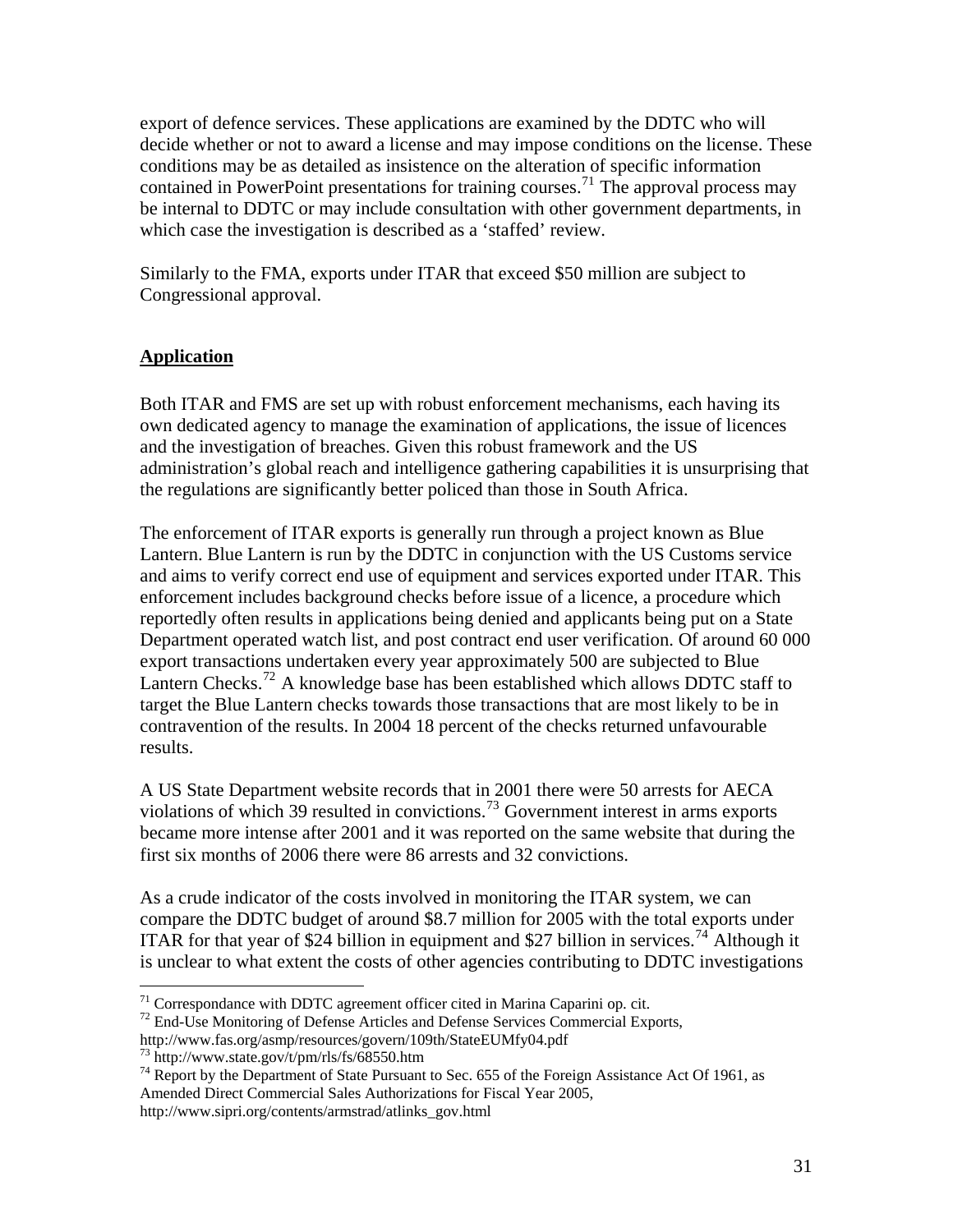<span id="page-30-0"></span>export of defence services. These applications are examined by the DDTC who will decide whether or not to award a license and may impose conditions on the license. These conditions may be as detailed as insistence on the alteration of specific information contained in PowerPoint presentations for training courses.<sup>[71](#page-30-1)</sup> The approval process may be internal to DDTC or may include consultation with other government departments, in which case the investigation is described as a 'staffed' review.

Similarly to the FMA, exports under ITAR that exceed \$50 million are subject to Congressional approval.

### **Application**

Both ITAR and FMS are set up with robust enforcement mechanisms, each having its own dedicated agency to manage the examination of applications, the issue of licences and the investigation of breaches. Given this robust framework and the US administration's global reach and intelligence gathering capabilities it is unsurprising that the regulations are significantly better policed than those in South Africa.

The enforcement of ITAR exports is generally run through a project known as Blue Lantern. Blue Lantern is run by the DDTC in conjunction with the US Customs service and aims to verify correct end use of equipment and services exported under ITAR. This enforcement includes background checks before issue of a licence, a procedure which reportedly often results in applications being denied and applicants being put on a State Department operated watch list, and post contract end user verification. Of around 60 000 export transactions undertaken every year approximately 500 are subjected to Blue Lantern Checks.<sup>[72](#page-30-2)</sup> A knowledge base has been established which allows DDTC staff to target the Blue Lantern checks towards those transactions that are most likely to be in contravention of the results. In 2004 18 percent of the checks returned unfavourable results.

A US State Department website records that in 2001 there were 50 arrests for AECA violations of which 39 resulted in convictions.[73](#page-30-3) Government interest in arms exports became more intense after 2001 and it was reported on the same website that during the first six months of 2006 there were 86 arrests and 32 convictions.

As a crude indicator of the costs involved in monitoring the ITAR system, we can compare the DDTC budget of around \$8.7 million for 2005 with the total exports under ITAR for that year of \$24 billion in equipment and \$27 billion in services.<sup>[74](#page-30-4)</sup> Although it is unclear to what extent the costs of other agencies contributing to DDTC investigations

<span id="page-30-1"></span><sup>71</sup> Correspondance with DDTC agreement officer cited in Marina Caparini op. cit.

<span id="page-30-2"></span><sup>&</sup>lt;sup>72</sup> End-Use Monitoring of Defense Articles and Defense Services Commercial Exports,

http://www.fas.org/asmp/resources/govern/109th/StateEUMfy04.pdf

<sup>73</sup> http://www.state.gov/t/pm/rls/fs/68550.htm

<span id="page-30-4"></span><span id="page-30-3"></span><sup>&</sup>lt;sup>74</sup> Report by the Department of State Pursuant to Sec. 655 of the Foreign Assistance Act Of 1961, as Amended Direct Commercial Sales Authorizations for Fiscal Year 2005, http://www.sipri.org/contents/armstrad/atlinks\_gov.html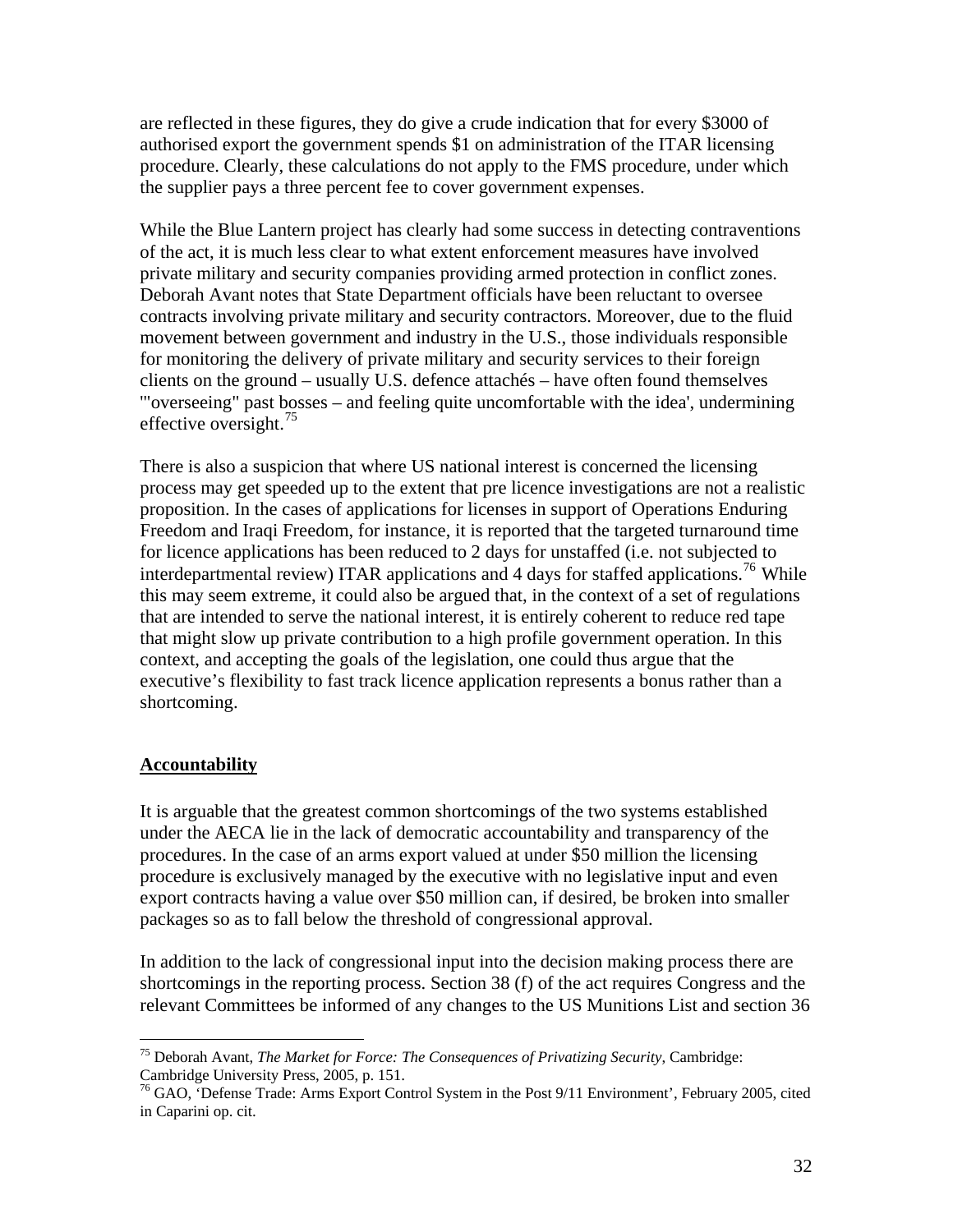<span id="page-31-0"></span>are reflected in these figures, they do give a crude indication that for every \$3000 of authorised export the government spends \$1 on administration of the ITAR licensing procedure. Clearly, these calculations do not apply to the FMS procedure, under which the supplier pays a three percent fee to cover government expenses.

While the Blue Lantern project has clearly had some success in detecting contraventions of the act, it is much less clear to what extent enforcement measures have involved private military and security companies providing armed protection in conflict zones. Deborah Avant notes that State Department officials have been reluctant to oversee contracts involving private military and security contractors. Moreover, due to the fluid movement between government and industry in the U.S., those individuals responsible for monitoring the delivery of private military and security services to their foreign clients on the ground – usually U.S. defence attachés – have often found themselves '"overseeing" past bosses – and feeling quite uncomfortable with the idea', undermining effective oversight.<sup>[75](#page-31-1)</sup>

There is also a suspicion that where US national interest is concerned the licensing process may get speeded up to the extent that pre licence investigations are not a realistic proposition. In the cases of applications for licenses in support of Operations Enduring Freedom and Iraqi Freedom, for instance, it is reported that the targeted turnaround time for licence applications has been reduced to 2 days for unstaffed (i.e. not subjected to interdepartmental review) ITAR applications and 4 days for staffed applications.<sup>[76](#page-31-2)</sup> While this may seem extreme, it could also be argued that, in the context of a set of regulations that are intended to serve the national interest, it is entirely coherent to reduce red tape that might slow up private contribution to a high profile government operation. In this context, and accepting the goals of the legislation, one could thus argue that the executive's flexibility to fast track licence application represents a bonus rather than a shortcoming.

### **Accountability**

 $\overline{a}$ 

It is arguable that the greatest common shortcomings of the two systems established under the AECA lie in the lack of democratic accountability and transparency of the procedures. In the case of an arms export valued at under \$50 million the licensing procedure is exclusively managed by the executive with no legislative input and even export contracts having a value over \$50 million can, if desired, be broken into smaller packages so as to fall below the threshold of congressional approval.

In addition to the lack of congressional input into the decision making process there are shortcomings in the reporting process. Section 38 (f) of the act requires Congress and the relevant Committees be informed of any changes to the US Munitions List and section 36

<span id="page-31-1"></span><sup>75</sup> Deborah Avant, *The Market for Force: The Consequences of Privatizing Security*, Cambridge: Cambridge University Press, 2005, p. 151.

<span id="page-31-2"></span><sup>&</sup>lt;sup>76</sup> GAO, 'Defense Trade: Arms Export Control System in the Post 9/11 Environment', February 2005, cited in Caparini op. cit.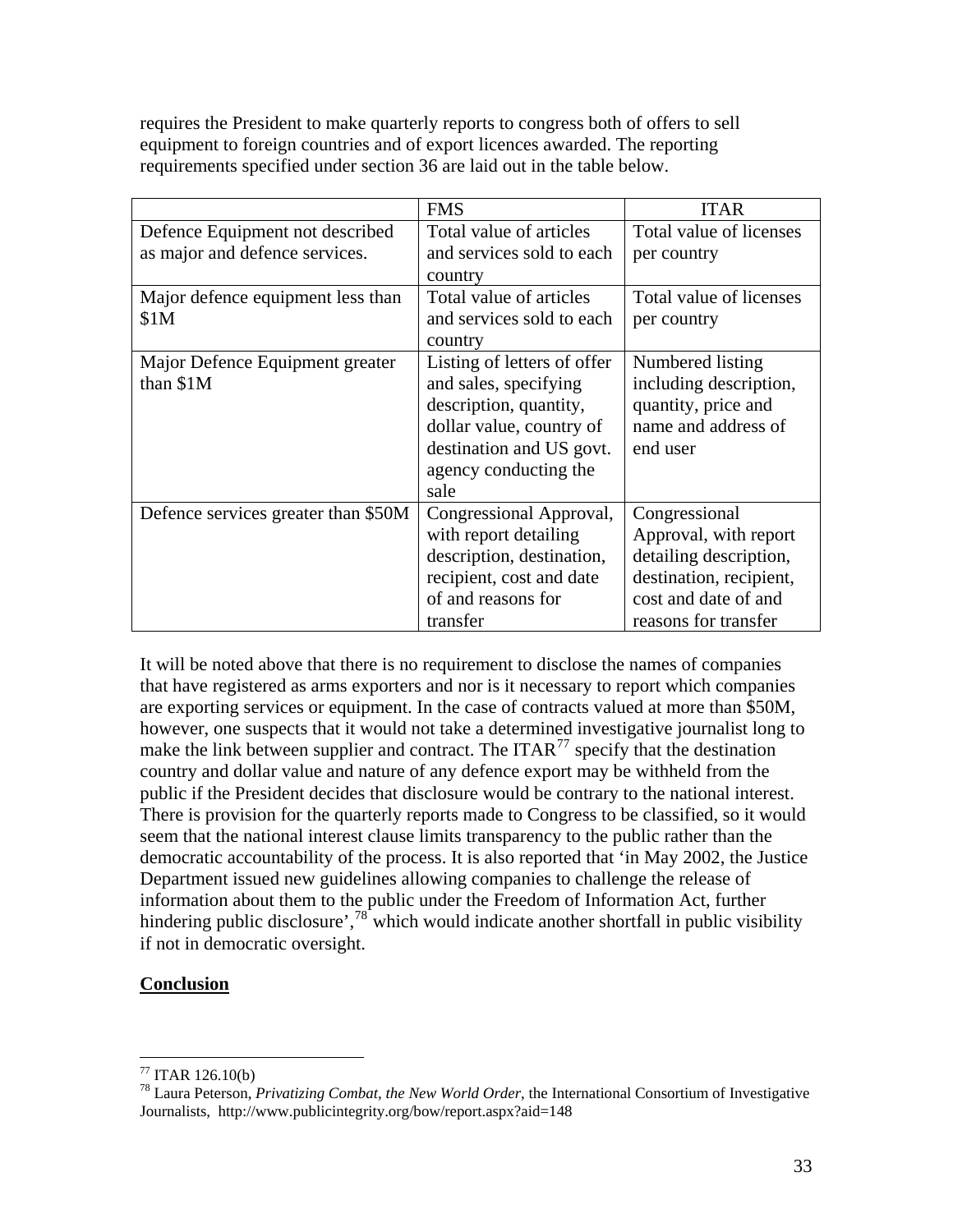<span id="page-32-0"></span>requires the President to make quarterly reports to congress both of offers to sell equipment to foreign countries and of export licences awarded. The reporting requirements specified under section 36 are laid out in the table below.

|                                     | <b>FMS</b>                  | <b>ITAR</b>             |
|-------------------------------------|-----------------------------|-------------------------|
| Defence Equipment not described     | Total value of articles     | Total value of licenses |
| as major and defence services.      | and services sold to each   | per country             |
|                                     | country                     |                         |
| Major defence equipment less than   | Total value of articles     | Total value of licenses |
| \$1M                                | and services sold to each   | per country             |
|                                     | country                     |                         |
| Major Defence Equipment greater     | Listing of letters of offer | Numbered listing        |
| than \$1M                           | and sales, specifying       | including description,  |
|                                     | description, quantity,      | quantity, price and     |
|                                     | dollar value, country of    | name and address of     |
|                                     | destination and US govt.    | end user                |
|                                     | agency conducting the       |                         |
|                                     | sale                        |                         |
| Defence services greater than \$50M | Congressional Approval,     | Congressional           |
|                                     | with report detailing       | Approval, with report   |
|                                     | description, destination,   | detailing description,  |
|                                     | recipient, cost and date    | destination, recipient, |
|                                     | of and reasons for          | cost and date of and    |
|                                     | transfer                    | reasons for transfer    |

It will be noted above that there is no requirement to disclose the names of companies that have registered as arms exporters and nor is it necessary to report which companies are exporting services or equipment. In the case of contracts valued at more than \$50M, however, one suspects that it would not take a determined investigative journalist long to make the link between supplier and contract. The ITAR<sup>[77](#page-32-1)</sup> specify that the destination country and dollar value and nature of any defence export may be withheld from the public if the President decides that disclosure would be contrary to the national interest. There is provision for the quarterly reports made to Congress to be classified, so it would seem that the national interest clause limits transparency to the public rather than the democratic accountability of the process. It is also reported that 'in May 2002, the Justice Department issued new guidelines allowing companies to challenge the release of information about them to the public under the Freedom of Information Act, further hindering public disclosure', $78^{\circ}$  $78^{\circ}$  which would indicate another shortfall in public visibility if not in democratic oversight.

### **Conclusion**

<span id="page-32-1"></span> $77$  ITAR 126.10(b)

<span id="page-32-2"></span><sup>78</sup> Laura Peterson, *Privatizing Combat, the New World Order*, the International Consortium of Investigative Journalists, http://www.publicintegrity.org/bow/report.aspx?aid=148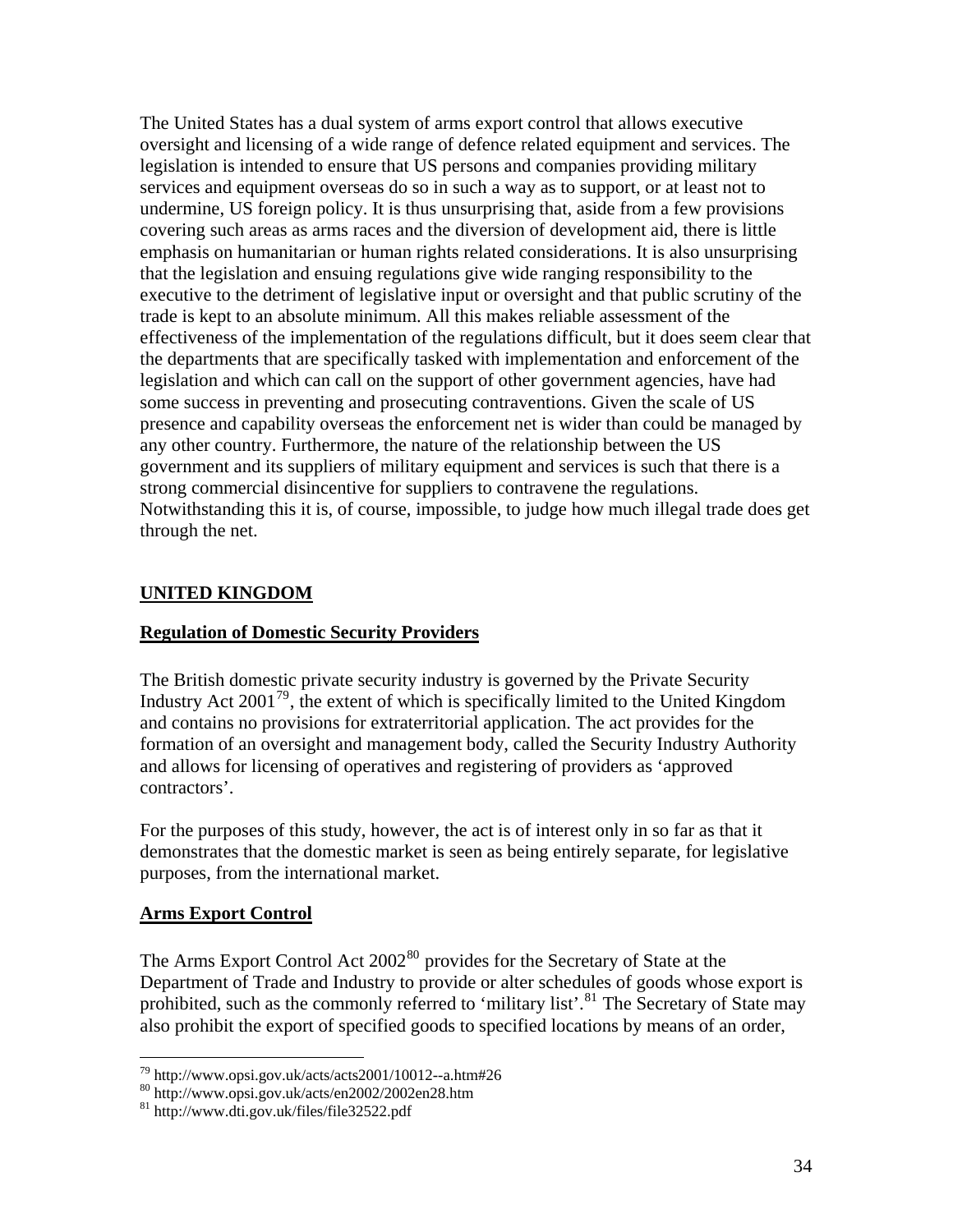<span id="page-33-0"></span>The United States has a dual system of arms export control that allows executive oversight and licensing of a wide range of defence related equipment and services. The legislation is intended to ensure that US persons and companies providing military services and equipment overseas do so in such a way as to support, or at least not to undermine, US foreign policy. It is thus unsurprising that, aside from a few provisions covering such areas as arms races and the diversion of development aid, there is little emphasis on humanitarian or human rights related considerations. It is also unsurprising that the legislation and ensuing regulations give wide ranging responsibility to the executive to the detriment of legislative input or oversight and that public scrutiny of the trade is kept to an absolute minimum. All this makes reliable assessment of the effectiveness of the implementation of the regulations difficult, but it does seem clear that the departments that are specifically tasked with implementation and enforcement of the legislation and which can call on the support of other government agencies, have had some success in preventing and prosecuting contraventions. Given the scale of US presence and capability overseas the enforcement net is wider than could be managed by any other country. Furthermore, the nature of the relationship between the US government and its suppliers of military equipment and services is such that there is a strong commercial disincentive for suppliers to contravene the regulations. Notwithstanding this it is, of course, impossible, to judge how much illegal trade does get through the net.

### **UNITED KINGDOM**

#### **Regulation of Domestic Security Providers**

The British domestic private security industry is governed by the Private Security Industry Act  $2001^{79}$  $2001^{79}$  $2001^{79}$ , the extent of which is specifically limited to the United Kingdom and contains no provisions for extraterritorial application. The act provides for the formation of an oversight and management body, called the Security Industry Authority and allows for licensing of operatives and registering of providers as 'approved contractors'.

For the purposes of this study, however, the act is of interest only in so far as that it demonstrates that the domestic market is seen as being entirely separate, for legislative purposes, from the international market.

#### **Arms Export Control**

 $\overline{a}$ 

The Arms Export Control Act 2002<sup>[80](#page-33-2)</sup> provides for the Secretary of State at the Department of Trade and Industry to provide or alter schedules of goods whose export is prohibited, such as the commonly referred to 'military list'.<sup>[81](#page-33-3)</sup> The Secretary of State may also prohibit the export of specified goods to specified locations by means of an order,

<span id="page-33-2"></span><span id="page-33-1"></span><sup>&</sup>lt;sup>79</sup> http://www.opsi.gov.uk/acts/acts2001/10012--a.htm#26  $^{80}$  http://www.opsi.gov.uk/acts/en2002/2002en28.htm

<span id="page-33-3"></span><sup>81</sup> http://www.dti.gov.uk/files/file32522.pdf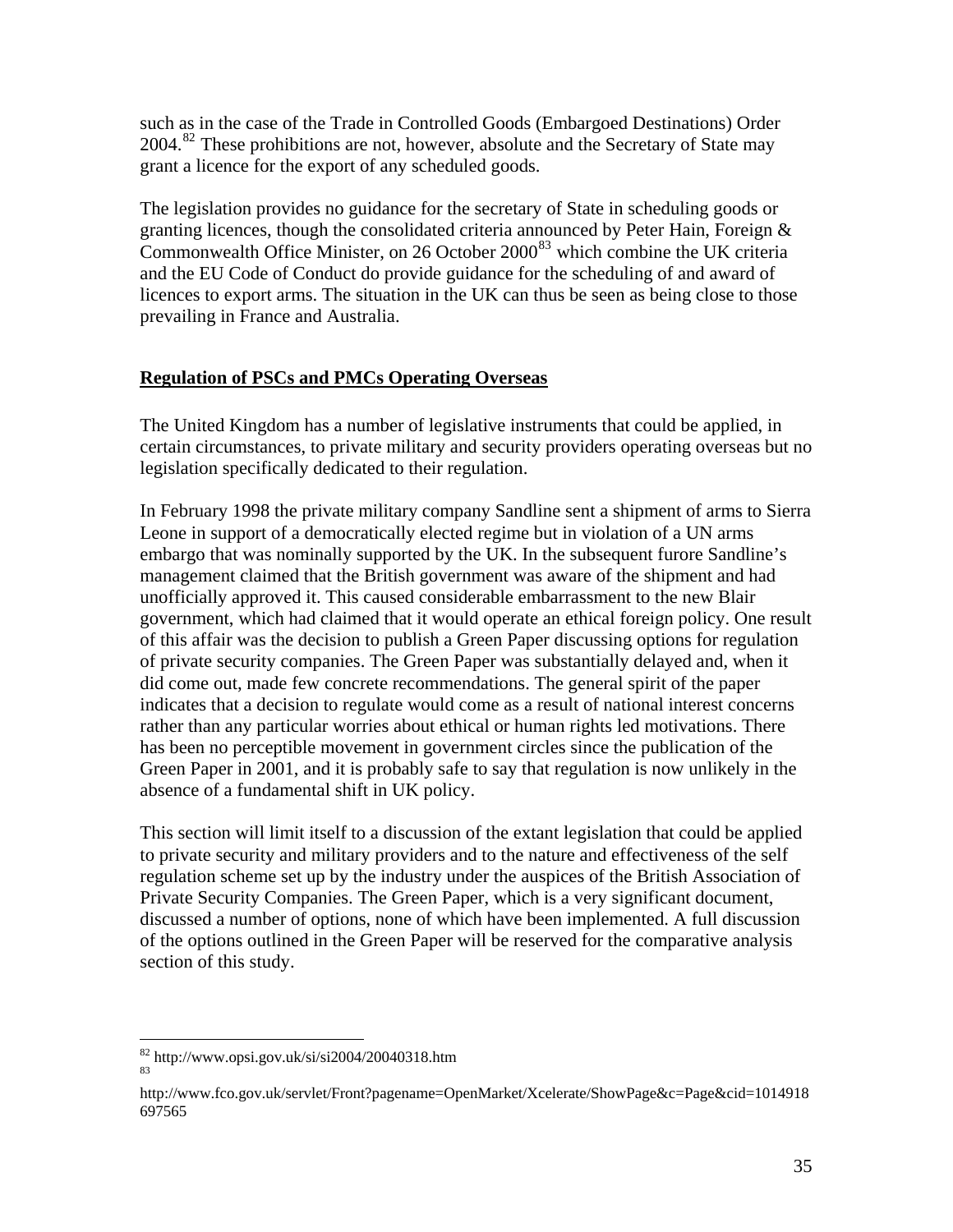<span id="page-34-0"></span>such as in the case of the Trade in Controlled Goods (Embargoed Destinations) Order 2004.[82](#page-34-1) These prohibitions are not, however, absolute and the Secretary of State may grant a licence for the export of any scheduled goods.

The legislation provides no guidance for the secretary of State in scheduling goods or granting licences, though the consolidated criteria announced by Peter Hain, Foreign & Commonwealth Office Minister, on 26 October  $2000^{83}$  $2000^{83}$  $2000^{83}$  which combine the UK criteria and the EU Code of Conduct do provide guidance for the scheduling of and award of licences to export arms. The situation in the UK can thus be seen as being close to those prevailing in France and Australia.

### **Regulation of PSCs and PMCs Operating Overseas**

The United Kingdom has a number of legislative instruments that could be applied, in certain circumstances, to private military and security providers operating overseas but no legislation specifically dedicated to their regulation.

In February 1998 the private military company Sandline sent a shipment of arms to Sierra Leone in support of a democratically elected regime but in violation of a UN arms embargo that was nominally supported by the UK. In the subsequent furore Sandline's management claimed that the British government was aware of the shipment and had unofficially approved it. This caused considerable embarrassment to the new Blair government, which had claimed that it would operate an ethical foreign policy. One result of this affair was the decision to publish a Green Paper discussing options for regulation of private security companies. The Green Paper was substantially delayed and, when it did come out, made few concrete recommendations. The general spirit of the paper indicates that a decision to regulate would come as a result of national interest concerns rather than any particular worries about ethical or human rights led motivations. There has been no perceptible movement in government circles since the publication of the Green Paper in 2001, and it is probably safe to say that regulation is now unlikely in the absence of a fundamental shift in UK policy.

This section will limit itself to a discussion of the extant legislation that could be applied to private security and military providers and to the nature and effectiveness of the self regulation scheme set up by the industry under the auspices of the British Association of Private Security Companies. The Green Paper, which is a very significant document, discussed a number of options, none of which have been implemented. A full discussion of the options outlined in the Green Paper will be reserved for the comparative analysis section of this study.

<span id="page-34-1"></span> $\frac{82}{83}$  http://www.opsi.gov.uk/si/si2004/20040318.htm

<span id="page-34-2"></span>

http://www.fco.gov.uk/servlet/Front?pagename=OpenMarket/Xcelerate/ShowPage&c=Page&cid=1014918 697565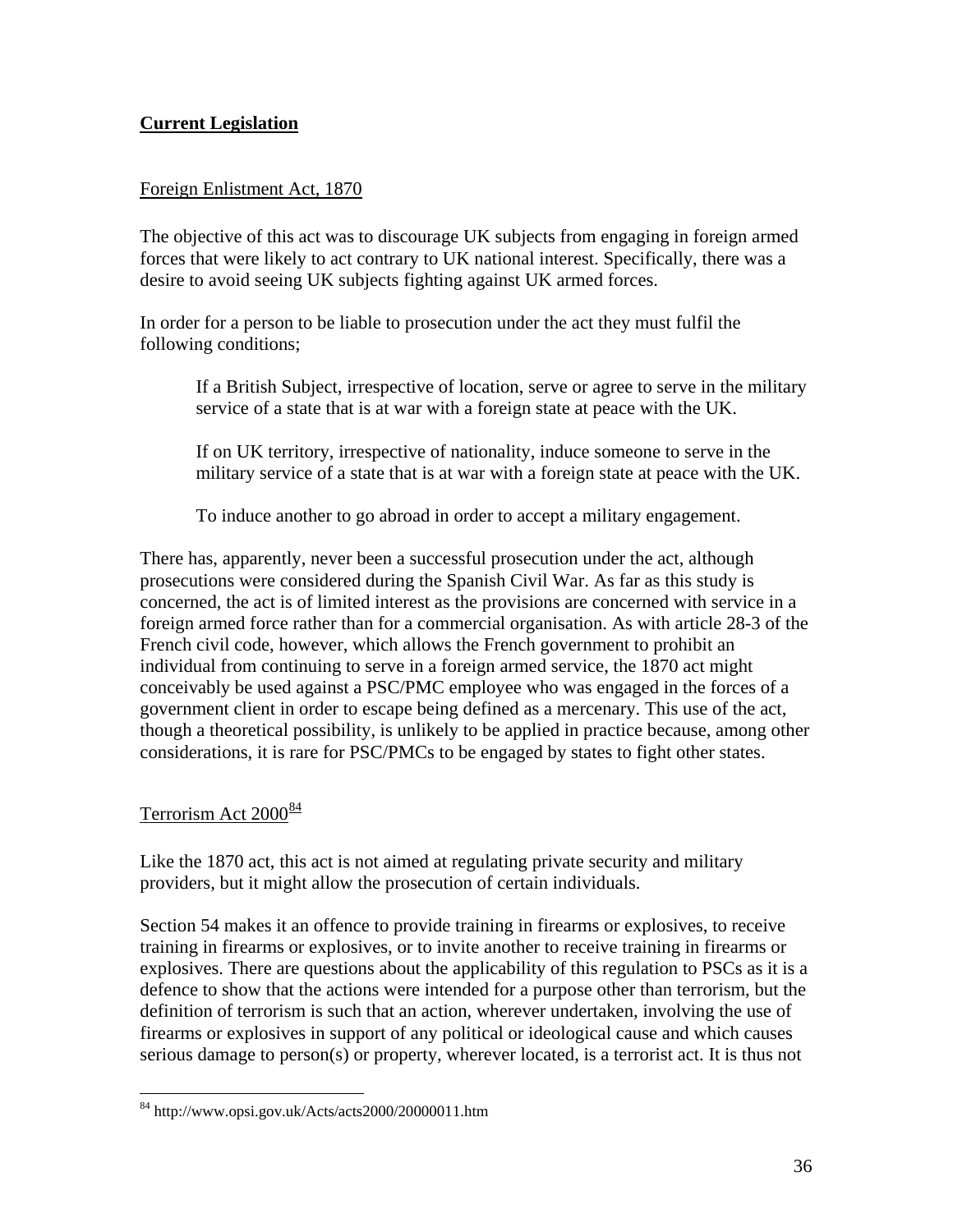# <span id="page-35-0"></span>**Current Legislation**

### Foreign Enlistment Act, 1870

The objective of this act was to discourage UK subjects from engaging in foreign armed forces that were likely to act contrary to UK national interest. Specifically, there was a desire to avoid seeing UK subjects fighting against UK armed forces.

In order for a person to be liable to prosecution under the act they must fulfil the following conditions;

If a British Subject, irrespective of location, serve or agree to serve in the military service of a state that is at war with a foreign state at peace with the UK.

If on UK territory, irrespective of nationality, induce someone to serve in the military service of a state that is at war with a foreign state at peace with the UK.

To induce another to go abroad in order to accept a military engagement.

There has, apparently, never been a successful prosecution under the act, although prosecutions were considered during the Spanish Civil War. As far as this study is concerned, the act is of limited interest as the provisions are concerned with service in a foreign armed force rather than for a commercial organisation. As with article 28-3 of the French civil code, however, which allows the French government to prohibit an individual from continuing to serve in a foreign armed service, the 1870 act might conceivably be used against a PSC/PMC employee who was engaged in the forces of a government client in order to escape being defined as a mercenary. This use of the act, though a theoretical possibility, is unlikely to be applied in practice because, among other considerations, it is rare for PSC/PMCs to be engaged by states to fight other states.

### Terrorism Act 2000<sup>[84](#page-35-1)</sup>

 $\overline{a}$ 

Like the 1870 act, this act is not aimed at regulating private security and military providers, but it might allow the prosecution of certain individuals.

Section 54 makes it an offence to provide training in firearms or explosives, to receive training in firearms or explosives, or to invite another to receive training in firearms or explosives. There are questions about the applicability of this regulation to PSCs as it is a defence to show that the actions were intended for a purpose other than terrorism, but the definition of terrorism is such that an action, wherever undertaken, involving the use of firearms or explosives in support of any political or ideological cause and which causes serious damage to person(s) or property, wherever located, is a terrorist act. It is thus not

<span id="page-35-1"></span><sup>84</sup> http://www.opsi.gov.uk/Acts/acts2000/20000011.htm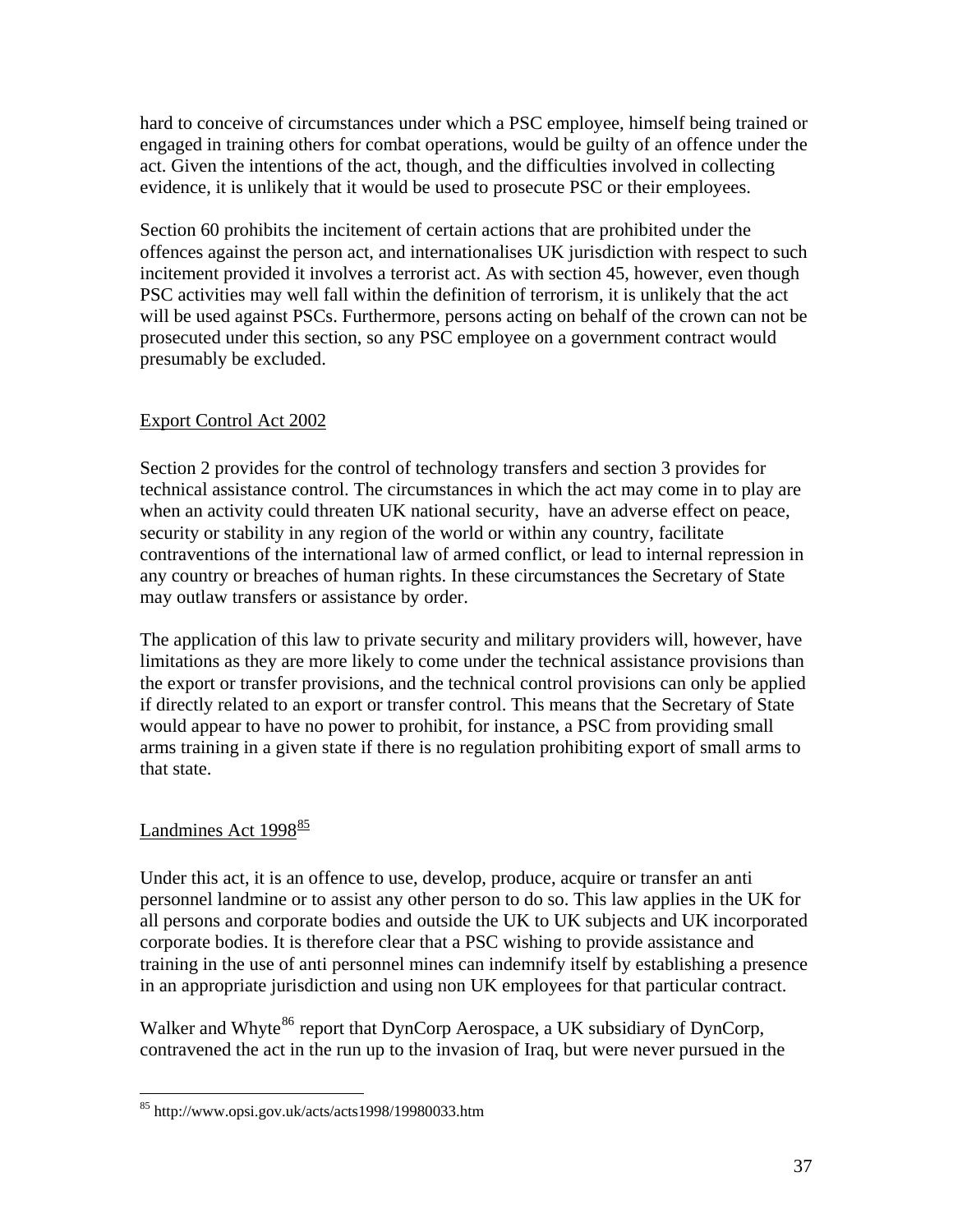<span id="page-36-0"></span>hard to conceive of circumstances under which a PSC employee, himself being trained or engaged in training others for combat operations, would be guilty of an offence under the act. Given the intentions of the act, though, and the difficulties involved in collecting evidence, it is unlikely that it would be used to prosecute PSC or their employees.

Section 60 prohibits the incitement of certain actions that are prohibited under the offences against the person act, and internationalises UK jurisdiction with respect to such incitement provided it involves a terrorist act. As with section 45, however, even though PSC activities may well fall within the definition of terrorism, it is unlikely that the act will be used against PSCs. Furthermore, persons acting on behalf of the crown can not be prosecuted under this section, so any PSC employee on a government contract would presumably be excluded.

# Export Control Act 2002

Section 2 provides for the control of technology transfers and section 3 provides for technical assistance control. The circumstances in which the act may come in to play are when an activity could threaten UK national security, have an adverse effect on peace, security or stability in any region of the world or within any country, facilitate contraventions of the international law of armed conflict, or lead to internal repression in any country or breaches of human rights. In these circumstances the Secretary of State may outlaw transfers or assistance by order.

The application of this law to private security and military providers will, however, have limitations as they are more likely to come under the technical assistance provisions than the export or transfer provisions, and the technical control provisions can only be applied if directly related to an export or transfer control. This means that the Secretary of State would appear to have no power to prohibit, for instance, a PSC from providing small arms training in a given state if there is no regulation prohibiting export of small arms to that state.

# Landmines Act 1998<sup>[85](#page-36-1)</sup>

 $\overline{a}$ 

Under this act, it is an offence to use, develop, produce, acquire or transfer an anti personnel landmine or to assist any other person to do so. This law applies in the UK for all persons and corporate bodies and outside the UK to UK subjects and UK incorporated corporate bodies. It is therefore clear that a PSC wishing to provide assistance and training in the use of anti personnel mines can indemnify itself by establishing a presence in an appropriate jurisdiction and using non UK employees for that particular contract.

<span id="page-36-2"></span>Walker and Whyte<sup>[86](#page-36-2)</sup> report that DynCorp Aerospace, a UK subsidiary of DynCorp, contravened the act in the run up to the invasion of Iraq, but were never pursued in the

<span id="page-36-1"></span><sup>85</sup> http://www.opsi.gov.uk/acts/acts1998/19980033.htm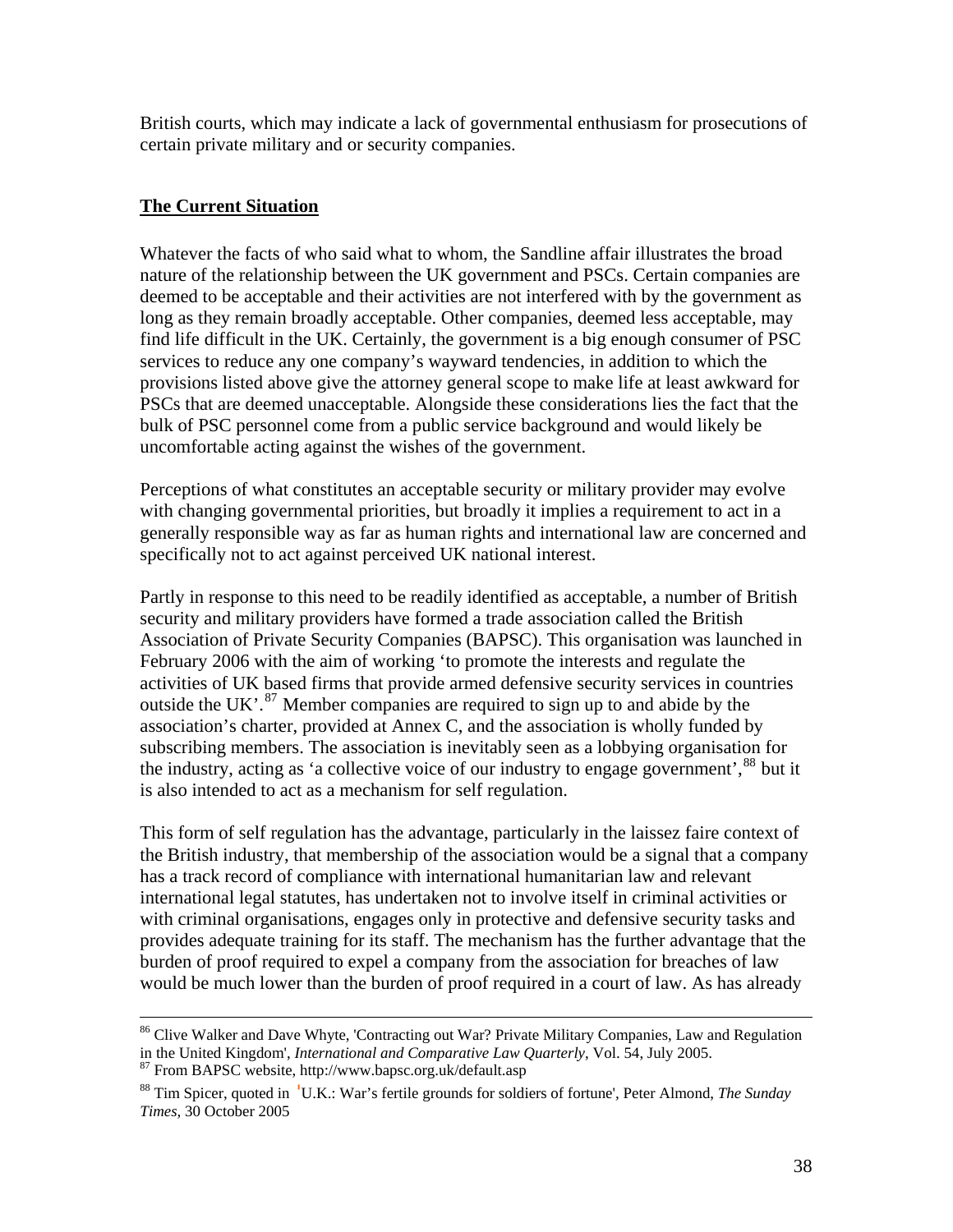<span id="page-37-0"></span>British courts, which may indicate a lack of governmental enthusiasm for prosecutions of certain private military and or security companies.

#### **The Current Situation**

Whatever the facts of who said what to whom, the Sandline affair illustrates the broad nature of the relationship between the UK government and PSCs. Certain companies are deemed to be acceptable and their activities are not interfered with by the government as long as they remain broadly acceptable. Other companies, deemed less acceptable, may find life difficult in the UK. Certainly, the government is a big enough consumer of PSC services to reduce any one company's wayward tendencies, in addition to which the provisions listed above give the attorney general scope to make life at least awkward for PSCs that are deemed unacceptable. Alongside these considerations lies the fact that the bulk of PSC personnel come from a public service background and would likely be uncomfortable acting against the wishes of the government.

Perceptions of what constitutes an acceptable security or military provider may evolve with changing governmental priorities, but broadly it implies a requirement to act in a generally responsible way as far as human rights and international law are concerned and specifically not to act against perceived UK national interest.

Partly in response to this need to be readily identified as acceptable, a number of British security and military providers have formed a trade association called the British Association of Private Security Companies (BAPSC). This organisation was launched in February 2006 with the aim of working 'to promote the interests and regulate the activities of UK based firms that provide armed defensive security services in countries outside the UK'.<sup>[87](#page-37-1)</sup> Member companies are required to sign up to and abide by the association's charter, provided at Annex C, and the association is wholly funded by subscribing members. The association is inevitably seen as a lobbying organisation for the industry, acting as 'a collective voice of our industry to engage government',<sup>[88](#page-37-2)</sup> but it is also intended to act as a mechanism for self regulation.

This form of self regulation has the advantage, particularly in the laissez faire context of the British industry, that membership of the association would be a signal that a company has a track record of compliance with international humanitarian law and relevant international legal statutes, has undertaken not to involve itself in criminal activities or with criminal organisations, engages only in protective and defensive security tasks and provides adequate training for its staff. The mechanism has the further advantage that the burden of proof required to expel a company from the association for breaches of law would be much lower than the burden of proof required in a court of law. As has already

<sup>&</sup>lt;sup>86</sup> Clive Walker and Dave Whyte, 'Contracting out War? Private Military Companies, Law and Regulation in the United Kingdom', *International and Comparative Law Quarterly*, Vol. 54, July 2005.

<span id="page-37-2"></span><span id="page-37-1"></span>

<sup>&</sup>lt;sup>87</sup> From BAPSC website, http://www.bapsc.org.uk/default.asp<br><sup>88</sup> Tim Spicer, quoted in 'U.K.: War's fertile grounds for soldiers of fortune', Peter Almond, *The Sunday [Times,](http://www.timesonline.co.uk/)* 30 October 2005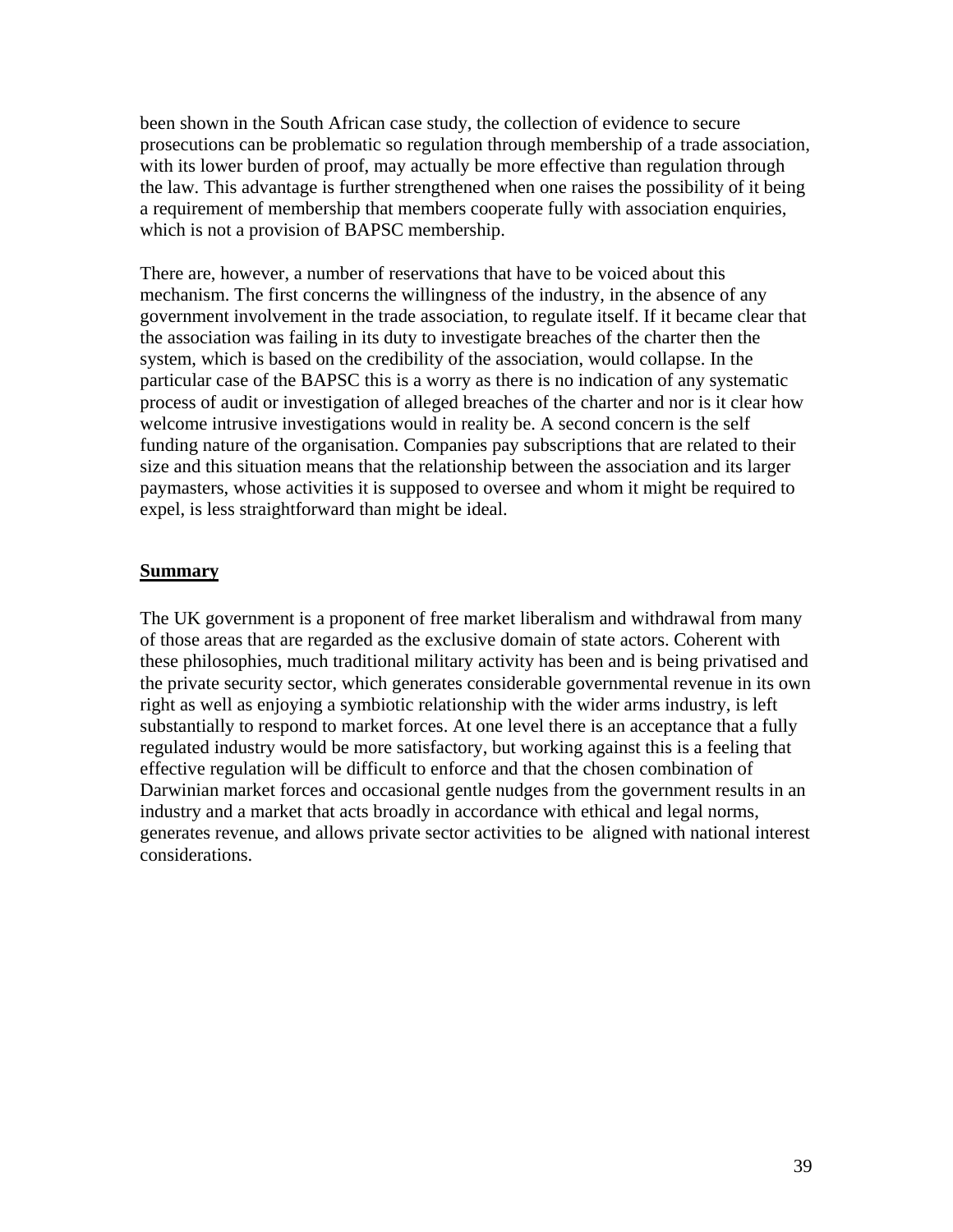<span id="page-38-0"></span>been shown in the South African case study, the collection of evidence to secure prosecutions can be problematic so regulation through membership of a trade association, with its lower burden of proof, may actually be more effective than regulation through the law. This advantage is further strengthened when one raises the possibility of it being a requirement of membership that members cooperate fully with association enquiries, which is not a provision of BAPSC membership.

There are, however, a number of reservations that have to be voiced about this mechanism. The first concerns the willingness of the industry, in the absence of any government involvement in the trade association, to regulate itself. If it became clear that the association was failing in its duty to investigate breaches of the charter then the system, which is based on the credibility of the association, would collapse. In the particular case of the BAPSC this is a worry as there is no indication of any systematic process of audit or investigation of alleged breaches of the charter and nor is it clear how welcome intrusive investigations would in reality be. A second concern is the self funding nature of the organisation. Companies pay subscriptions that are related to their size and this situation means that the relationship between the association and its larger paymasters, whose activities it is supposed to oversee and whom it might be required to expel, is less straightforward than might be ideal.

#### **Summary**

The UK government is a proponent of free market liberalism and withdrawal from many of those areas that are regarded as the exclusive domain of state actors. Coherent with these philosophies, much traditional military activity has been and is being privatised and the private security sector, which generates considerable governmental revenue in its own right as well as enjoying a symbiotic relationship with the wider arms industry, is left substantially to respond to market forces. At one level there is an acceptance that a fully regulated industry would be more satisfactory, but working against this is a feeling that effective regulation will be difficult to enforce and that the chosen combination of Darwinian market forces and occasional gentle nudges from the government results in an industry and a market that acts broadly in accordance with ethical and legal norms, generates revenue, and allows private sector activities to be aligned with national interest considerations.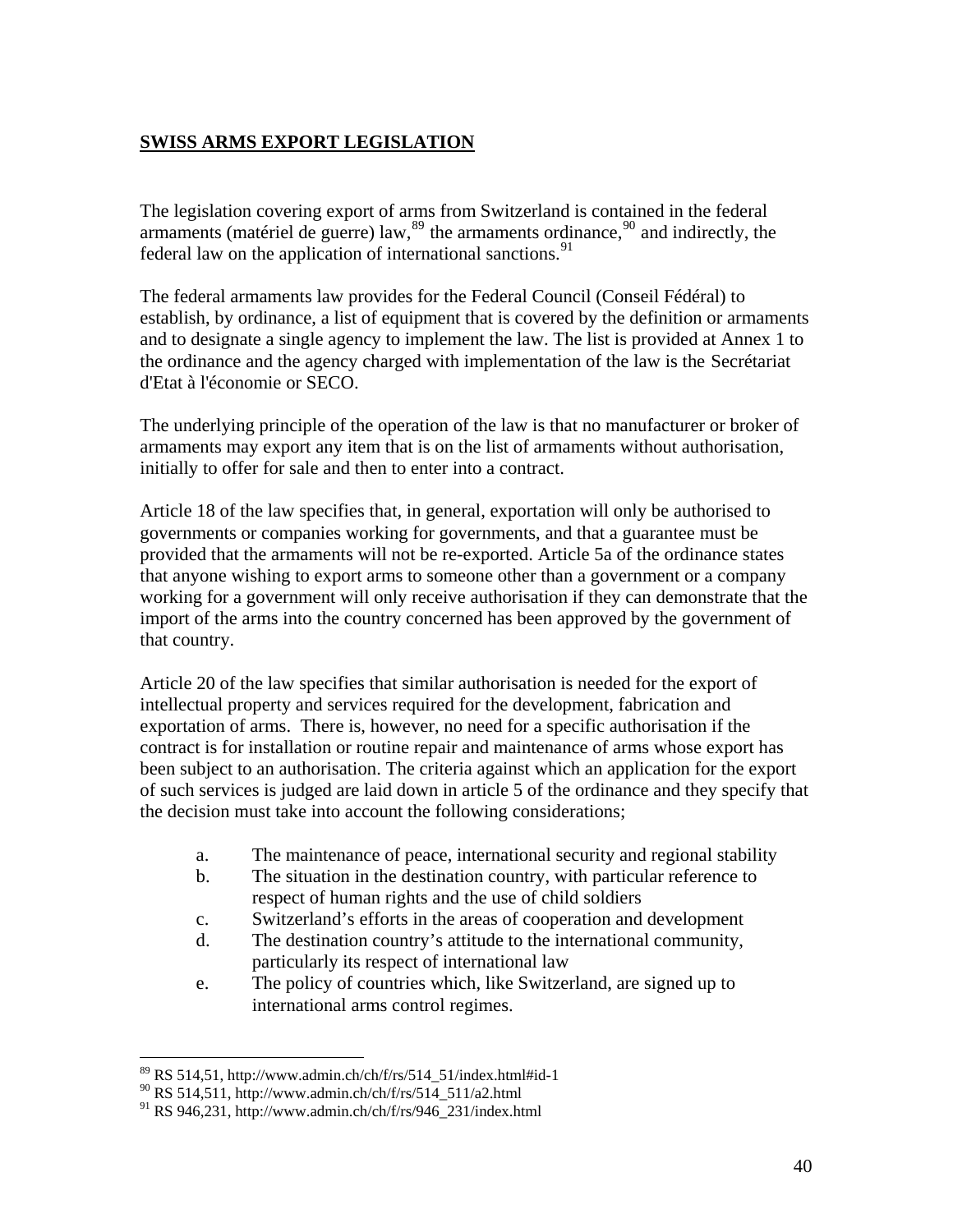# <span id="page-39-0"></span>**SWISS ARMS EXPORT LEGISLATION**

The legislation covering export of arms from Switzerland is contained in the federal armaments (matériel de guerre) law,  $89$  the armaments ordinance,  $90$  and indirectly, the federal law on the application of international sanctions.<sup>[91](#page-39-3)</sup>

The federal armaments law provides for the Federal Council (Conseil Fédéral) to establish, by ordinance, a list of equipment that is covered by the definition or armaments and to designate a single agency to implement the law. The list is provided at Annex 1 to the ordinance and the agency charged with implementation of the law is the Secrétariat d'Etat à l'économie or SECO.

The underlying principle of the operation of the law is that no manufacturer or broker of armaments may export any item that is on the list of armaments without authorisation, initially to offer for sale and then to enter into a contract.

Article 18 of the law specifies that, in general, exportation will only be authorised to governments or companies working for governments, and that a guarantee must be provided that the armaments will not be re-exported. Article 5a of the ordinance states that anyone wishing to export arms to someone other than a government or a company working for a government will only receive authorisation if they can demonstrate that the import of the arms into the country concerned has been approved by the government of that country.

Article 20 of the law specifies that similar authorisation is needed for the export of intellectual property and services required for the development, fabrication and exportation of arms. There is, however, no need for a specific authorisation if the contract is for installation or routine repair and maintenance of arms whose export has been subject to an authorisation. The criteria against which an application for the export of such services is judged are laid down in article 5 of the ordinance and they specify that the decision must take into account the following considerations;

- a. The maintenance of peace, international security and regional stability
- b. The situation in the destination country, with particular reference to respect of human rights and the use of child soldiers
- c. Switzerland's efforts in the areas of cooperation and development
- d. The destination country's attitude to the international community, particularly its respect of international law
- e. The policy of countries which, like Switzerland, are signed up to international arms control regimes.

<span id="page-39-1"></span><sup>89</sup> RS 514,51, http://www.admin.ch/ch/f/rs/514\_51/index.html#id-1

<span id="page-39-2"></span> $^{90}$  RS 514,511, http://www.admin.ch/ch/f/rs/514\_511/a2.html

<span id="page-39-3"></span> $91$  RS 946,231, http://www.admin.ch/ch/f/rs/946\_231/index.html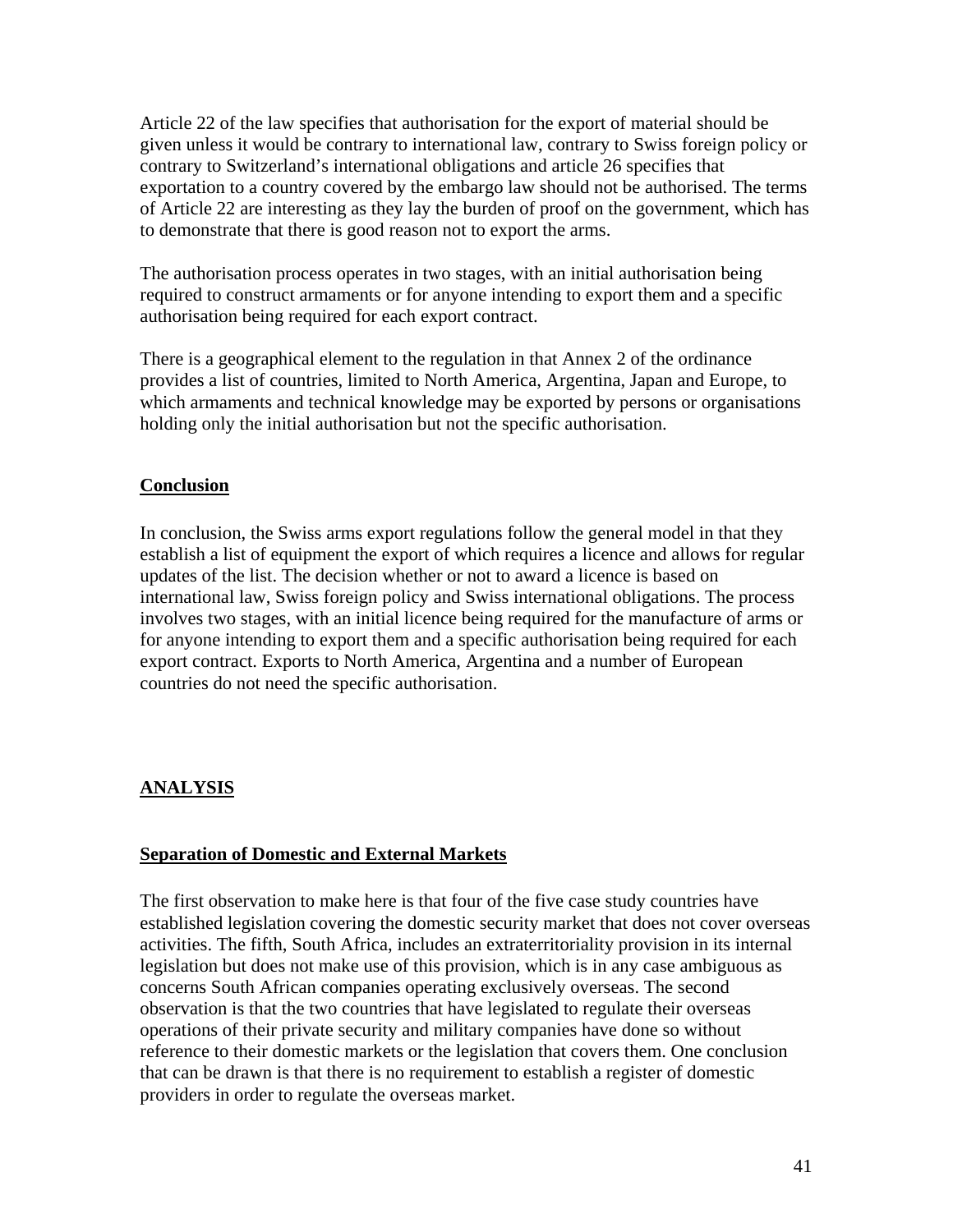<span id="page-40-0"></span>Article 22 of the law specifies that authorisation for the export of material should be given unless it would be contrary to international law, contrary to Swiss foreign policy or contrary to Switzerland's international obligations and article 26 specifies that exportation to a country covered by the embargo law should not be authorised. The terms of Article 22 are interesting as they lay the burden of proof on the government, which has to demonstrate that there is good reason not to export the arms.

The authorisation process operates in two stages, with an initial authorisation being required to construct armaments or for anyone intending to export them and a specific authorisation being required for each export contract.

There is a geographical element to the regulation in that Annex 2 of the ordinance provides a list of countries, limited to North America, Argentina, Japan and Europe, to which armaments and technical knowledge may be exported by persons or organisations holding only the initial authorisation but not the specific authorisation.

### **Conclusion**

In conclusion, the Swiss arms export regulations follow the general model in that they establish a list of equipment the export of which requires a licence and allows for regular updates of the list. The decision whether or not to award a licence is based on international law, Swiss foreign policy and Swiss international obligations. The process involves two stages, with an initial licence being required for the manufacture of arms or for anyone intending to export them and a specific authorisation being required for each export contract. Exports to North America, Argentina and a number of European countries do not need the specific authorisation.

### **ANALYSIS**

### **Separation of Domestic and External Markets**

The first observation to make here is that four of the five case study countries have established legislation covering the domestic security market that does not cover overseas activities. The fifth, South Africa, includes an extraterritoriality provision in its internal legislation but does not make use of this provision, which is in any case ambiguous as concerns South African companies operating exclusively overseas. The second observation is that the two countries that have legislated to regulate their overseas operations of their private security and military companies have done so without reference to their domestic markets or the legislation that covers them. One conclusion that can be drawn is that there is no requirement to establish a register of domestic providers in order to regulate the overseas market.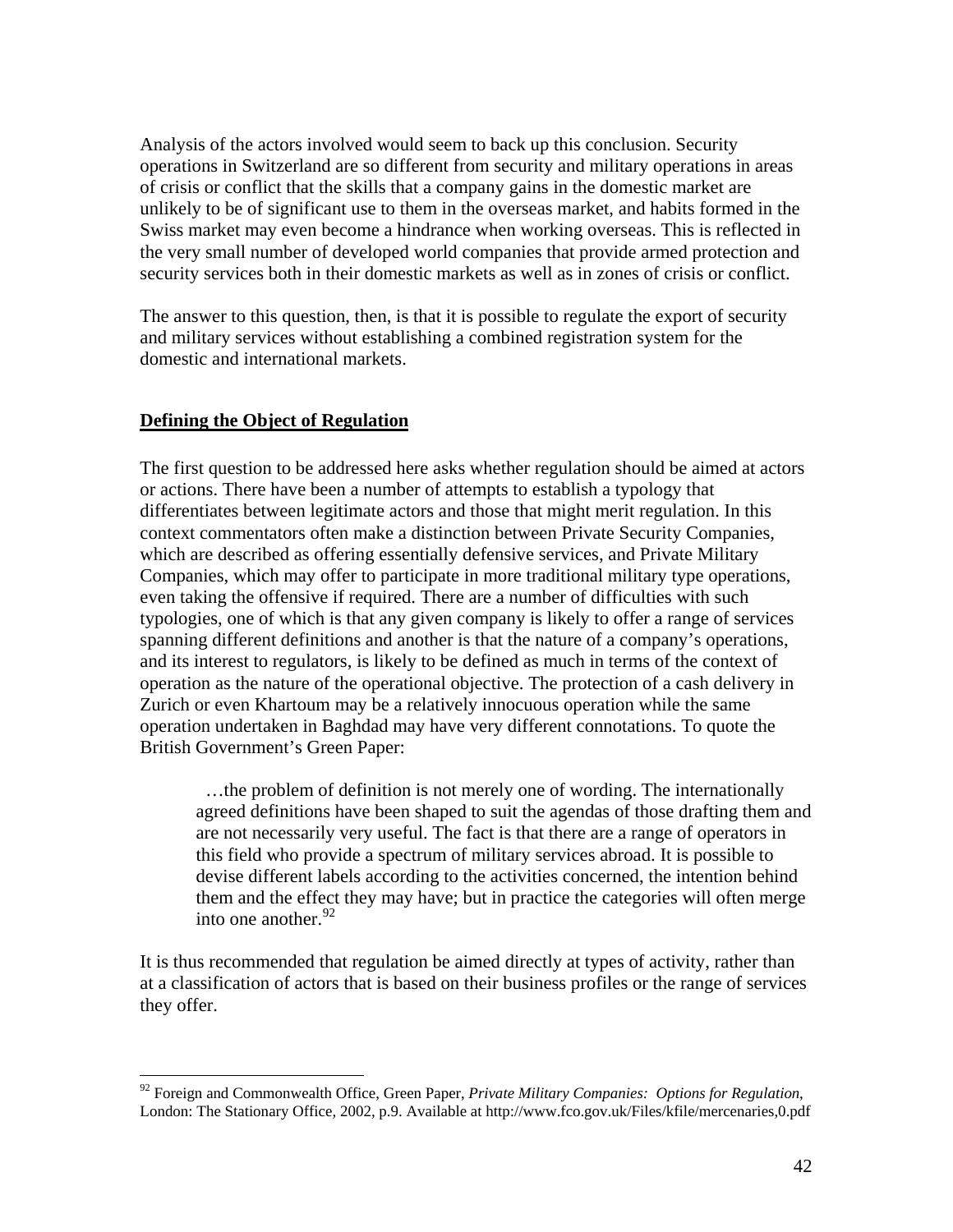<span id="page-41-0"></span>Analysis of the actors involved would seem to back up this conclusion. Security operations in Switzerland are so different from security and military operations in areas of crisis or conflict that the skills that a company gains in the domestic market are unlikely to be of significant use to them in the overseas market, and habits formed in the Swiss market may even become a hindrance when working overseas. This is reflected in the very small number of developed world companies that provide armed protection and security services both in their domestic markets as well as in zones of crisis or conflict.

The answer to this question, then, is that it is possible to regulate the export of security and military services without establishing a combined registration system for the domestic and international markets.

#### **Defining the Object of Regulation**

 $\overline{a}$ 

The first question to be addressed here asks whether regulation should be aimed at actors or actions. There have been a number of attempts to establish a typology that differentiates between legitimate actors and those that might merit regulation. In this context commentators often make a distinction between Private Security Companies, which are described as offering essentially defensive services, and Private Military Companies, which may offer to participate in more traditional military type operations, even taking the offensive if required. There are a number of difficulties with such typologies, one of which is that any given company is likely to offer a range of services spanning different definitions and another is that the nature of a company's operations, and its interest to regulators, is likely to be defined as much in terms of the context of operation as the nature of the operational objective. The protection of a cash delivery in Zurich or even Khartoum may be a relatively innocuous operation while the same operation undertaken in Baghdad may have very different connotations. To quote the British Government's Green Paper:

 …the problem of definition is not merely one of wording. The internationally agreed definitions have been shaped to suit the agendas of those drafting them and are not necessarily very useful. The fact is that there are a range of operators in this field who provide a spectrum of military services abroad. It is possible to devise different labels according to the activities concerned, the intention behind them and the effect they may have; but in practice the categories will often merge into one another.  $92$ 

It is thus recommended that regulation be aimed directly at types of activity, rather than at a classification of actors that is based on their business profiles or the range of services they offer.

<span id="page-41-1"></span><sup>92</sup> Foreign and Commonwealth Office, Green Paper, *Private Military Companies: Options for Regulation*, London: The Stationary Office, 2002, p.9. Available at<http://www.fco.gov.uk/Files/kfile/mercenaries,0.pdf>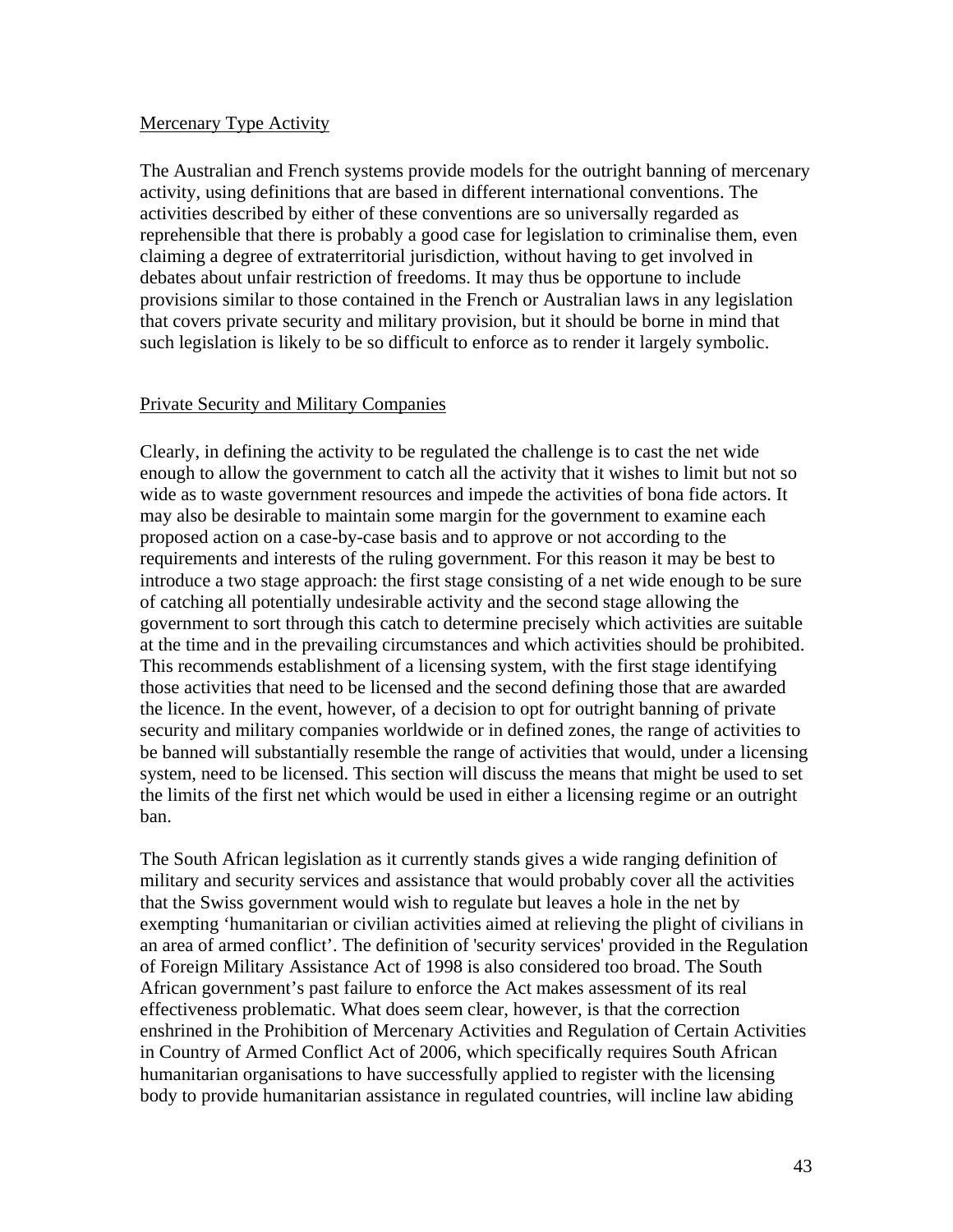#### <span id="page-42-0"></span>Mercenary Type Activity

The Australian and French systems provide models for the outright banning of mercenary activity, using definitions that are based in different international conventions. The activities described by either of these conventions are so universally regarded as reprehensible that there is probably a good case for legislation to criminalise them, even claiming a degree of extraterritorial jurisdiction, without having to get involved in debates about unfair restriction of freedoms. It may thus be opportune to include provisions similar to those contained in the French or Australian laws in any legislation that covers private security and military provision, but it should be borne in mind that such legislation is likely to be so difficult to enforce as to render it largely symbolic.

#### Private Security and Military Companies

Clearly, in defining the activity to be regulated the challenge is to cast the net wide enough to allow the government to catch all the activity that it wishes to limit but not so wide as to waste government resources and impede the activities of bona fide actors. It may also be desirable to maintain some margin for the government to examine each proposed action on a case-by-case basis and to approve or not according to the requirements and interests of the ruling government. For this reason it may be best to introduce a two stage approach: the first stage consisting of a net wide enough to be sure of catching all potentially undesirable activity and the second stage allowing the government to sort through this catch to determine precisely which activities are suitable at the time and in the prevailing circumstances and which activities should be prohibited. This recommends establishment of a licensing system, with the first stage identifying those activities that need to be licensed and the second defining those that are awarded the licence. In the event, however, of a decision to opt for outright banning of private security and military companies worldwide or in defined zones, the range of activities to be banned will substantially resemble the range of activities that would, under a licensing system, need to be licensed. This section will discuss the means that might be used to set the limits of the first net which would be used in either a licensing regime or an outright ban.

The South African legislation as it currently stands gives a wide ranging definition of military and security services and assistance that would probably cover all the activities that the Swiss government would wish to regulate but leaves a hole in the net by exempting 'humanitarian or civilian activities aimed at relieving the plight of civilians in an area of armed conflict'. The definition of 'security services' provided in the Regulation of Foreign Military Assistance Act of 1998 is also considered too broad. The South African government's past failure to enforce the Act makes assessment of its real effectiveness problematic. What does seem clear, however, is that the correction enshrined in the Prohibition of Mercenary Activities and Regulation of Certain Activities in Country of Armed Conflict Act of 2006, which specifically requires South African humanitarian organisations to have successfully applied to register with the licensing body to provide humanitarian assistance in regulated countries, will incline law abiding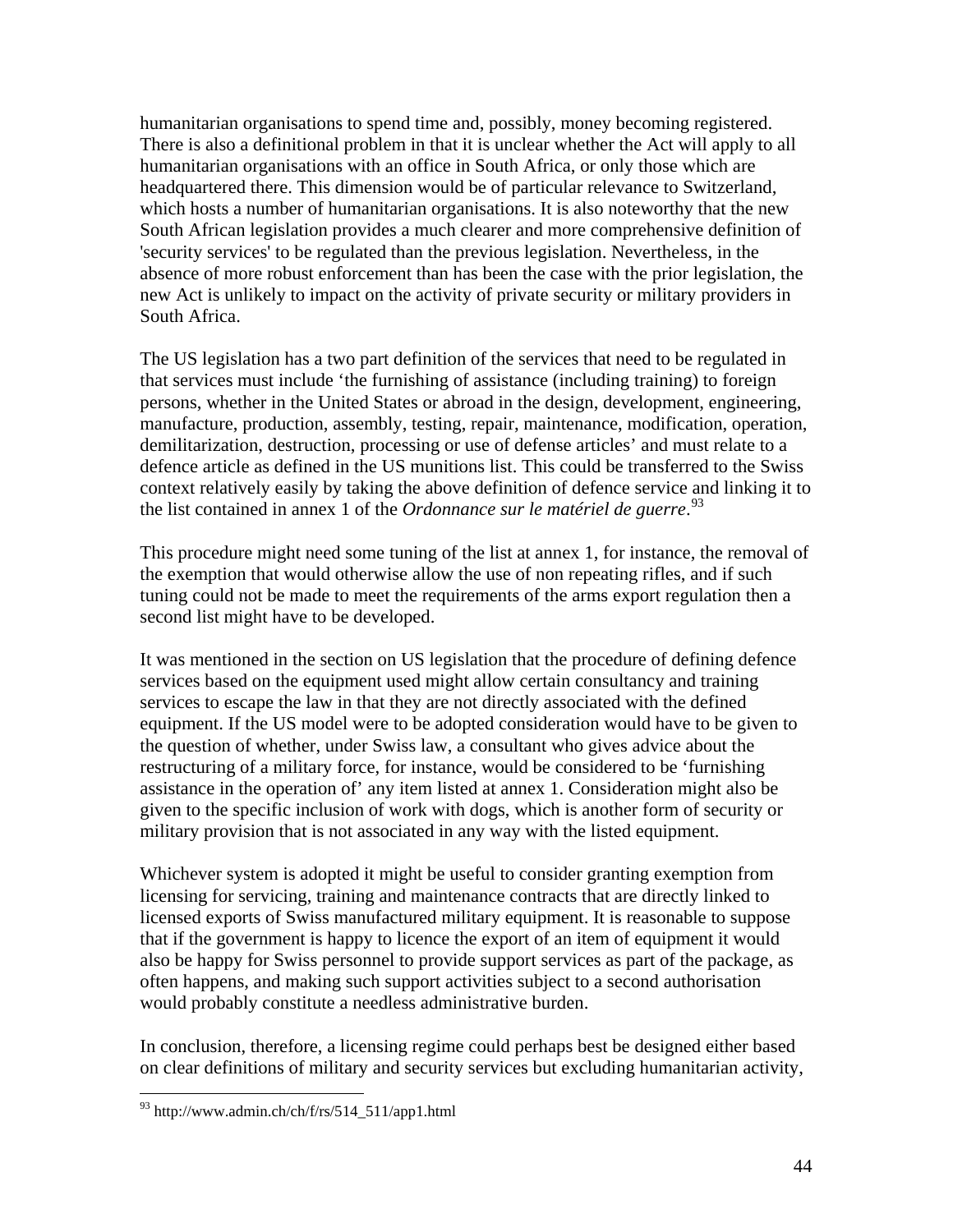humanitarian organisations to spend time and, possibly, money becoming registered. There is also a definitional problem in that it is unclear whether the Act will apply to all humanitarian organisations with an office in South Africa, or only those which are headquartered there. This dimension would be of particular relevance to Switzerland, which hosts a number of humanitarian organisations. It is also noteworthy that the new South African legislation provides a much clearer and more comprehensive definition of 'security services' to be regulated than the previous legislation. Nevertheless, in the absence of more robust enforcement than has been the case with the prior legislation, the new Act is unlikely to impact on the activity of private security or military providers in South Africa.

The US legislation has a two part definition of the services that need to be regulated in that services must include 'the furnishing of assistance (including training) to foreign persons, whether in the United States or abroad in the design, development, engineering, manufacture, production, assembly, testing, repair, maintenance, modification, operation, demilitarization, destruction, processing or use of defense articles' and must relate to a defence article as defined in the US munitions list. This could be transferred to the Swiss context relatively easily by taking the above definition of defence service and linking it to the list contained in annex 1 of the *Ordonnance sur le matériel de guerre*. [93](#page-43-0)

This procedure might need some tuning of the list at annex 1, for instance, the removal of the exemption that would otherwise allow the use of non repeating rifles, and if such tuning could not be made to meet the requirements of the arms export regulation then a second list might have to be developed.

It was mentioned in the section on US legislation that the procedure of defining defence services based on the equipment used might allow certain consultancy and training services to escape the law in that they are not directly associated with the defined equipment. If the US model were to be adopted consideration would have to be given to the question of whether, under Swiss law, a consultant who gives advice about the restructuring of a military force, for instance, would be considered to be 'furnishing assistance in the operation of' any item listed at annex 1. Consideration might also be given to the specific inclusion of work with dogs, which is another form of security or military provision that is not associated in any way with the listed equipment.

Whichever system is adopted it might be useful to consider granting exemption from licensing for servicing, training and maintenance contracts that are directly linked to licensed exports of Swiss manufactured military equipment. It is reasonable to suppose that if the government is happy to licence the export of an item of equipment it would also be happy for Swiss personnel to provide support services as part of the package, as often happens, and making such support activities subject to a second authorisation would probably constitute a needless administrative burden.

In conclusion, therefore, a licensing regime could perhaps best be designed either based on clear definitions of military and security services but excluding humanitarian activity,

<span id="page-43-0"></span> $^{93}$  http://www.admin.ch/ch/f/rs/514\_511/app1.html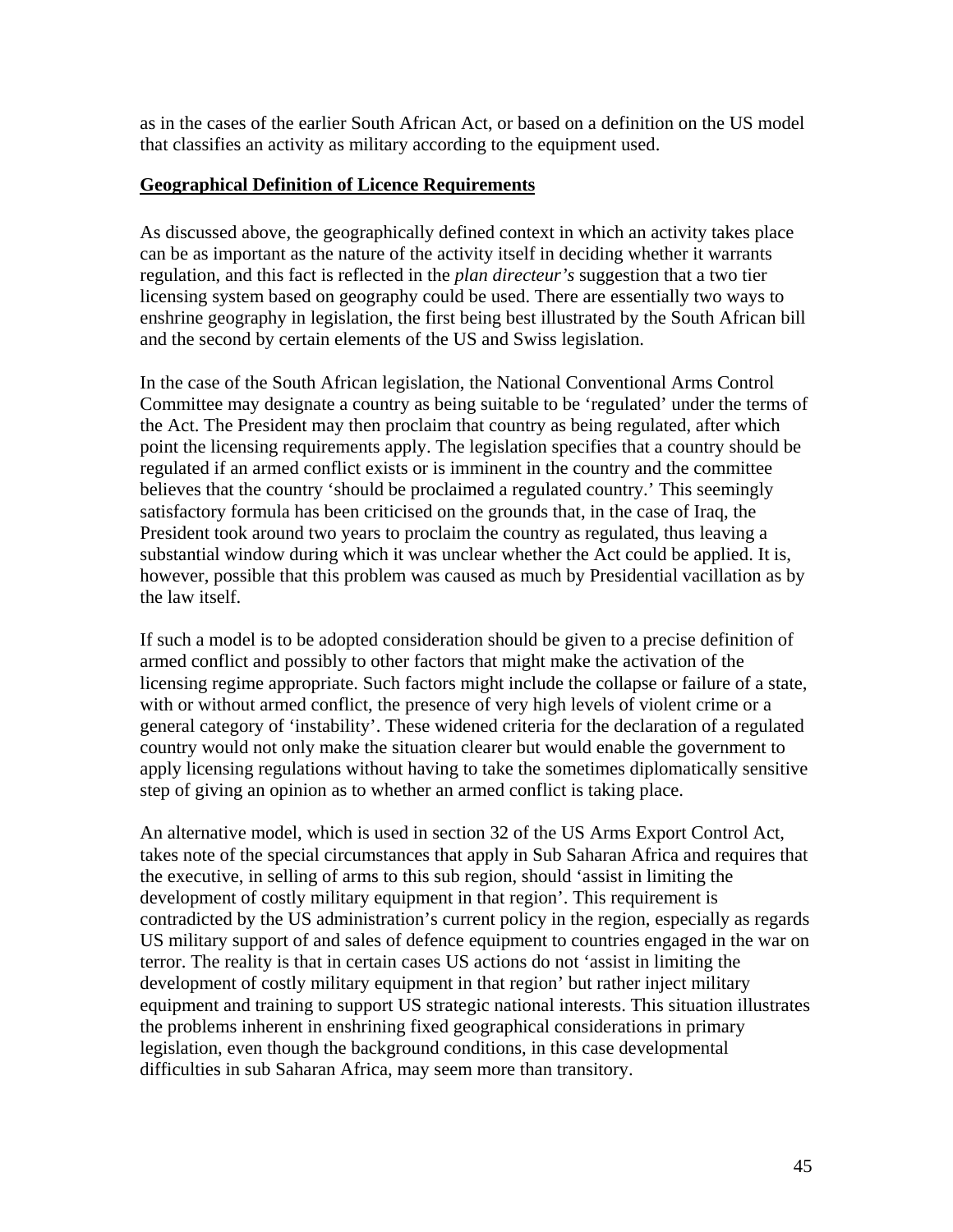<span id="page-44-0"></span>as in the cases of the earlier South African Act, or based on a definition on the US model that classifies an activity as military according to the equipment used.

### **Geographical Definition of Licence Requirements**

As discussed above, the geographically defined context in which an activity takes place can be as important as the nature of the activity itself in deciding whether it warrants regulation, and this fact is reflected in the *plan directeur's* suggestion that a two tier licensing system based on geography could be used. There are essentially two ways to enshrine geography in legislation, the first being best illustrated by the South African bill and the second by certain elements of the US and Swiss legislation.

In the case of the South African legislation, the National Conventional Arms Control Committee may designate a country as being suitable to be 'regulated' under the terms of the Act. The President may then proclaim that country as being regulated, after which point the licensing requirements apply. The legislation specifies that a country should be regulated if an armed conflict exists or is imminent in the country and the committee believes that the country 'should be proclaimed a regulated country.' This seemingly satisfactory formula has been criticised on the grounds that, in the case of Iraq, the President took around two years to proclaim the country as regulated, thus leaving a substantial window during which it was unclear whether the Act could be applied. It is, however, possible that this problem was caused as much by Presidential vacillation as by the law itself.

If such a model is to be adopted consideration should be given to a precise definition of armed conflict and possibly to other factors that might make the activation of the licensing regime appropriate. Such factors might include the collapse or failure of a state, with or without armed conflict, the presence of very high levels of violent crime or a general category of 'instability'. These widened criteria for the declaration of a regulated country would not only make the situation clearer but would enable the government to apply licensing regulations without having to take the sometimes diplomatically sensitive step of giving an opinion as to whether an armed conflict is taking place.

An alternative model, which is used in section 32 of the US Arms Export Control Act, takes note of the special circumstances that apply in Sub Saharan Africa and requires that the executive, in selling of arms to this sub region, should 'assist in limiting the development of costly military equipment in that region'. This requirement is contradicted by the US administration's current policy in the region, especially as regards US military support of and sales of defence equipment to countries engaged in the war on terror. The reality is that in certain cases US actions do not 'assist in limiting the development of costly military equipment in that region' but rather inject military equipment and training to support US strategic national interests. This situation illustrates the problems inherent in enshrining fixed geographical considerations in primary legislation, even though the background conditions, in this case developmental difficulties in sub Saharan Africa, may seem more than transitory.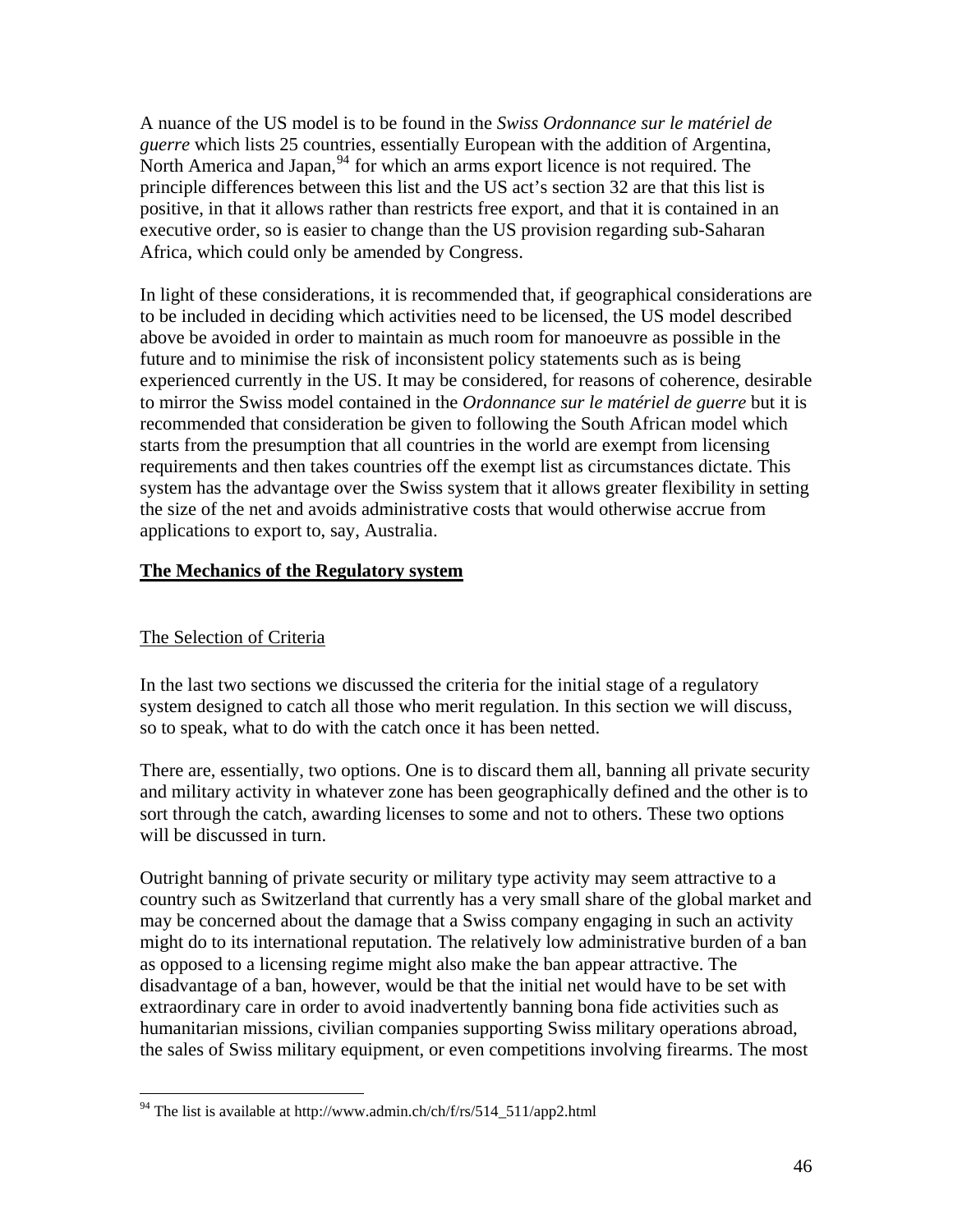<span id="page-45-0"></span>A nuance of the US model is to be found in the *Swiss Ordonnance sur le matériel de guerre* which lists 25 countries, essentially European with the addition of Argentina, North America and Japan,  $94$  for which an arms export licence is not required. The principle differences between this list and the US act's section 32 are that this list is positive, in that it allows rather than restricts free export, and that it is contained in an executive order, so is easier to change than the US provision regarding sub-Saharan Africa, which could only be amended by Congress.

In light of these considerations, it is recommended that, if geographical considerations are to be included in deciding which activities need to be licensed, the US model described above be avoided in order to maintain as much room for manoeuvre as possible in the future and to minimise the risk of inconsistent policy statements such as is being experienced currently in the US. It may be considered, for reasons of coherence, desirable to mirror the Swiss model contained in the *Ordonnance sur le matériel de guerre* but it is recommended that consideration be given to following the South African model which starts from the presumption that all countries in the world are exempt from licensing requirements and then takes countries off the exempt list as circumstances dictate. This system has the advantage over the Swiss system that it allows greater flexibility in setting the size of the net and avoids administrative costs that would otherwise accrue from applications to export to, say, Australia.

### **The Mechanics of the Regulatory system**

### The Selection of Criteria

 $\overline{a}$ 

In the last two sections we discussed the criteria for the initial stage of a regulatory system designed to catch all those who merit regulation. In this section we will discuss, so to speak, what to do with the catch once it has been netted.

There are, essentially, two options. One is to discard them all, banning all private security and military activity in whatever zone has been geographically defined and the other is to sort through the catch, awarding licenses to some and not to others. These two options will be discussed in turn.

Outright banning of private security or military type activity may seem attractive to a country such as Switzerland that currently has a very small share of the global market and may be concerned about the damage that a Swiss company engaging in such an activity might do to its international reputation. The relatively low administrative burden of a ban as opposed to a licensing regime might also make the ban appear attractive. The disadvantage of a ban, however, would be that the initial net would have to be set with extraordinary care in order to avoid inadvertently banning bona fide activities such as humanitarian missions, civilian companies supporting Swiss military operations abroad, the sales of Swiss military equipment, or even competitions involving firearms. The most

<span id="page-45-1"></span><sup>&</sup>lt;sup>94</sup> The list is available at http://www.admin.ch/ch/f/rs/514\_511/app2.html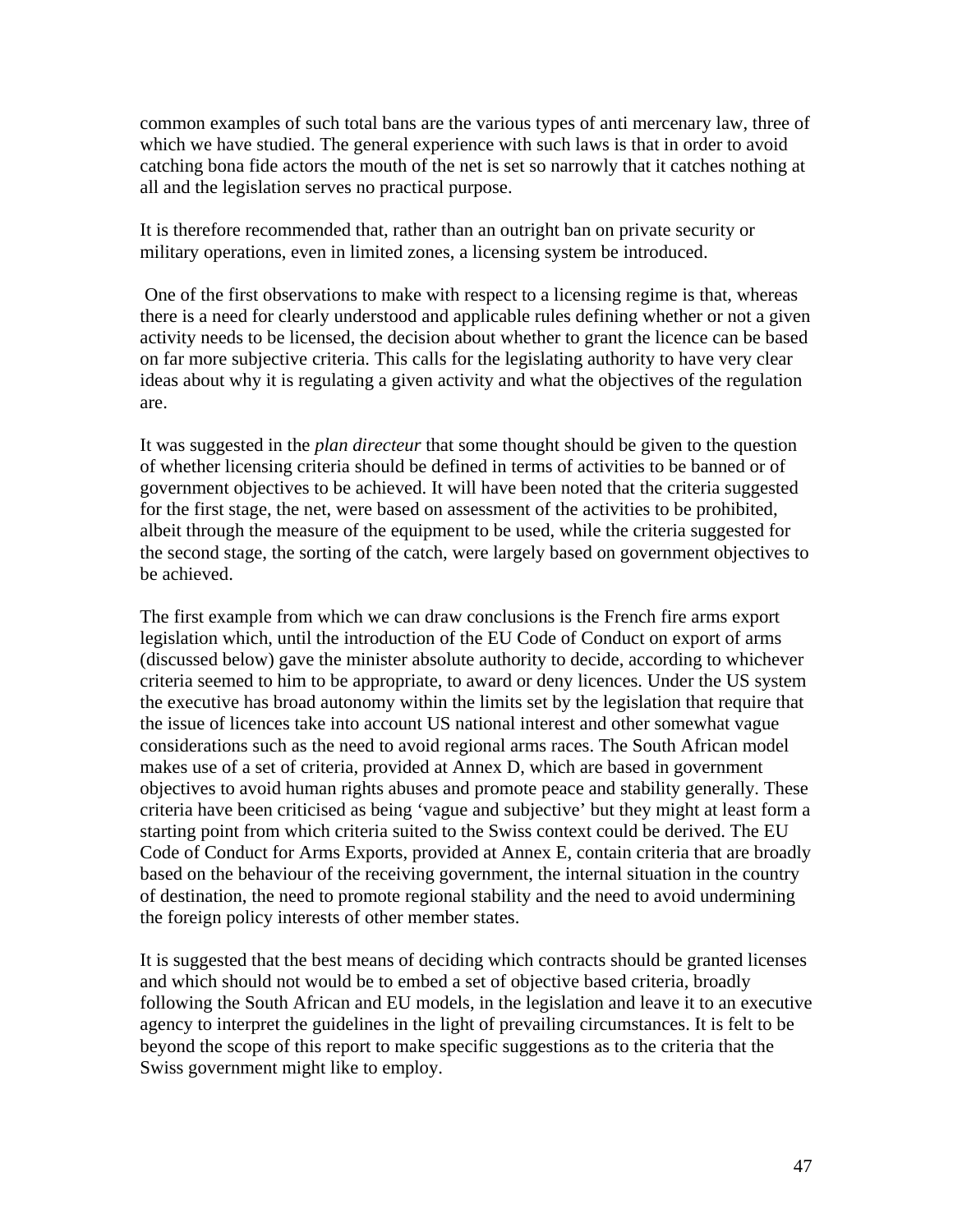common examples of such total bans are the various types of anti mercenary law, three of which we have studied. The general experience with such laws is that in order to avoid catching bona fide actors the mouth of the net is set so narrowly that it catches nothing at all and the legislation serves no practical purpose.

It is therefore recommended that, rather than an outright ban on private security or military operations, even in limited zones, a licensing system be introduced.

 One of the first observations to make with respect to a licensing regime is that, whereas there is a need for clearly understood and applicable rules defining whether or not a given activity needs to be licensed, the decision about whether to grant the licence can be based on far more subjective criteria. This calls for the legislating authority to have very clear ideas about why it is regulating a given activity and what the objectives of the regulation are.

It was suggested in the *plan directeur* that some thought should be given to the question of whether licensing criteria should be defined in terms of activities to be banned or of government objectives to be achieved. It will have been noted that the criteria suggested for the first stage, the net, were based on assessment of the activities to be prohibited, albeit through the measure of the equipment to be used, while the criteria suggested for the second stage, the sorting of the catch, were largely based on government objectives to be achieved.

The first example from which we can draw conclusions is the French fire arms export legislation which, until the introduction of the EU Code of Conduct on export of arms (discussed below) gave the minister absolute authority to decide, according to whichever criteria seemed to him to be appropriate, to award or deny licences. Under the US system the executive has broad autonomy within the limits set by the legislation that require that the issue of licences take into account US national interest and other somewhat vague considerations such as the need to avoid regional arms races. The South African model makes use of a set of criteria, provided at Annex D, which are based in government objectives to avoid human rights abuses and promote peace and stability generally. These criteria have been criticised as being 'vague and subjective' but they might at least form a starting point from which criteria suited to the Swiss context could be derived. The EU Code of Conduct for Arms Exports, provided at Annex E, contain criteria that are broadly based on the behaviour of the receiving government, the internal situation in the country of destination, the need to promote regional stability and the need to avoid undermining the foreign policy interests of other member states.

It is suggested that the best means of deciding which contracts should be granted licenses and which should not would be to embed a set of objective based criteria, broadly following the South African and EU models, in the legislation and leave it to an executive agency to interpret the guidelines in the light of prevailing circumstances. It is felt to be beyond the scope of this report to make specific suggestions as to the criteria that the Swiss government might like to employ.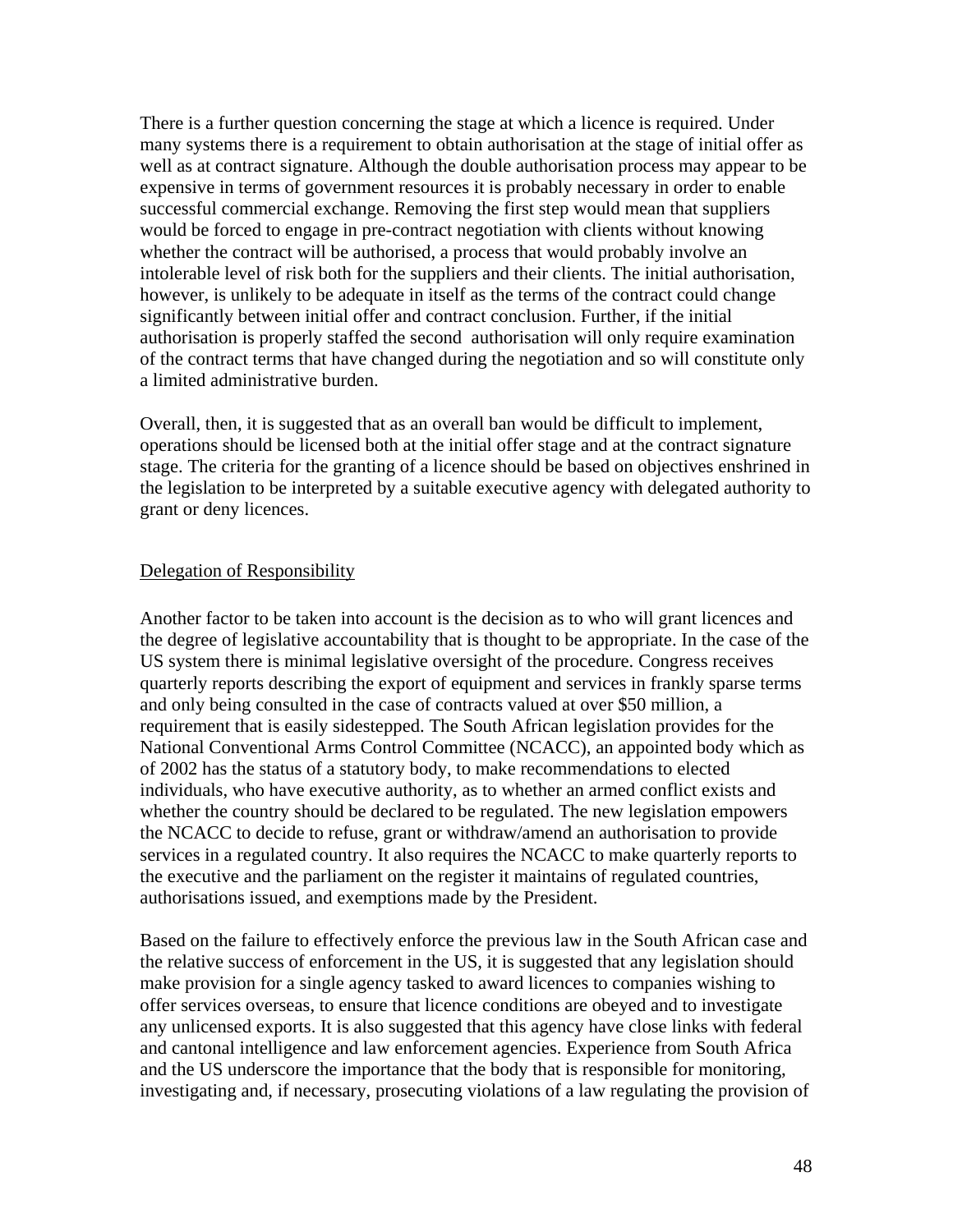<span id="page-47-0"></span>There is a further question concerning the stage at which a licence is required. Under many systems there is a requirement to obtain authorisation at the stage of initial offer as well as at contract signature. Although the double authorisation process may appear to be expensive in terms of government resources it is probably necessary in order to enable successful commercial exchange. Removing the first step would mean that suppliers would be forced to engage in pre-contract negotiation with clients without knowing whether the contract will be authorised, a process that would probably involve an intolerable level of risk both for the suppliers and their clients. The initial authorisation, however, is unlikely to be adequate in itself as the terms of the contract could change significantly between initial offer and contract conclusion. Further, if the initial authorisation is properly staffed the second authorisation will only require examination of the contract terms that have changed during the negotiation and so will constitute only a limited administrative burden.

Overall, then, it is suggested that as an overall ban would be difficult to implement, operations should be licensed both at the initial offer stage and at the contract signature stage. The criteria for the granting of a licence should be based on objectives enshrined in the legislation to be interpreted by a suitable executive agency with delegated authority to grant or deny licences.

#### Delegation of Responsibility

Another factor to be taken into account is the decision as to who will grant licences and the degree of legislative accountability that is thought to be appropriate. In the case of the US system there is minimal legislative oversight of the procedure. Congress receives quarterly reports describing the export of equipment and services in frankly sparse terms and only being consulted in the case of contracts valued at over \$50 million, a requirement that is easily sidestepped. The South African legislation provides for the National Conventional Arms Control Committee (NCACC), an appointed body which as of 2002 has the status of a statutory body, to make recommendations to elected individuals, who have executive authority, as to whether an armed conflict exists and whether the country should be declared to be regulated. The new legislation empowers the NCACC to decide to refuse, grant or withdraw/amend an authorisation to provide services in a regulated country. It also requires the NCACC to make quarterly reports to the executive and the parliament on the register it maintains of regulated countries, authorisations issued, and exemptions made by the President.

Based on the failure to effectively enforce the previous law in the South African case and the relative success of enforcement in the US, it is suggested that any legislation should make provision for a single agency tasked to award licences to companies wishing to offer services overseas, to ensure that licence conditions are obeyed and to investigate any unlicensed exports. It is also suggested that this agency have close links with federal and cantonal intelligence and law enforcement agencies. Experience from South Africa and the US underscore the importance that the body that is responsible for monitoring, investigating and, if necessary, prosecuting violations of a law regulating the provision of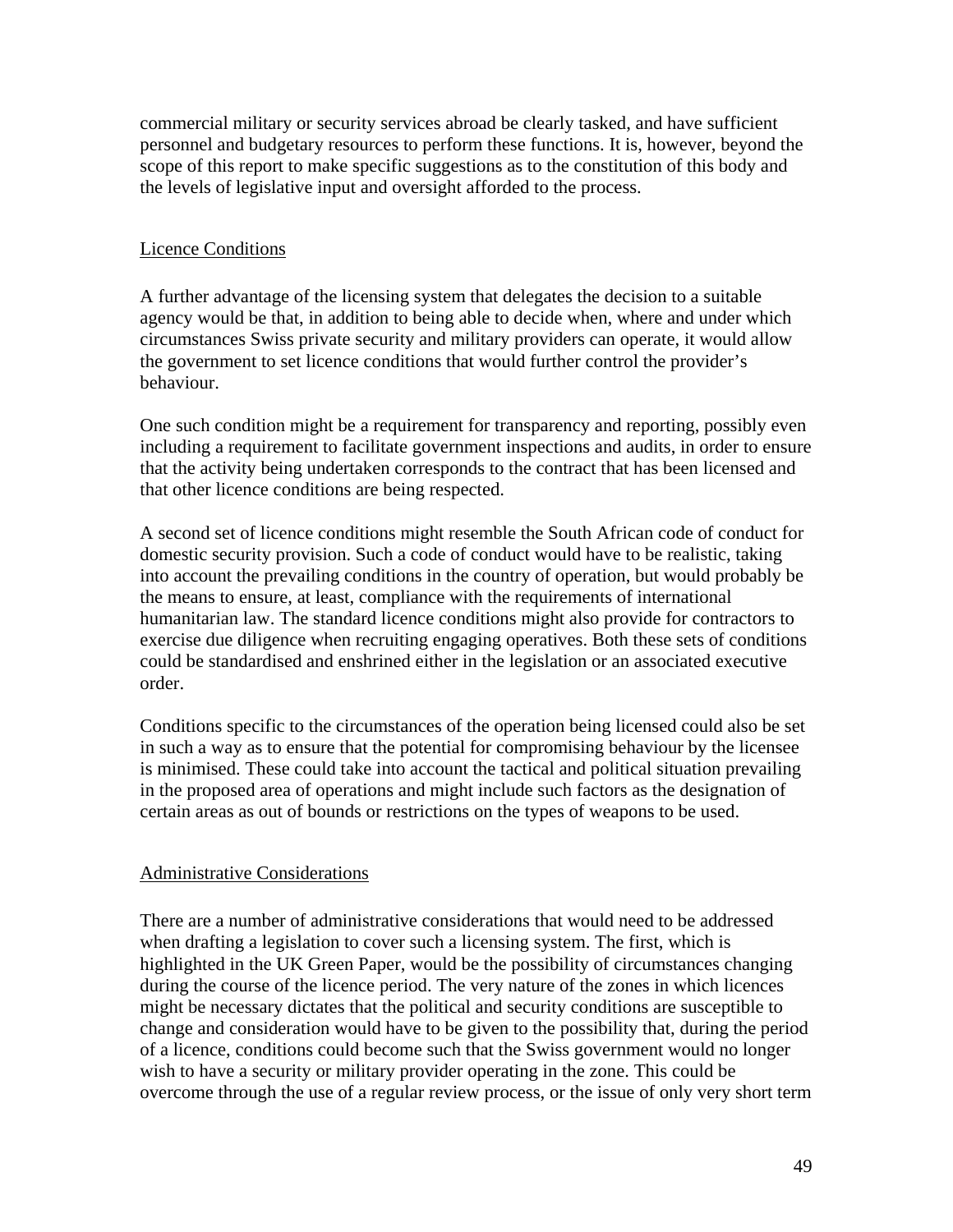<span id="page-48-0"></span>commercial military or security services abroad be clearly tasked, and have sufficient personnel and budgetary resources to perform these functions. It is, however, beyond the scope of this report to make specific suggestions as to the constitution of this body and the levels of legislative input and oversight afforded to the process.

### Licence Conditions

A further advantage of the licensing system that delegates the decision to a suitable agency would be that, in addition to being able to decide when, where and under which circumstances Swiss private security and military providers can operate, it would allow the government to set licence conditions that would further control the provider's behaviour.

One such condition might be a requirement for transparency and reporting, possibly even including a requirement to facilitate government inspections and audits, in order to ensure that the activity being undertaken corresponds to the contract that has been licensed and that other licence conditions are being respected.

A second set of licence conditions might resemble the South African code of conduct for domestic security provision. Such a code of conduct would have to be realistic, taking into account the prevailing conditions in the country of operation, but would probably be the means to ensure, at least, compliance with the requirements of international humanitarian law. The standard licence conditions might also provide for contractors to exercise due diligence when recruiting engaging operatives. Both these sets of conditions could be standardised and enshrined either in the legislation or an associated executive order.

Conditions specific to the circumstances of the operation being licensed could also be set in such a way as to ensure that the potential for compromising behaviour by the licensee is minimised. These could take into account the tactical and political situation prevailing in the proposed area of operations and might include such factors as the designation of certain areas as out of bounds or restrictions on the types of weapons to be used.

### Administrative Considerations

There are a number of administrative considerations that would need to be addressed when drafting a legislation to cover such a licensing system. The first, which is highlighted in the UK Green Paper, would be the possibility of circumstances changing during the course of the licence period. The very nature of the zones in which licences might be necessary dictates that the political and security conditions are susceptible to change and consideration would have to be given to the possibility that, during the period of a licence, conditions could become such that the Swiss government would no longer wish to have a security or military provider operating in the zone. This could be overcome through the use of a regular review process, or the issue of only very short term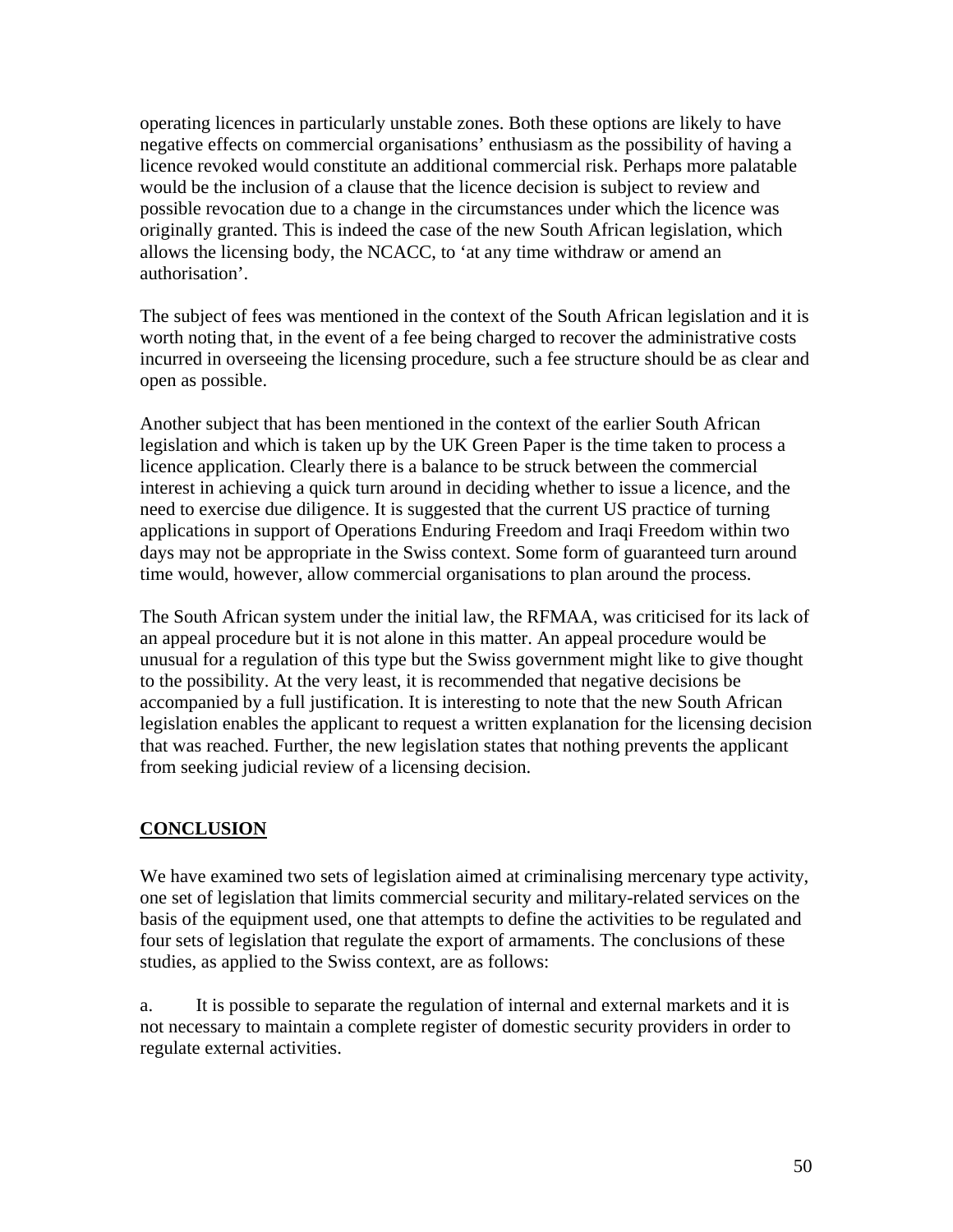<span id="page-49-0"></span>operating licences in particularly unstable zones. Both these options are likely to have negative effects on commercial organisations' enthusiasm as the possibility of having a licence revoked would constitute an additional commercial risk. Perhaps more palatable would be the inclusion of a clause that the licence decision is subject to review and possible revocation due to a change in the circumstances under which the licence was originally granted. This is indeed the case of the new South African legislation, which allows the licensing body, the NCACC, to 'at any time withdraw or amend an authorisation'.

The subject of fees was mentioned in the context of the South African legislation and it is worth noting that, in the event of a fee being charged to recover the administrative costs incurred in overseeing the licensing procedure, such a fee structure should be as clear and open as possible.

Another subject that has been mentioned in the context of the earlier South African legislation and which is taken up by the UK Green Paper is the time taken to process a licence application. Clearly there is a balance to be struck between the commercial interest in achieving a quick turn around in deciding whether to issue a licence, and the need to exercise due diligence. It is suggested that the current US practice of turning applications in support of Operations Enduring Freedom and Iraqi Freedom within two days may not be appropriate in the Swiss context. Some form of guaranteed turn around time would, however, allow commercial organisations to plan around the process.

The South African system under the initial law, the RFMAA, was criticised for its lack of an appeal procedure but it is not alone in this matter. An appeal procedure would be unusual for a regulation of this type but the Swiss government might like to give thought to the possibility. At the very least, it is recommended that negative decisions be accompanied by a full justification. It is interesting to note that the new South African legislation enables the applicant to request a written explanation for the licensing decision that was reached. Further, the new legislation states that nothing prevents the applicant from seeking judicial review of a licensing decision.

# **CONCLUSION**

We have examined two sets of legislation aimed at criminalising mercenary type activity, one set of legislation that limits commercial security and military-related services on the basis of the equipment used, one that attempts to define the activities to be regulated and four sets of legislation that regulate the export of armaments. The conclusions of these studies, as applied to the Swiss context, are as follows:

a. It is possible to separate the regulation of internal and external markets and it is not necessary to maintain a complete register of domestic security providers in order to regulate external activities.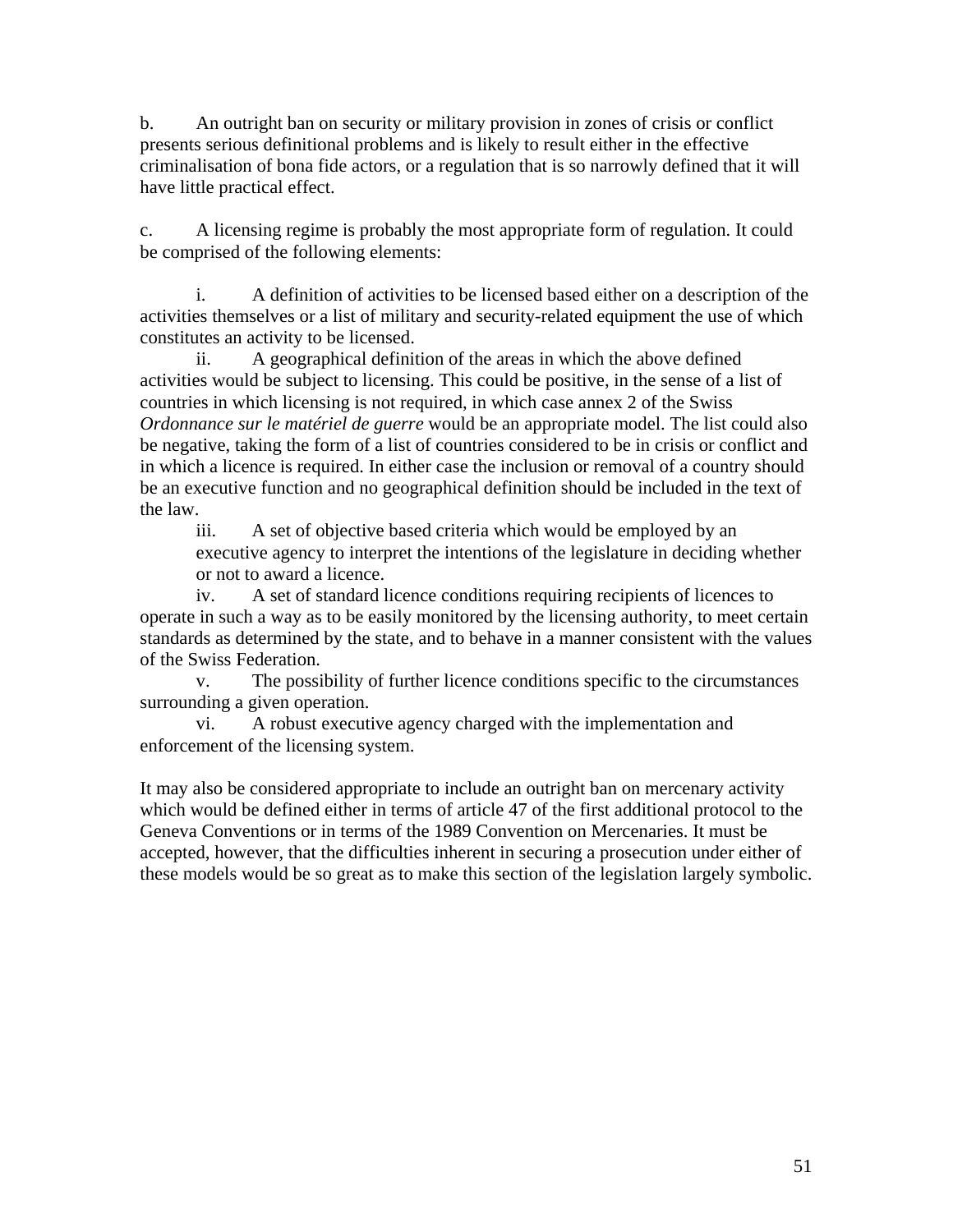b. An outright ban on security or military provision in zones of crisis or conflict presents serious definitional problems and is likely to result either in the effective criminalisation of bona fide actors, or a regulation that is so narrowly defined that it will have little practical effect.

c. A licensing regime is probably the most appropriate form of regulation. It could be comprised of the following elements:

 i. A definition of activities to be licensed based either on a description of the activities themselves or a list of military and security-related equipment the use of which constitutes an activity to be licensed.

ii. A geographical definition of the areas in which the above defined activities would be subject to licensing. This could be positive, in the sense of a list of countries in which licensing is not required, in which case annex 2 of the Swiss *Ordonnance sur le matériel de guerre* would be an appropriate model. The list could also be negative, taking the form of a list of countries considered to be in crisis or conflict and in which a licence is required. In either case the inclusion or removal of a country should be an executive function and no geographical definition should be included in the text of the law.

iii. A set of objective based criteria which would be employed by an executive agency to interpret the intentions of the legislature in deciding whether or not to award a licence.

 iv. A set of standard licence conditions requiring recipients of licences to operate in such a way as to be easily monitored by the licensing authority, to meet certain standards as determined by the state, and to behave in a manner consistent with the values of the Swiss Federation.

 v. The possibility of further licence conditions specific to the circumstances surrounding a given operation.

 vi. A robust executive agency charged with the implementation and enforcement of the licensing system.

It may also be considered appropriate to include an outright ban on mercenary activity which would be defined either in terms of article 47 of the first additional protocol to the Geneva Conventions or in terms of the 1989 Convention on Mercenaries. It must be accepted, however, that the difficulties inherent in securing a prosecution under either of these models would be so great as to make this section of the legislation largely symbolic.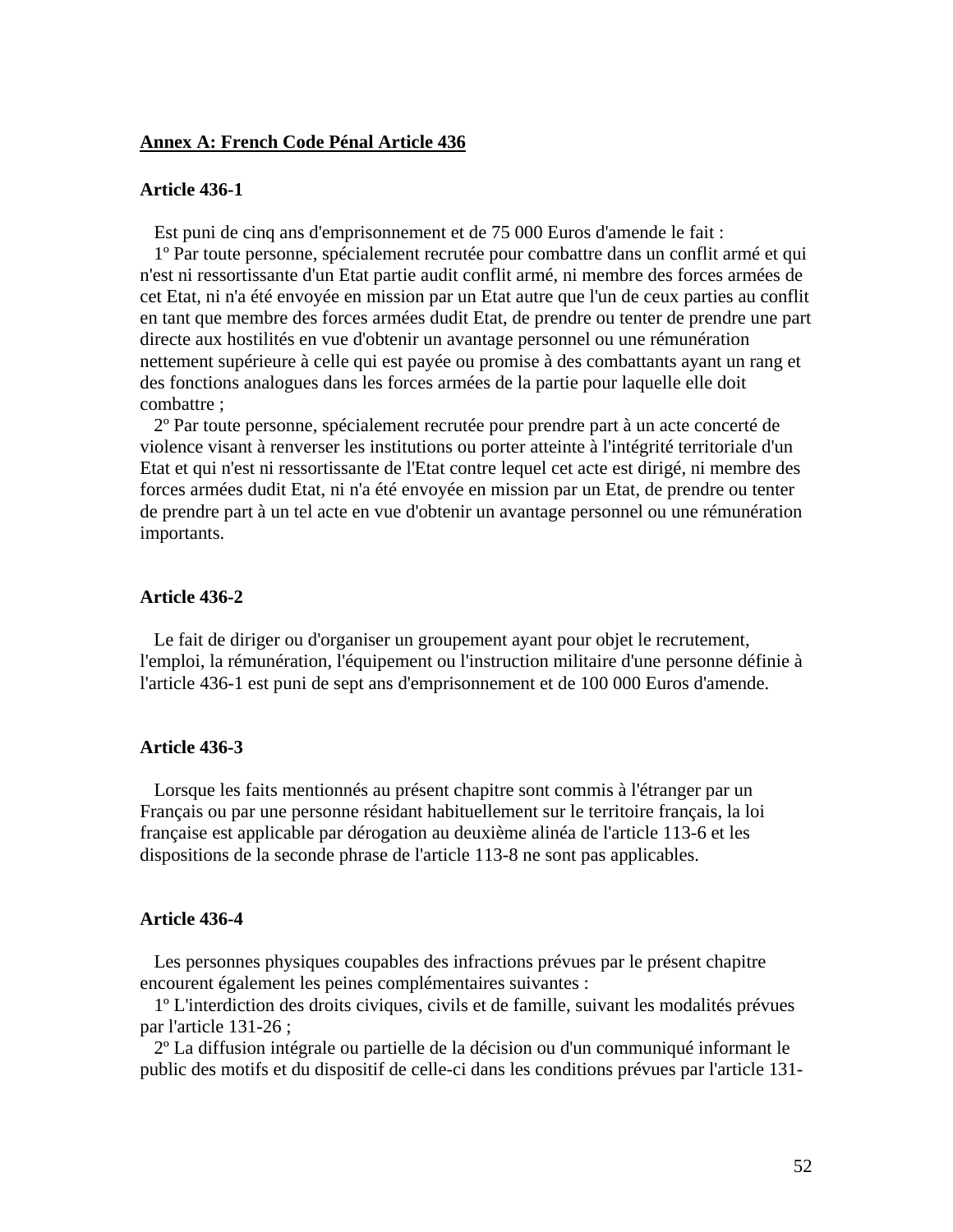#### <span id="page-51-0"></span>**Annex A: French Code Pénal Article 436**

#### **Article 436-1**

Est puni de cinq ans d'emprisonnement et de 75 000 Euros d'amende le fait :

 1º Par toute personne, spécialement recrutée pour combattre dans un conflit armé et qui n'est ni ressortissante d'un Etat partie audit conflit armé, ni membre des forces armées de cet Etat, ni n'a été envoyée en mission par un Etat autre que l'un de ceux parties au conflit en tant que membre des forces armées dudit Etat, de prendre ou tenter de prendre une part directe aux hostilités en vue d'obtenir un avantage personnel ou une rémunération nettement supérieure à celle qui est payée ou promise à des combattants ayant un rang et des fonctions analogues dans les forces armées de la partie pour laquelle elle doit combattre ;

 2º Par toute personne, spécialement recrutée pour prendre part à un acte concerté de violence visant à renverser les institutions ou porter atteinte à l'intégrité territoriale d'un Etat et qui n'est ni ressortissante de l'Etat contre lequel cet acte est dirigé, ni membre des forces armées dudit Etat, ni n'a été envoyée en mission par un Etat, de prendre ou tenter de prendre part à un tel acte en vue d'obtenir un avantage personnel ou une rémunération importants.

#### **Article 436-2**

 Le fait de diriger ou d'organiser un groupement ayant pour objet le recrutement, l'emploi, la rémunération, l'équipement ou l'instruction militaire d'une personne définie à l'article 436-1 est puni de sept ans d'emprisonnement et de 100 000 Euros d'amende.

#### **Article 436-3**

 Lorsque les faits mentionnés au présent chapitre sont commis à l'étranger par un Français ou par une personne résidant habituellement sur le territoire français, la loi française est applicable par dérogation au deuxième alinéa de l'article 113-6 et les dispositions de la seconde phrase de l'article 113-8 ne sont pas applicables.

#### **Article 436-4**

 Les personnes physiques coupables des infractions prévues par le présent chapitre encourent également les peines complémentaires suivantes :

 1º L'interdiction des droits civiques, civils et de famille, suivant les modalités prévues par l'article 131-26 ;

 2º La diffusion intégrale ou partielle de la décision ou d'un communiqué informant le public des motifs et du dispositif de celle-ci dans les conditions prévues par l'article 131-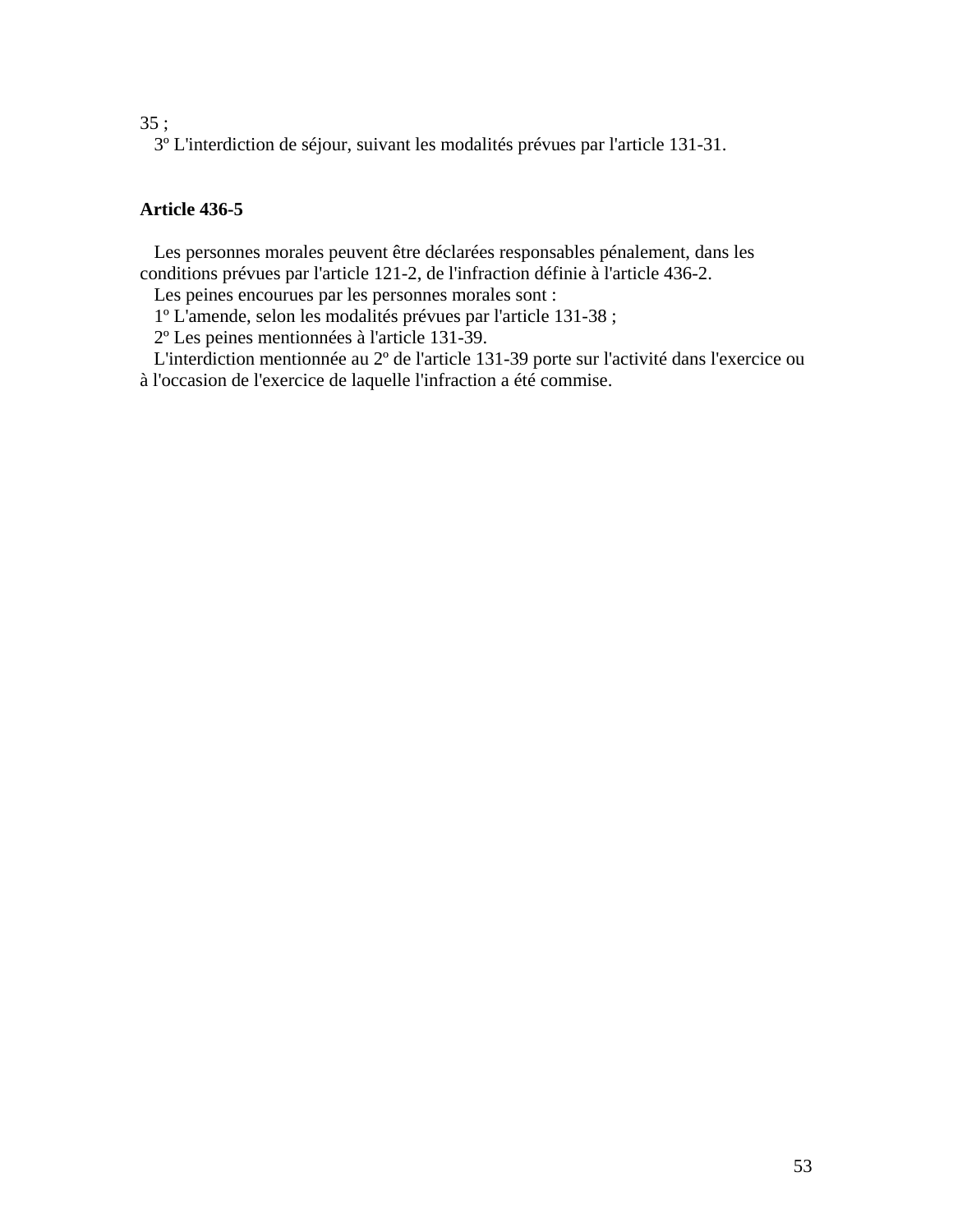### 35 ;

3º L'interdiction de séjour, suivant les modalités prévues par l'article 131-31.

# **Article 436-5**

 Les personnes morales peuvent être déclarées responsables pénalement, dans les conditions prévues par l'article 121-2, de l'infraction définie à l'article 436-2.

Les peines encourues par les personnes morales sont :

1º L'amende, selon les modalités prévues par l'article 131-38 ;

2º Les peines mentionnées à l'article 131-39.

 L'interdiction mentionnée au 2º de l'article 131-39 porte sur l'activité dans l'exercice ou à l'occasion de l'exercice de laquelle l'infraction a été commise.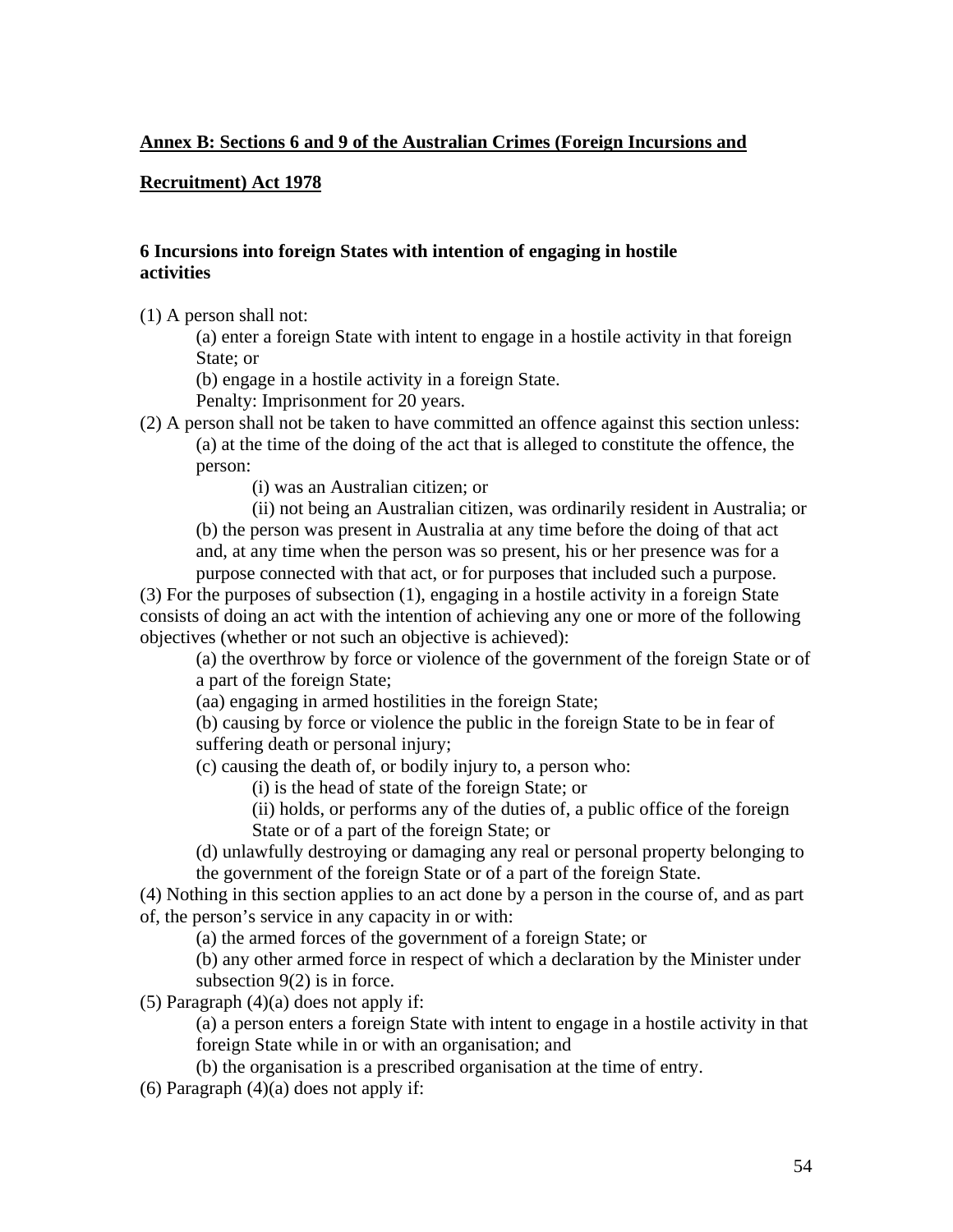### <span id="page-53-0"></span>**Annex B: Sections 6 and 9 of the Australian Crimes (Foreign Incursions and**

### **Recruitment) Act 1978**

### **6 Incursions into foreign States with intention of engaging in hostile activities**

(1) A person shall not:

(a) enter a foreign State with intent to engage in a hostile activity in that foreign State; or

(b) engage in a hostile activity in a foreign State.

Penalty: Imprisonment for 20 years.

(2) A person shall not be taken to have committed an offence against this section unless: (a) at the time of the doing of the act that is alleged to constitute the offence, the

person:

(i) was an Australian citizen; or

(ii) not being an Australian citizen, was ordinarily resident in Australia; or (b) the person was present in Australia at any time before the doing of that act and, at any time when the person was so present, his or her presence was for a purpose connected with that act, or for purposes that included such a purpose.

(3) For the purposes of subsection (1), engaging in a hostile activity in a foreign State consists of doing an act with the intention of achieving any one or more of the following objectives (whether or not such an objective is achieved):

(a) the overthrow by force or violence of the government of the foreign State or of a part of the foreign State;

(aa) engaging in armed hostilities in the foreign State;

(b) causing by force or violence the public in the foreign State to be in fear of suffering death or personal injury;

(c) causing the death of, or bodily injury to, a person who:

(i) is the head of state of the foreign State; or

(ii) holds, or performs any of the duties of, a public office of the foreign State or of a part of the foreign State; or

(d) unlawfully destroying or damaging any real or personal property belonging to the government of the foreign State or of a part of the foreign State.

(4) Nothing in this section applies to an act done by a person in the course of, and as part of, the person's service in any capacity in or with:

(a) the armed forces of the government of a foreign State; or

(b) any other armed force in respect of which a declaration by the Minister under subsection 9(2) is in force.

(5) Paragraph  $(4)(a)$  does not apply if:

(a) a person enters a foreign State with intent to engage in a hostile activity in that foreign State while in or with an organisation; and

(b) the organisation is a prescribed organisation at the time of entry.

 $(6)$  Paragraph  $(4)(a)$  does not apply if: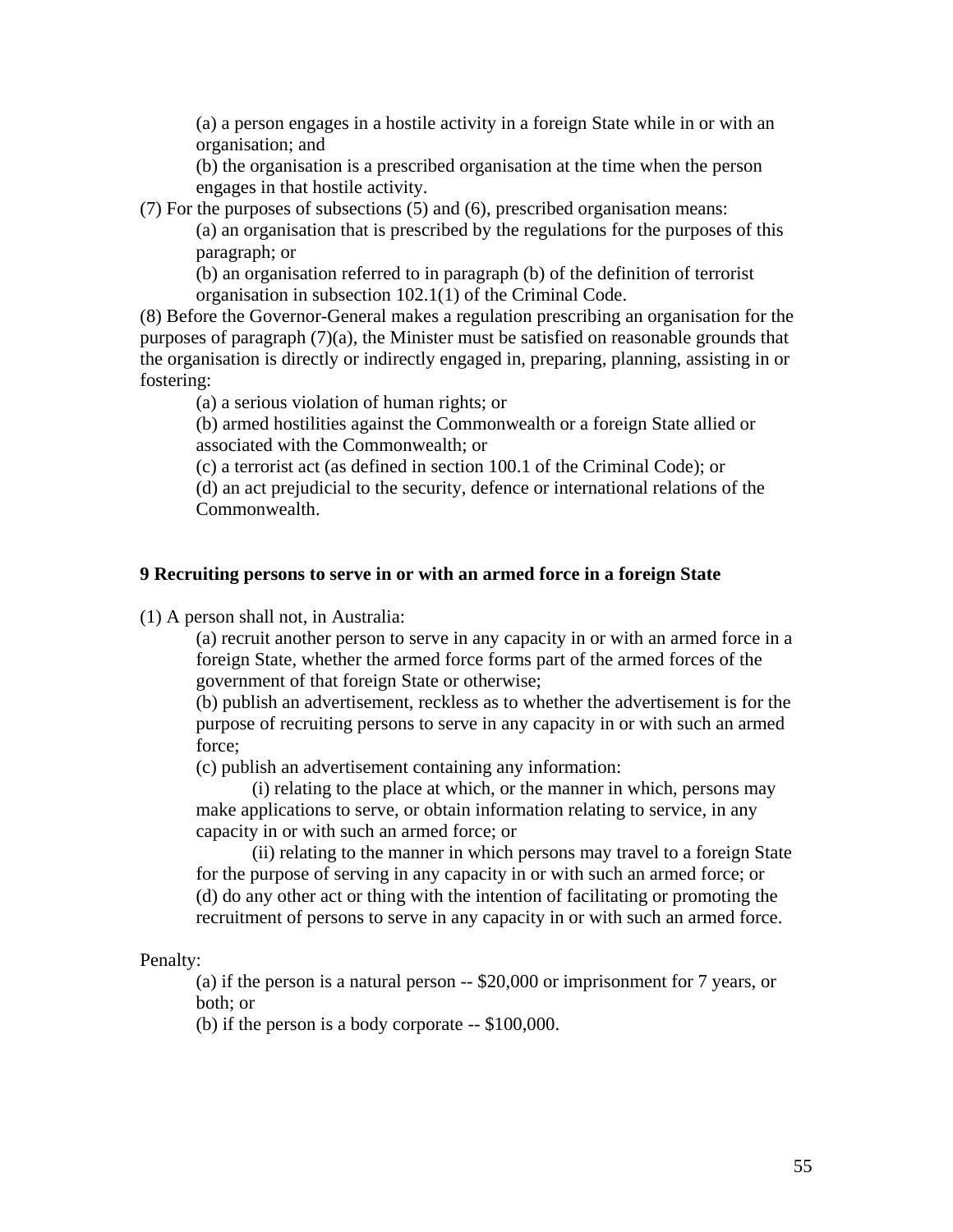(a) a person engages in a hostile activity in a foreign State while in or with an organisation; and

(b) the organisation is a prescribed organisation at the time when the person engages in that hostile activity.

(7) For the purposes of subsections (5) and (6), prescribed organisation means:

(a) an organisation that is prescribed by the regulations for the purposes of this paragraph; or

(b) an organisation referred to in paragraph (b) of the definition of terrorist organisation in subsection 102.1(1) of the Criminal Code.

(8) Before the Governor-General makes a regulation prescribing an organisation for the purposes of paragraph (7)(a), the Minister must be satisfied on reasonable grounds that the organisation is directly or indirectly engaged in, preparing, planning, assisting in or fostering:

(a) a serious violation of human rights; or

(b) armed hostilities against the Commonwealth or a foreign State allied or associated with the Commonwealth; or

(c) a terrorist act (as defined in section 100.1 of the Criminal Code); or

(d) an act prejudicial to the security, defence or international relations of the Commonwealth.

### **9 Recruiting persons to serve in or with an armed force in a foreign State**

(1) A person shall not, in Australia:

 (a) recruit another person to serve in any capacity in or with an armed force in a foreign State, whether the armed force forms part of the armed forces of the government of that foreign State or otherwise;

 (b) publish an advertisement, reckless as to whether the advertisement is for the purpose of recruiting persons to serve in any capacity in or with such an armed force;

(c) publish an advertisement containing any information:

 (i) relating to the place at which, or the manner in which, persons may make applications to serve, or obtain information relating to service, in any capacity in or with such an armed force; or

 (ii) relating to the manner in which persons may travel to a foreign State for the purpose of serving in any capacity in or with such an armed force; or (d) do any other act or thing with the intention of facilitating or promoting the recruitment of persons to serve in any capacity in or with such an armed force.

Penalty:

 (a) if the person is a natural person -- \$20,000 or imprisonment for 7 years, or both; or

(b) if the person is a body corporate -- \$100,000.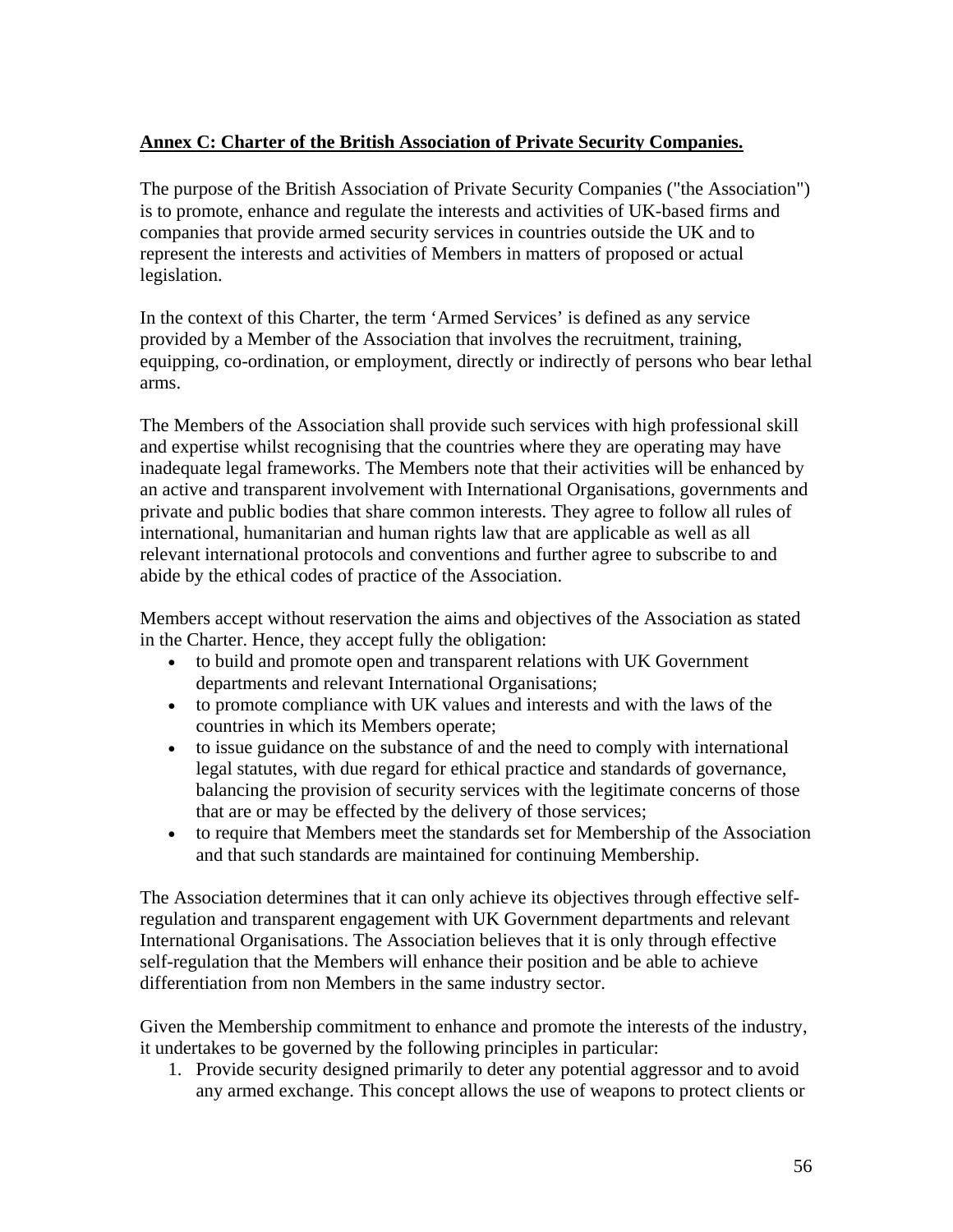### <span id="page-55-0"></span>**Annex C: Charter of the British Association of Private Security Companies.**

The purpose of the British Association of Private Security Companies ("the Association") is to promote, enhance and regulate the interests and activities of UK-based firms and companies that provide armed security services in countries outside the UK and to represent the interests and activities of Members in matters of proposed or actual legislation.

In the context of this Charter, the term 'Armed Services' is defined as any service provided by a Member of the Association that involves the recruitment, training, equipping, co-ordination, or employment, directly or indirectly of persons who bear lethal arms.

The Members of the Association shall provide such services with high professional skill and expertise whilst recognising that the countries where they are operating may have inadequate legal frameworks. The Members note that their activities will be enhanced by an active and transparent involvement with International Organisations, governments and private and public bodies that share common interests. They agree to follow all rules of international, humanitarian and human rights law that are applicable as well as all relevant international protocols and conventions and further agree to subscribe to and abide by the ethical codes of practice of the Association.

Members accept without reservation the aims and objectives of the Association as stated in the Charter. Hence, they accept fully the obligation:

- to build and promote open and transparent relations with UK Government departments and relevant International Organisations;
- to promote compliance with UK values and interests and with the laws of the countries in which its Members operate;
- to issue guidance on the substance of and the need to comply with international legal statutes, with due regard for ethical practice and standards of governance, balancing the provision of security services with the legitimate concerns of those that are or may be effected by the delivery of those services;
- to require that Members meet the standards set for Membership of the Association and that such standards are maintained for continuing Membership.

The Association determines that it can only achieve its objectives through effective selfregulation and transparent engagement with UK Government departments and relevant International Organisations. The Association believes that it is only through effective self-regulation that the Members will enhance their position and be able to achieve differentiation from non Members in the same industry sector.

Given the Membership commitment to enhance and promote the interests of the industry, it undertakes to be governed by the following principles in particular:

1. Provide security designed primarily to deter any potential aggressor and to avoid any armed exchange. This concept allows the use of weapons to protect clients or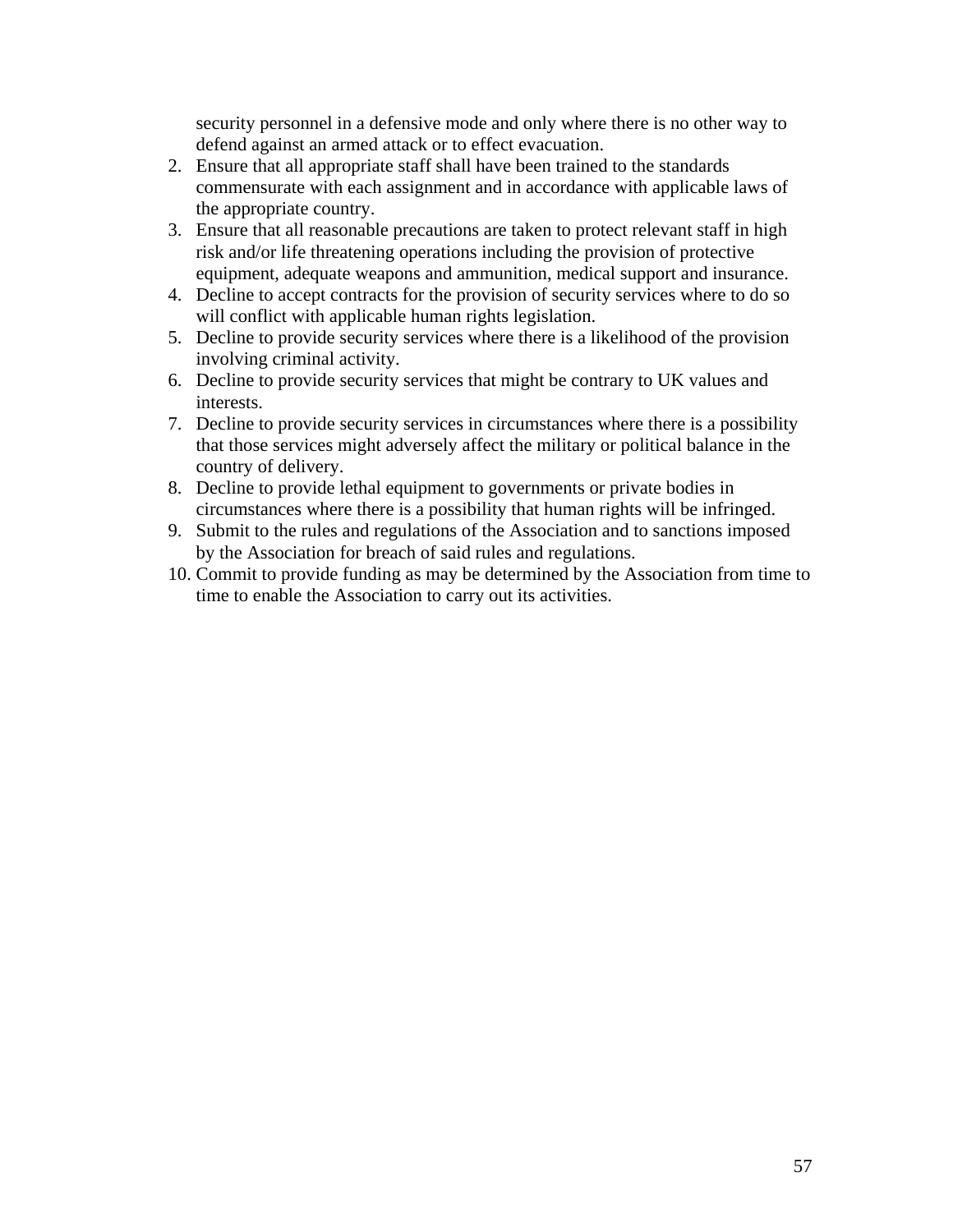security personnel in a defensive mode and only where there is no other way to defend against an armed attack or to effect evacuation.

- 2. Ensure that all appropriate staff shall have been trained to the standards commensurate with each assignment and in accordance with applicable laws of the appropriate country.
- 3. Ensure that all reasonable precautions are taken to protect relevant staff in high risk and/or life threatening operations including the provision of protective equipment, adequate weapons and ammunition, medical support and insurance.
- 4. Decline to accept contracts for the provision of security services where to do so will conflict with applicable human rights legislation.
- 5. Decline to provide security services where there is a likelihood of the provision involving criminal activity.
- 6. Decline to provide security services that might be contrary to UK values and interests.
- 7. Decline to provide security services in circumstances where there is a possibility that those services might adversely affect the military or political balance in the country of delivery.
- 8. Decline to provide lethal equipment to governments or private bodies in circumstances where there is a possibility that human rights will be infringed.
- 9. Submit to the rules and regulations of the Association and to sanctions imposed by the Association for breach of said rules and regulations.
- 10. Commit to provide funding as may be determined by the Association from time to time to enable the Association to carry out its activities.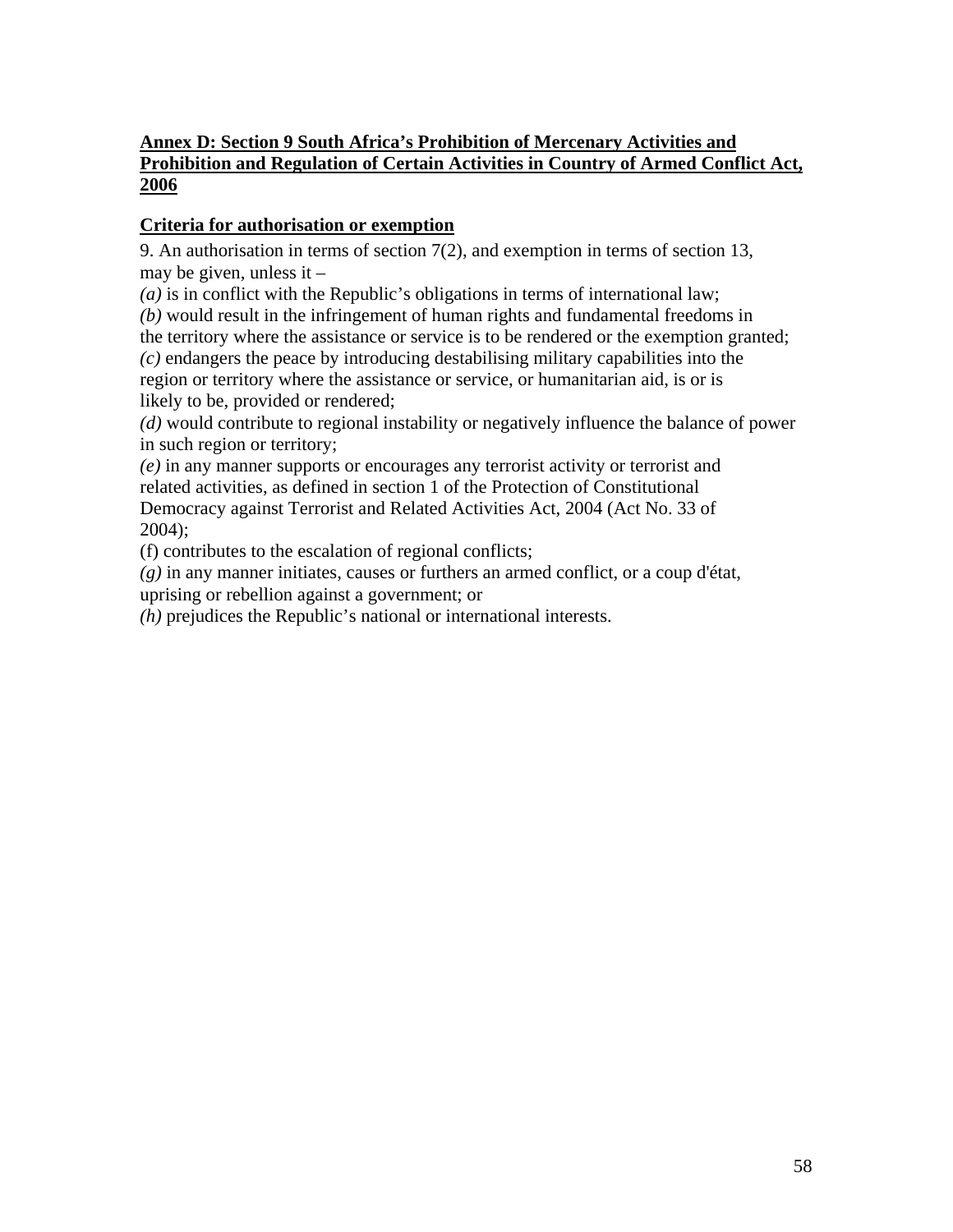# <span id="page-57-0"></span>**Annex D: Section 9 South Africa's Prohibition of Mercenary Activities and Prohibition and Regulation of Certain Activities in Country of Armed Conflict Act, 2006**

# **Criteria for authorisation or exemption**

9. An authorisation in terms of section 7(2), and exemption in terms of section 13, may be given, unless it  $-$ 

*(a)* is in conflict with the Republic's obligations in terms of international law;

*(b)* would result in the infringement of human rights and fundamental freedoms in the territory where the assistance or service is to be rendered or the exemption granted; *(c)* endangers the peace by introducing destabilising military capabilities into the region or territory where the assistance or service, or humanitarian aid, is or is likely to be, provided or rendered;

*(d)* would contribute to regional instability or negatively influence the balance of power in such region or territory;

*(e)* in any manner supports or encourages any terrorist activity or terrorist and related activities, as defined in section 1 of the Protection of Constitutional Democracy against Terrorist and Related Activities Act, 2004 (Act No. 33 of 2004);

(f) contributes to the escalation of regional conflicts;

*(g)* in any manner initiates, causes or furthers an armed conflict, or a coup d'état,

uprising or rebellion against a government; or

*(h)* prejudices the Republic's national or international interests.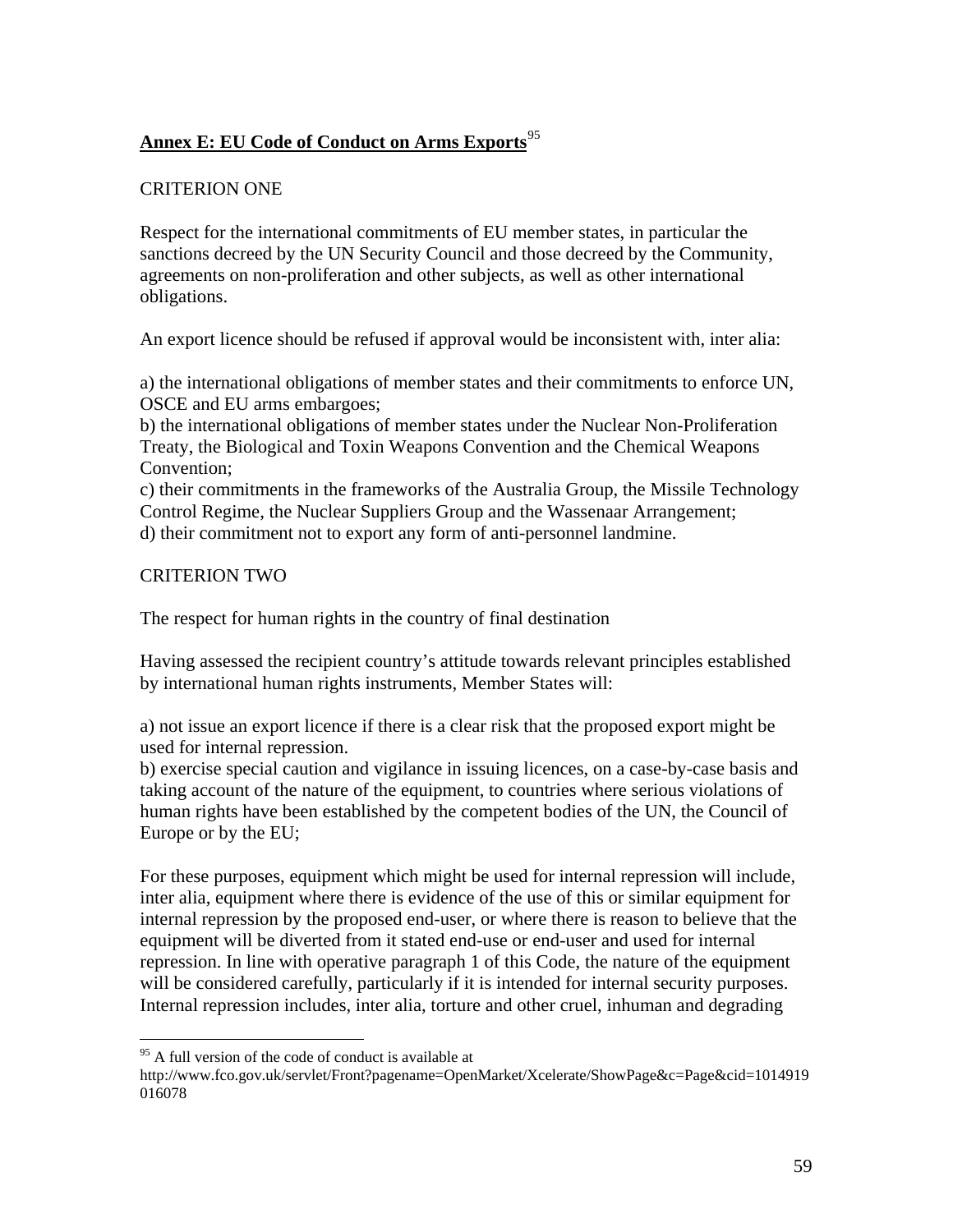# <span id="page-58-0"></span>**Annex E: EU Code of Conduct on Arms Exports**[95](#page-58-1)

### CRITERION ONE

Respect for the international commitments of EU member states, in particular the sanctions decreed by the UN Security Council and those decreed by the Community, agreements on non-proliferation and other subjects, as well as other international obligations.

An export licence should be refused if approval would be inconsistent with, inter alia:

a) the international obligations of member states and their commitments to enforce UN, OSCE and EU arms embargoes;

b) the international obligations of member states under the Nuclear Non-Proliferation Treaty, the Biological and Toxin Weapons Convention and the Chemical Weapons Convention;

c) their commitments in the frameworks of the Australia Group, the Missile Technology Control Regime, the Nuclear Suppliers Group and the Wassenaar Arrangement; d) their commitment not to export any form of anti-personnel landmine.

### CRITERION TWO

 $\overline{a}$ 

The respect for human rights in the country of final destination

Having assessed the recipient country's attitude towards relevant principles established by international human rights instruments, Member States will:

a) not issue an export licence if there is a clear risk that the proposed export might be used for internal repression.

b) exercise special caution and vigilance in issuing licences, on a case-by-case basis and taking account of the nature of the equipment, to countries where serious violations of human rights have been established by the competent bodies of the UN, the Council of Europe or by the EU;

For these purposes, equipment which might be used for internal repression will include, inter alia, equipment where there is evidence of the use of this or similar equipment for internal repression by the proposed end-user, or where there is reason to believe that the equipment will be diverted from it stated end-use or end-user and used for internal repression. In line with operative paragraph 1 of this Code, the nature of the equipment will be considered carefully, particularly if it is intended for internal security purposes. Internal repression includes, inter alia, torture and other cruel, inhuman and degrading

<sup>&</sup>lt;sup>95</sup> A full version of the code of conduct is available at

<span id="page-58-1"></span>http://www.fco.gov.uk/servlet/Front?pagename=OpenMarket/Xcelerate/ShowPage&c=Page&cid=1014919 016078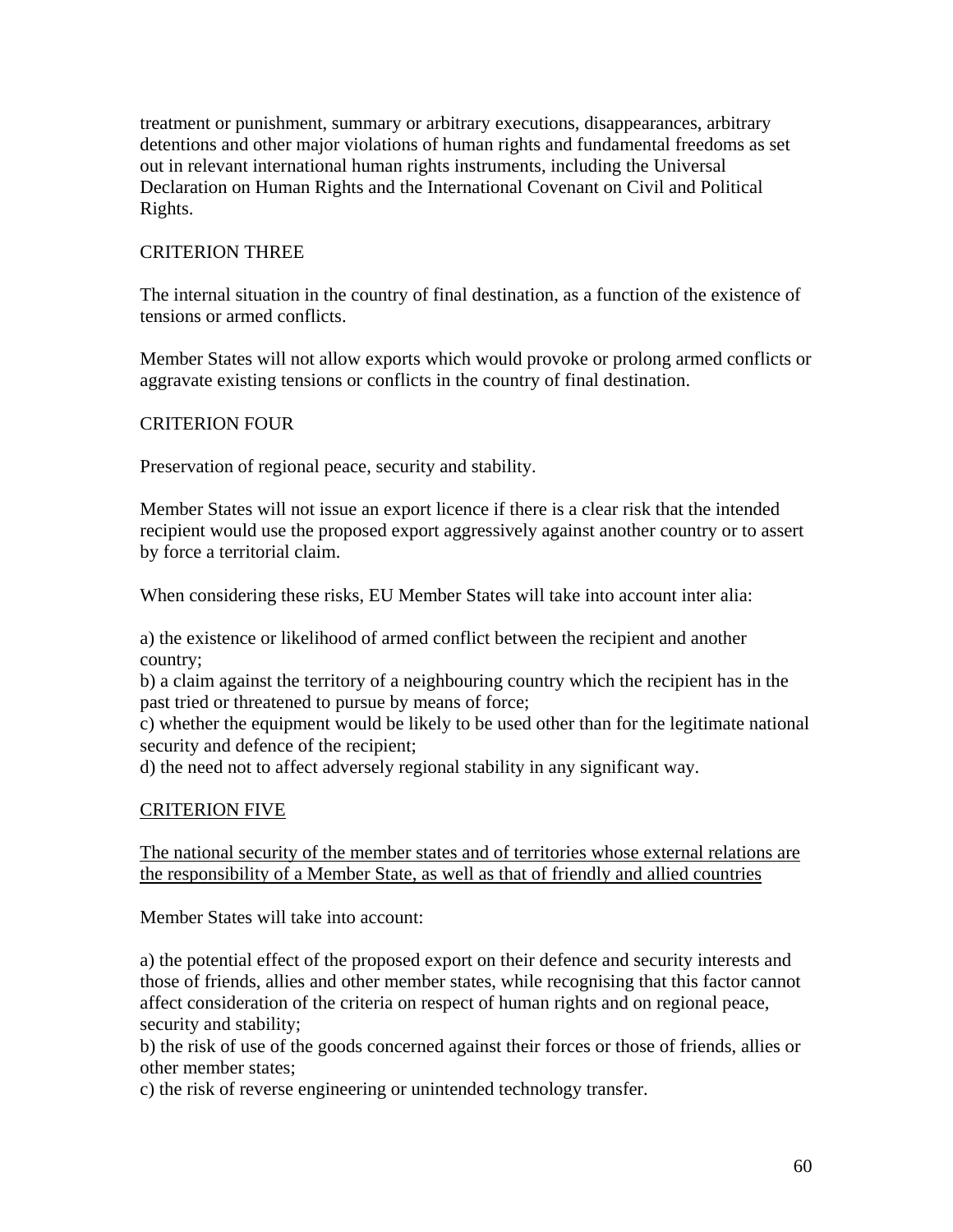treatment or punishment, summary or arbitrary executions, disappearances, arbitrary detentions and other major violations of human rights and fundamental freedoms as set out in relevant international human rights instruments, including the Universal Declaration on Human Rights and the International Covenant on Civil and Political Rights.

### CRITERION THREE

The internal situation in the country of final destination, as a function of the existence of tensions or armed conflicts.

Member States will not allow exports which would provoke or prolong armed conflicts or aggravate existing tensions or conflicts in the country of final destination.

### CRITERION FOUR

Preservation of regional peace, security and stability.

Member States will not issue an export licence if there is a clear risk that the intended recipient would use the proposed export aggressively against another country or to assert by force a territorial claim.

When considering these risks, EU Member States will take into account inter alia:

a) the existence or likelihood of armed conflict between the recipient and another country;

b) a claim against the territory of a neighbouring country which the recipient has in the past tried or threatened to pursue by means of force;

c) whether the equipment would be likely to be used other than for the legitimate national security and defence of the recipient;

d) the need not to affect adversely regional stability in any significant way.

### CRITERION FIVE

The national security of the member states and of territories whose external relations are the responsibility of a Member State, as well as that of friendly and allied countries

Member States will take into account:

a) the potential effect of the proposed export on their defence and security interests and those of friends, allies and other member states, while recognising that this factor cannot affect consideration of the criteria on respect of human rights and on regional peace, security and stability;

b) the risk of use of the goods concerned against their forces or those of friends, allies or other member states;

c) the risk of reverse engineering or unintended technology transfer.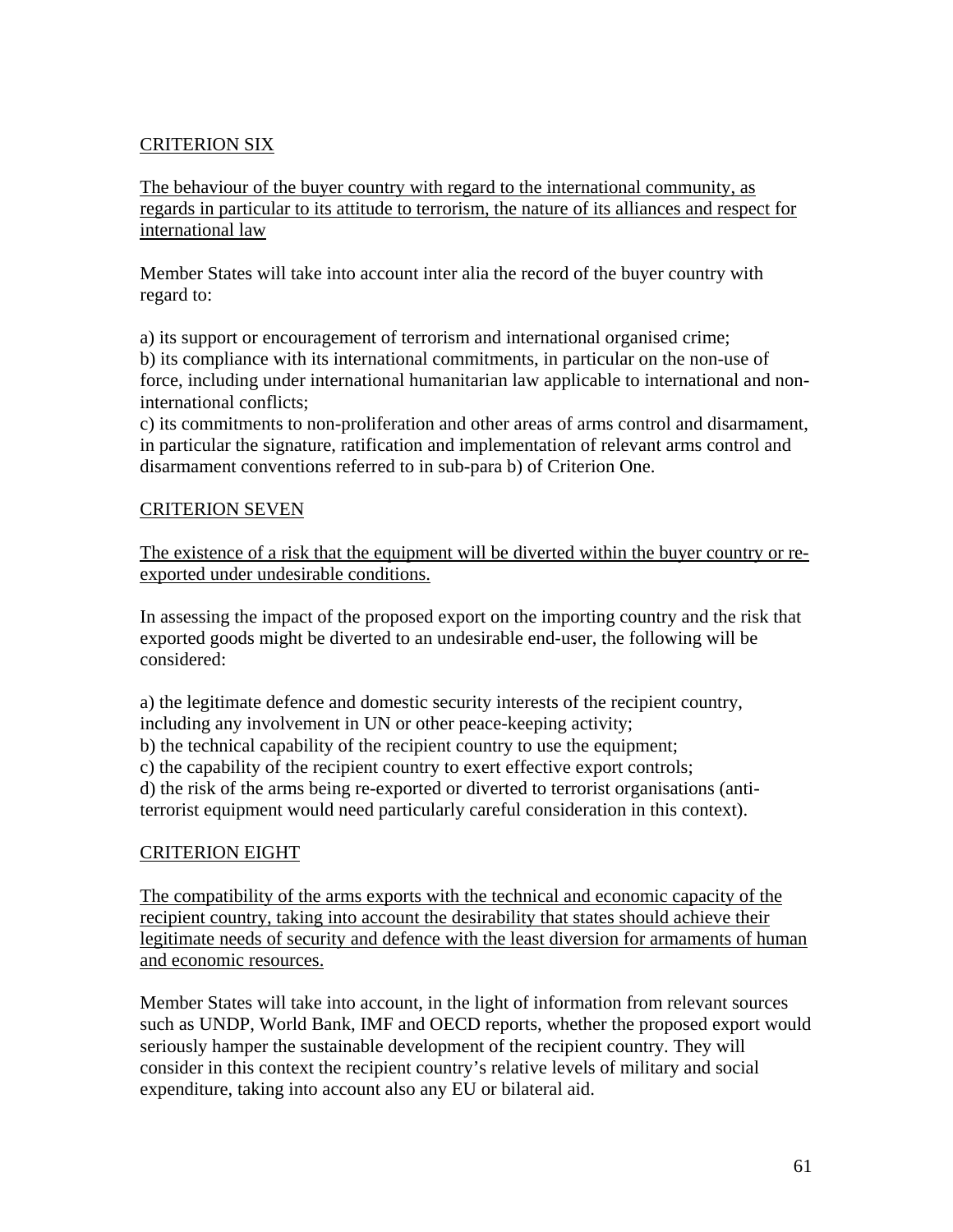# CRITERION SIX

The behaviour of the buyer country with regard to the international community, as regards in particular to its attitude to terrorism, the nature of its alliances and respect for international law

Member States will take into account inter alia the record of the buyer country with regard to:

a) its support or encouragement of terrorism and international organised crime; b) its compliance with its international commitments, in particular on the non-use of force, including under international humanitarian law applicable to international and noninternational conflicts;

c) its commitments to non-proliferation and other areas of arms control and disarmament, in particular the signature, ratification and implementation of relevant arms control and disarmament conventions referred to in sub-para b) of Criterion One.

### CRITERION SEVEN

The existence of a risk that the equipment will be diverted within the buyer country or reexported under undesirable conditions.

In assessing the impact of the proposed export on the importing country and the risk that exported goods might be diverted to an undesirable end-user, the following will be considered:

a) the legitimate defence and domestic security interests of the recipient country, including any involvement in UN or other peace-keeping activity; b) the technical capability of the recipient country to use the equipment; c) the capability of the recipient country to exert effective export controls; d) the risk of the arms being re-exported or diverted to terrorist organisations (antiterrorist equipment would need particularly careful consideration in this context).

### CRITERION EIGHT

The compatibility of the arms exports with the technical and economic capacity of the recipient country, taking into account the desirability that states should achieve their legitimate needs of security and defence with the least diversion for armaments of human and economic resources.

Member States will take into account, in the light of information from relevant sources such as UNDP, World Bank, IMF and OECD reports, whether the proposed export would seriously hamper the sustainable development of the recipient country. They will consider in this context the recipient country's relative levels of military and social expenditure, taking into account also any EU or bilateral aid.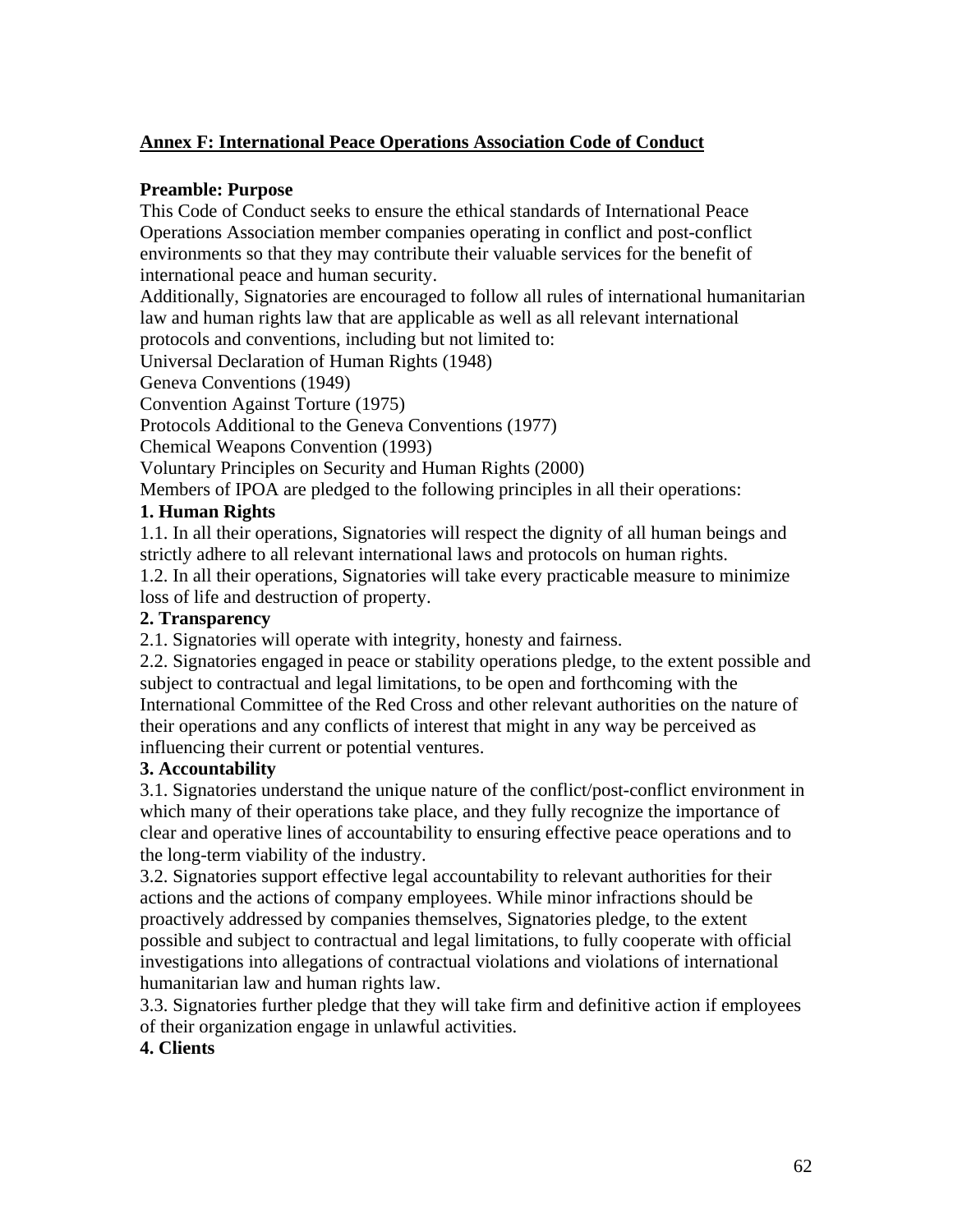### <span id="page-61-0"></span>**Annex F: International Peace Operations Association Code of Conduct**

### **Preamble: Purpose**

This Code of Conduct seeks to ensure the ethical standards of International Peace Operations Association member companies operating in conflict and post-conflict environments so that they may contribute their valuable services for the benefit of international peace and human security.

Additionally, Signatories are encouraged to follow all rules of international humanitarian law and human rights law that are applicable as well as all relevant international protocols and conventions, including but not limited to:

Universal Declaration of Human Rights (1948)

Geneva Conventions (1949)

Convention Against Torture (1975)

Protocols Additional to the Geneva Conventions (1977)

Chemical Weapons Convention (1993)

Voluntary Principles on Security and Human Rights (2000)

Members of IPOA are pledged to the following principles in all their operations:

### **1. Human Rights**

1.1. In all their operations, Signatories will respect the dignity of all human beings and strictly adhere to all relevant international laws and protocols on human rights.

1.2. In all their operations, Signatories will take every practicable measure to minimize loss of life and destruction of property.

### **2. Transparency**

2.1. Signatories will operate with integrity, honesty and fairness.

2.2. Signatories engaged in peace or stability operations pledge, to the extent possible and subject to contractual and legal limitations, to be open and forthcoming with the International Committee of the Red Cross and other relevant authorities on the nature of their operations and any conflicts of interest that might in any way be perceived as influencing their current or potential ventures.

#### **3. Accountability**

3.1. Signatories understand the unique nature of the conflict/post-conflict environment in which many of their operations take place, and they fully recognize the importance of clear and operative lines of accountability to ensuring effective peace operations and to the long-term viability of the industry.

3.2. Signatories support effective legal accountability to relevant authorities for their actions and the actions of company employees. While minor infractions should be proactively addressed by companies themselves, Signatories pledge, to the extent possible and subject to contractual and legal limitations, to fully cooperate with official investigations into allegations of contractual violations and violations of international humanitarian law and human rights law.

3.3. Signatories further pledge that they will take firm and definitive action if employees of their organization engage in unlawful activities.

### **4. Clients**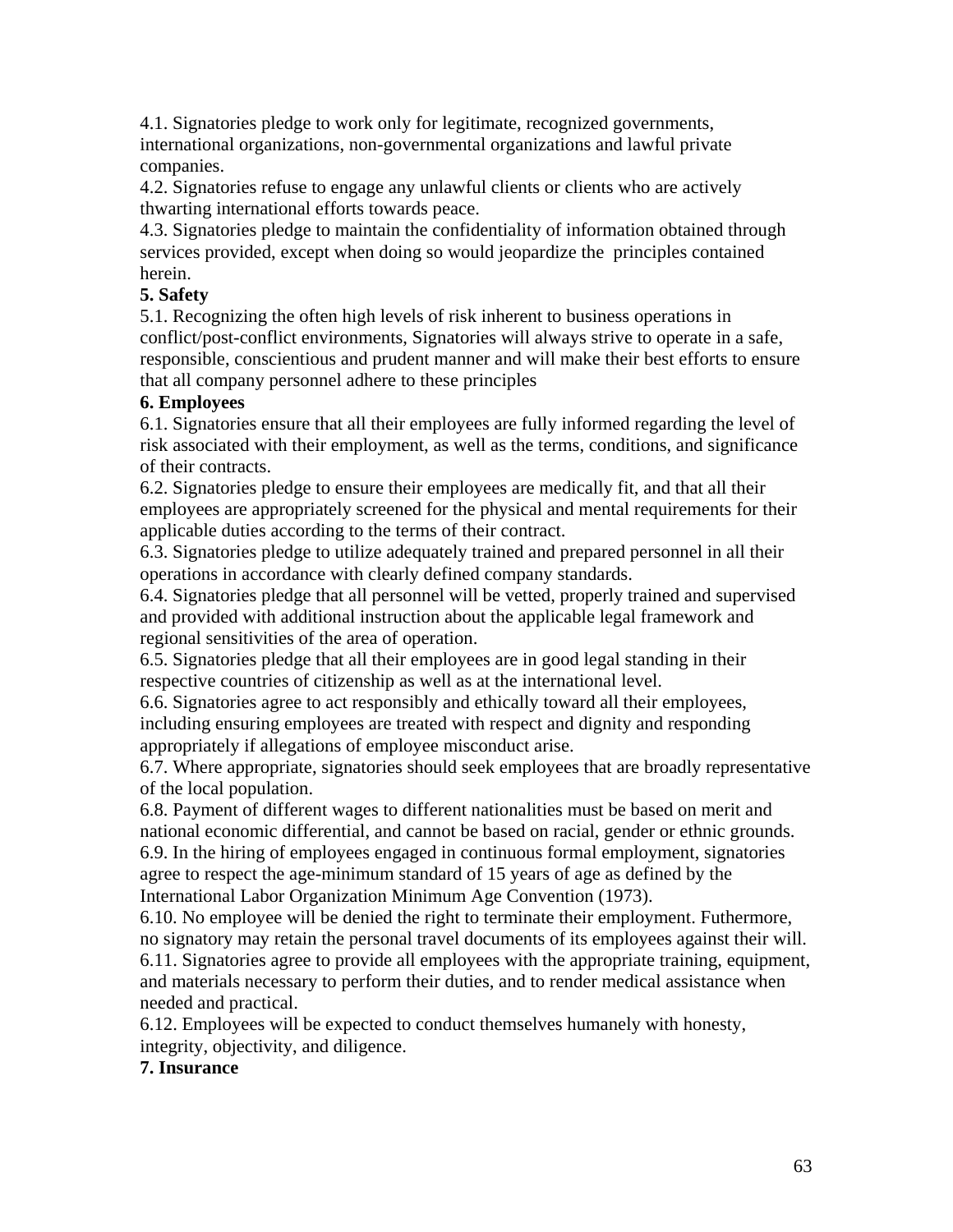4.1. Signatories pledge to work only for legitimate, recognized governments, international organizations, non-governmental organizations and lawful private companies.

4.2. Signatories refuse to engage any unlawful clients or clients who are actively thwarting international efforts towards peace.

4.3. Signatories pledge to maintain the confidentiality of information obtained through services provided, except when doing so would jeopardize the principles contained herein.

# **5. Safety**

5.1. Recognizing the often high levels of risk inherent to business operations in conflict/post-conflict environments, Signatories will always strive to operate in a safe, responsible, conscientious and prudent manner and will make their best efforts to ensure that all company personnel adhere to these principles

### **6. Employees**

6.1. Signatories ensure that all their employees are fully informed regarding the level of risk associated with their employment, as well as the terms, conditions, and significance of their contracts.

6.2. Signatories pledge to ensure their employees are medically fit, and that all their employees are appropriately screened for the physical and mental requirements for their applicable duties according to the terms of their contract.

6.3. Signatories pledge to utilize adequately trained and prepared personnel in all their operations in accordance with clearly defined company standards.

6.4. Signatories pledge that all personnel will be vetted, properly trained and supervised and provided with additional instruction about the applicable legal framework and regional sensitivities of the area of operation.

6.5. Signatories pledge that all their employees are in good legal standing in their respective countries of citizenship as well as at the international level.

6.6. Signatories agree to act responsibly and ethically toward all their employees, including ensuring employees are treated with respect and dignity and responding appropriately if allegations of employee misconduct arise.

6.7. Where appropriate, signatories should seek employees that are broadly representative of the local population.

6.8. Payment of different wages to different nationalities must be based on merit and national economic differential, and cannot be based on racial, gender or ethnic grounds. 6.9. In the hiring of employees engaged in continuous formal employment, signatories agree to respect the age-minimum standard of 15 years of age as defined by the International Labor Organization Minimum Age Convention (1973).

6.10. No employee will be denied the right to terminate their employment. Futhermore, no signatory may retain the personal travel documents of its employees against their will. 6.11. Signatories agree to provide all employees with the appropriate training, equipment, and materials necessary to perform their duties, and to render medical assistance when needed and practical.

6.12. Employees will be expected to conduct themselves humanely with honesty, integrity, objectivity, and diligence.

# **7. Insurance**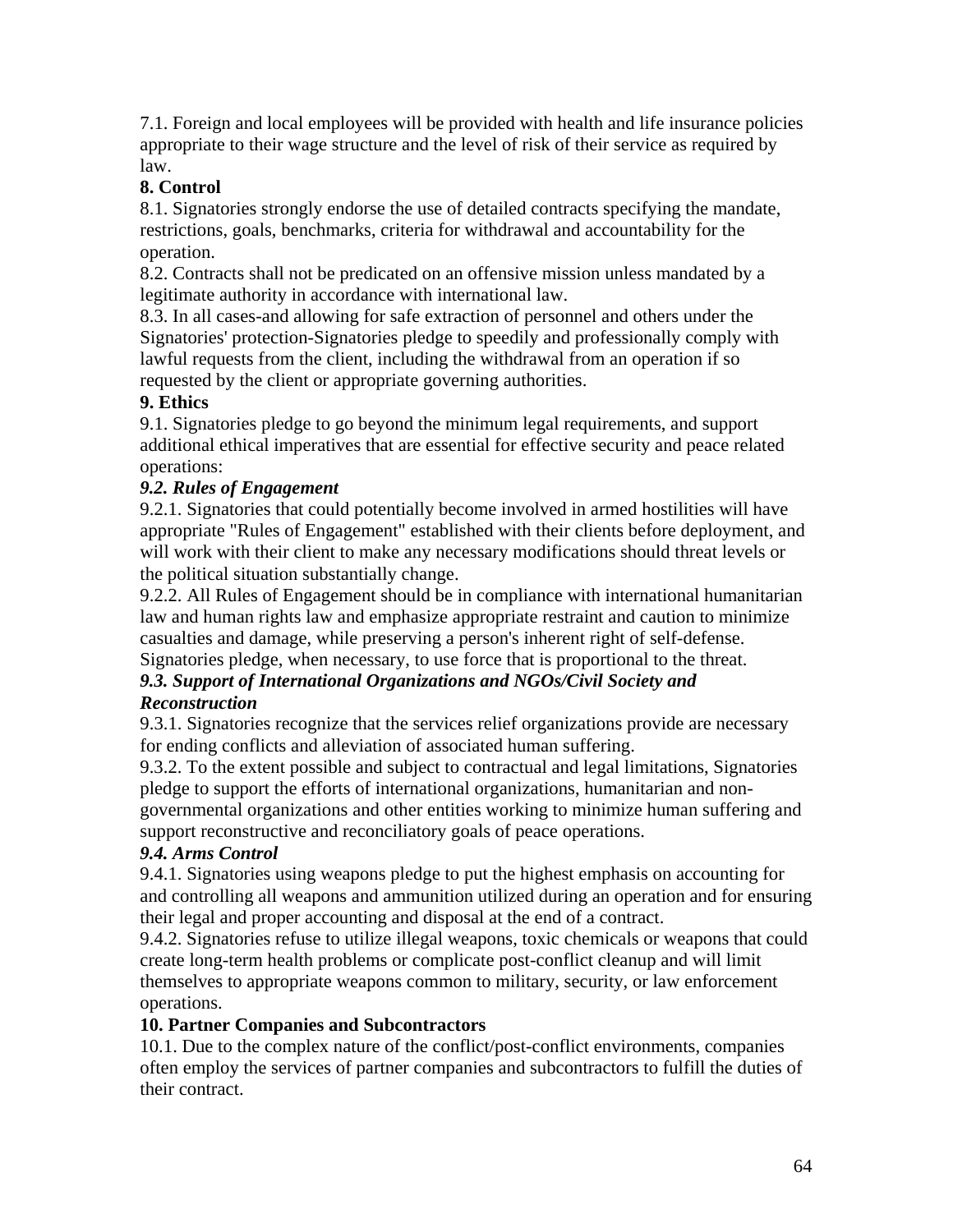7.1. Foreign and local employees will be provided with health and life insurance policies appropriate to their wage structure and the level of risk of their service as required by law.

# **8. Control**

8.1. Signatories strongly endorse the use of detailed contracts specifying the mandate, restrictions, goals, benchmarks, criteria for withdrawal and accountability for the operation.

8.2. Contracts shall not be predicated on an offensive mission unless mandated by a legitimate authority in accordance with international law.

8.3. In all cases-and allowing for safe extraction of personnel and others under the Signatories' protection-Signatories pledge to speedily and professionally comply with lawful requests from the client, including the withdrawal from an operation if so requested by the client or appropriate governing authorities.

### **9. Ethics**

9.1. Signatories pledge to go beyond the minimum legal requirements, and support additional ethical imperatives that are essential for effective security and peace related operations:

# *9.2. Rules of Engagement*

9.2.1. Signatories that could potentially become involved in armed hostilities will have appropriate "Rules of Engagement" established with their clients before deployment, and will work with their client to make any necessary modifications should threat levels or the political situation substantially change.

9.2.2. All Rules of Engagement should be in compliance with international humanitarian law and human rights law and emphasize appropriate restraint and caution to minimize casualties and damage, while preserving a person's inherent right of self-defense. Signatories pledge, when necessary, to use force that is proportional to the threat.

### *9.3. Support of International Organizations and NGOs/Civil Society and Reconstruction*

9.3.1. Signatories recognize that the services relief organizations provide are necessary for ending conflicts and alleviation of associated human suffering.

9.3.2. To the extent possible and subject to contractual and legal limitations, Signatories pledge to support the efforts of international organizations, humanitarian and nongovernmental organizations and other entities working to minimize human suffering and

support reconstructive and reconciliatory goals of peace operations.

### *9.4. Arms Control*

9.4.1. Signatories using weapons pledge to put the highest emphasis on accounting for and controlling all weapons and ammunition utilized during an operation and for ensuring their legal and proper accounting and disposal at the end of a contract.

9.4.2. Signatories refuse to utilize illegal weapons, toxic chemicals or weapons that could create long-term health problems or complicate post-conflict cleanup and will limit themselves to appropriate weapons common to military, security, or law enforcement operations.

### **10. Partner Companies and Subcontractors**

10.1. Due to the complex nature of the conflict/post-conflict environments, companies often employ the services of partner companies and subcontractors to fulfill the duties of their contract.